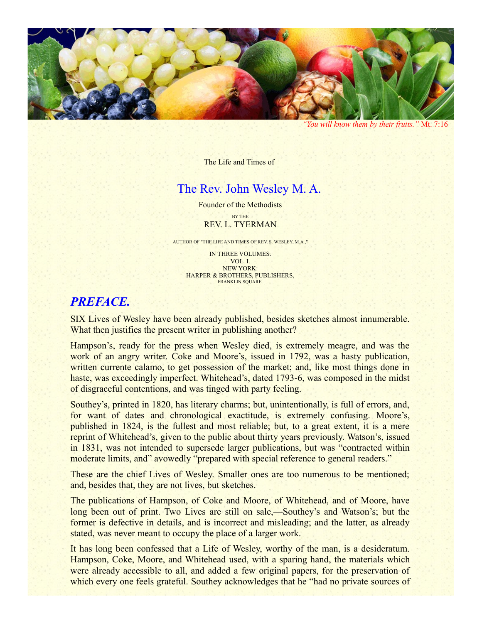

*"You will know them by their fruits."* Mt. 7:16

The Life and Times of

## The Rev. John Wesley M. A.

Founder of the Methodists BY THE REV. L. TYERMAN

AUTHOR OF "THE LIFE AND TIMES OF REV. S. WESLEY, M.A.,"

IN THREE VOLUMES. VOL. I. NEW YORK: HARPER & BROTHERS, PUBLISHERS, FRANKLIN SQUARE.

# *PREFACE.*

SIX Lives of Wesley have been already published, besides sketches almost innumerable. What then justifies the present writer in publishing another?

Hampson's, ready for the press when Wesley died, is extremely meagre, and was the work of an angry writer. Coke and Moore's, issued in 1792, was a hasty publication, written currente calamo, to get possession of the market; and, like most things done in haste, was exceedingly imperfect. Whitehead's, dated 1793-6, was composed in the midst of disgraceful contentions, and was tinged with party feeling.

Southey's, printed in 1820, has literary charms; but, unintentionally, is full of errors, and, for want of dates and chronological exactitude, is extremely confusing. Moore's, published in 1824, is the fullest and most reliable; but, to a great extent, it is a mere reprint of Whitehead's, given to the public about thirty years previously. Watson's, issued in 1831, was not intended to supersede larger publications, but was "contracted within moderate limits, and" avowedly "prepared with special reference to general readers."

These are the chief Lives of Wesley. Smaller ones are too numerous to be mentioned; and, besides that, they are not lives, but sketches.

The publications of Hampson, of Coke and Moore, of Whitehead, and of Moore, have long been out of print. Two Lives are still on sale,—Southey's and Watson's; but the former is defective in details, and is incorrect and misleading; and the latter, as already stated, was never meant to occupy the place of a larger work.

It has long been confessed that a Life of Wesley, worthy of the man, is a desideratum. Hampson, Coke, Moore, and Whitehead used, with a sparing hand, the materials which were already accessible to all, and added a few original papers, for the preservation of which every one feels grateful. Southey acknowledges that he "had no private sources of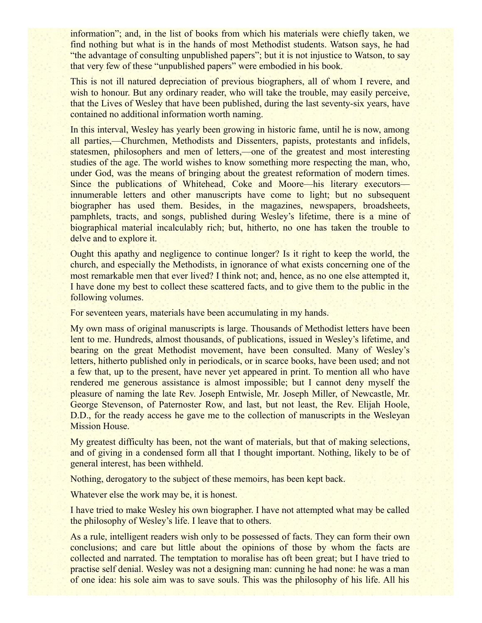information"; and, in the list of books from which his materials were chiefly taken, we find nothing but what is in the hands of most Methodist students. Watson says, he had "the advantage of consulting unpublished papers"; but it is not injustice to Watson, to say that very few of these "unpublished papers" were embodied in his book.

This is not ill natured depreciation of previous biographers, all of whom I revere, and wish to honour. But any ordinary reader, who will take the trouble, may easily perceive, that the Lives of Wesley that have been published, during the last seventy-six years, have contained no additional information worth naming.

In this interval, Wesley has yearly been growing in historic fame, until he is now, among all parties,—Churchmen, Methodists and Dissenters, papists, protestants and infidels, statesmen, philosophers and men of letters,—one of the greatest and most interesting studies of the age. The world wishes to know something more respecting the man, who, under God, was the means of bringing about the greatest reformation of modern times. Since the publications of Whitehead, Coke and Moore—his literary executors innumerable letters and other manuscripts have come to light; but no subsequent biographer has used them. Besides, in the magazines, newspapers, broadsheets, pamphlets, tracts, and songs, published during Wesley's lifetime, there is a mine of biographical material incalculably rich; but, hitherto, no one has taken the trouble to delve and to explore it.

Ought this apathy and negligence to continue longer? Is it right to keep the world, the church, and especially the Methodists, in ignorance of what exists concerning one of the most remarkable men that ever lived? I think not; and, hence, as no one else attempted it, I have done my best to collect these scattered facts, and to give them to the public in the following volumes.

For seventeen years, materials have been accumulating in my hands.

My own mass of original manuscripts is large. Thousands of Methodist letters have been lent to me. Hundreds, almost thousands, of publications, issued in Wesley's lifetime, and bearing on the great Methodist movement, have been consulted. Many of Wesley's letters, hitherto published only in periodicals, or in scarce books, have been used; and not a few that, up to the present, have never yet appeared in print. To mention all who have rendered me generous assistance is almost impossible; but I cannot deny myself the pleasure of naming the late Rev. Joseph Entwisle, Mr. Joseph Miller, of Newcastle, Mr. George Stevenson, of Paternoster Row, and last, but not least, the Rev. Elijah Hoole, D.D., for the ready access he gave me to the collection of manuscripts in the Wesleyan Mission House.

My greatest difficulty has been, not the want of materials, but that of making selections, and of giving in a condensed form all that I thought important. Nothing, likely to be of general interest, has been withheld.

Nothing, derogatory to the subject of these memoirs, has been kept back.

Whatever else the work may be, it is honest.

I have tried to make Wesley his own biographer. I have not attempted what may be called the philosophy of Wesley's life. I leave that to others.

As a rule, intelligent readers wish only to be possessed of facts. They can form their own conclusions; and care but little about the opinions of those by whom the facts are collected and narrated. The temptation to moralise has oft been great; but I have tried to practise self denial. Wesley was not a designing man: cunning he had none: he was a man of one idea: his sole aim was to save souls. This was the philosophy of his life. All his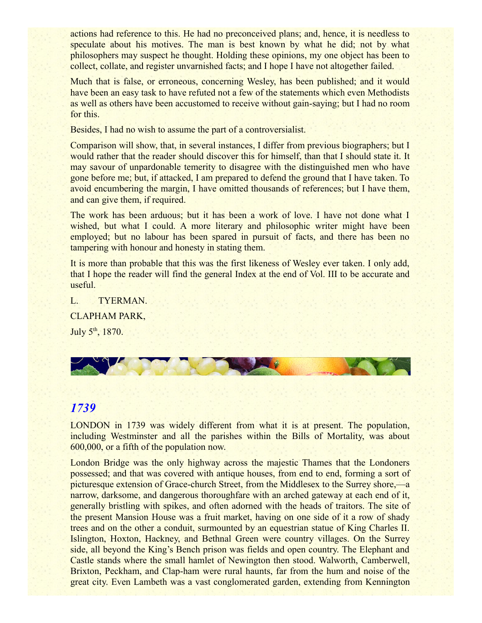actions had reference to this. He had no preconceived plans; and, hence, it is needless to speculate about his motives. The man is best known by what he did; not by what philosophers may suspect he thought. Holding these opinions, my one object has been to collect, collate, and register unvarnished facts; and I hope I have not altogether failed.

Much that is false, or erroneous, concerning Wesley, has been published; and it would have been an easy task to have refuted not a few of the statements which even Methodists as well as others have been accustomed to receive without gain-saying; but I had no room for this.

Besides, I had no wish to assume the part of a controversialist.

Comparison will show, that, in several instances, I differ from previous biographers; but I would rather that the reader should discover this for himself, than that I should state it. It may savour of unpardonable temerity to disagree with the distinguished men who have gone before me; but, if attacked, I am prepared to defend the ground that I have taken. To avoid encumbering the margin, I have omitted thousands of references; but I have them, and can give them, if required.

The work has been arduous; but it has been a work of love. I have not done what I wished, but what I could. A more literary and philosophic writer might have been employed; but no labour has been spared in pursuit of facts, and there has been no tampering with honour and honesty in stating them.

It is more than probable that this was the first likeness of Wesley ever taken. I only add, that I hope the reader will find the general Index at the end of Vol. III to be accurate and useful.

L. TYERMAN. CLAPHAM PARK, July 5<sup>th</sup>, 1870.



# *1739*

LONDON in 1739 was widely different from what it is at present. The population, including Westminster and all the parishes within the Bills of Mortality, was about 600,000, or a fifth of the population now.

London Bridge was the only highway across the majestic Thames that the Londoners possessed; and that was covered with antique houses, from end to end, forming a sort of picturesque extension of Grace-church Street, from the Middlesex to the Surrey shore,—a narrow, darksome, and dangerous thoroughfare with an arched gateway at each end of it, generally bristling with spikes, and often adorned with the heads of traitors. The site of the present Mansion House was a fruit market, having on one side of it a row of shady trees and on the other a conduit, surmounted by an equestrian statue of King Charles II. Islington, Hoxton, Hackney, and Bethnal Green were country villages. On the Surrey side, all beyond the King's Bench prison was fields and open country. The Elephant and Castle stands where the small hamlet of Newington then stood. Walworth, Camberwell, Brixton, Peckham, and Clap-ham were rural haunts, far from the hum and noise of the great city. Even Lambeth was a vast conglomerated garden, extending from Kennington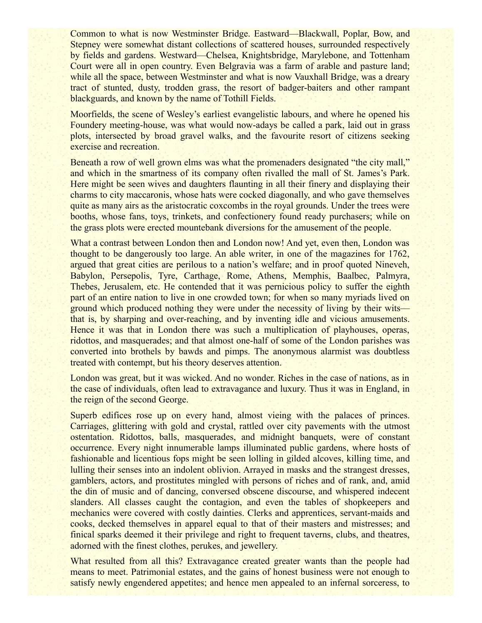Common to what is now Westminster Bridge. Eastward—Blackwall, Poplar, Bow, and Stepney were somewhat distant collections of scattered houses, surrounded respectively by fields and gardens. Westward—Chelsea, Knightsbridge, Marylebone, and Tottenham Court were all in open country. Even Belgravia was a farm of arable and pasture land; while all the space, between Westminster and what is now Vauxhall Bridge, was a dreary tract of stunted, dusty, trodden grass, the resort of badger-baiters and other rampant blackguards, and known by the name of Tothill Fields.

Moorfields, the scene of Wesley's earliest evangelistic labours, and where he opened his Foundery meeting-house, was what would now-adays be called a park, laid out in grass plots, intersected by broad gravel walks, and the favourite resort of citizens seeking exercise and recreation.

Beneath a row of well grown elms was what the promenaders designated "the city mall," and which in the smartness of its company often rivalled the mall of St. James's Park. Here might be seen wives and daughters flaunting in all their finery and displaying their charms to city maccaronis, whose hats were cocked diagonally, and who gave themselves quite as many airs as the aristocratic coxcombs in the royal grounds. Under the trees were booths, whose fans, toys, trinkets, and confectionery found ready purchasers; while on the grass plots were erected mountebank diversions for the amusement of the people.

What a contrast between London then and London now! And yet, even then, London was thought to be dangerously too large. An able writer, in one of the magazines for 1762, argued that great cities are perilous to a nation's welfare; and in proof quoted Nineveh, Babylon, Persepolis, Tyre, Carthage, Rome, Athens, Memphis, Baalbec, Palmyra, Thebes, Jerusalem, etc. He contended that it was pernicious policy to suffer the eighth part of an entire nation to live in one crowded town; for when so many myriads lived on ground which produced nothing they were under the necessity of living by their wits that is, by sharping and over-reaching, and by inventing idle and vicious amusements. Hence it was that in London there was such a multiplication of playhouses, operas, ridottos, and masquerades; and that almost one-half of some of the London parishes was converted into brothels by bawds and pimps. The anonymous alarmist was doubtless treated with contempt, but his theory deserves attention.

London was great, but it was wicked. And no wonder. Riches in the case of nations, as in the case of individuals, often lead to extravagance and luxury. Thus it was in England, in the reign of the second George.

Superb edifices rose up on every hand, almost vieing with the palaces of princes. Carriages, glittering with gold and crystal, rattled over city pavements with the utmost ostentation. Ridottos, balls, masquerades, and midnight banquets, were of constant occurrence. Every night innumerable lamps illuminated public gardens, where hosts of fashionable and licentious fops might be seen lolling in gilded alcoves, killing time, and lulling their senses into an indolent oblivion. Arrayed in masks and the strangest dresses, gamblers, actors, and prostitutes mingled with persons of riches and of rank, and, amid the din of music and of dancing, conversed obscene discourse, and whispered indecent slanders. All classes caught the contagion, and even the tables of shopkeepers and mechanics were covered with costly dainties. Clerks and apprentices, servant-maids and cooks, decked themselves in apparel equal to that of their masters and mistresses; and finical sparks deemed it their privilege and right to frequent taverns, clubs, and theatres, adorned with the finest clothes, perukes, and jewellery.

What resulted from all this? Extravagance created greater wants than the people had means to meet. Patrimonial estates, and the gains of honest business were not enough to satisfy newly engendered appetites; and hence men appealed to an infernal sorceress, to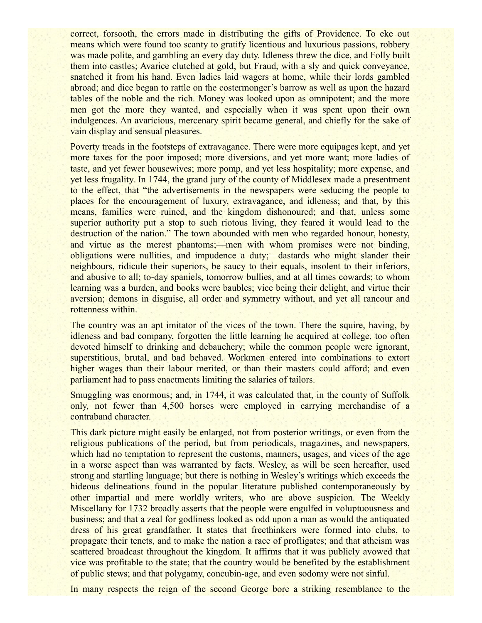correct, forsooth, the errors made in distributing the gifts of Providence. To eke out means which were found too scanty to gratify licentious and luxurious passions, robbery was made polite, and gambling an every day duty. Idleness threw the dice, and Folly built them into castles; Avarice clutched at gold, but Fraud, with a sly and quick conveyance, snatched it from his hand. Even ladies laid wagers at home, while their lords gambled abroad; and dice began to rattle on the costermonger's barrow as well as upon the hazard tables of the noble and the rich. Money was looked upon as omnipotent; and the more men got the more they wanted, and especially when it was spent upon their own indulgences. An avaricious, mercenary spirit became general, and chiefly for the sake of vain display and sensual pleasures.

Poverty treads in the footsteps of extravagance. There were more equipages kept, and yet more taxes for the poor imposed; more diversions, and yet more want; more ladies of taste, and yet fewer housewives; more pomp, and yet less hospitality; more expense, and yet less frugality. In 1744, the grand jury of the county of Middlesex made a presentment to the effect, that "the advertisements in the newspapers were seducing the people to places for the encouragement of luxury, extravagance, and idleness; and that, by this means, families were ruined, and the kingdom dishonoured; and that, unless some superior authority put a stop to such riotous living, they feared it would lead to the destruction of the nation." The town abounded with men who regarded honour, honesty, and virtue as the merest phantoms;—men with whom promises were not binding, obligations were nullities, and impudence a duty;—dastards who might slander their neighbours, ridicule their superiors, be saucy to their equals, insolent to their inferiors, and abusive to all; to-day spaniels, tomorrow bullies, and at all times cowards; to whom learning was a burden, and books were baubles; vice being their delight, and virtue their aversion; demons in disguise, all order and symmetry without, and yet all rancour and rottenness within.

The country was an apt imitator of the vices of the town. There the squire, having, by idleness and bad company, forgotten the little learning he acquired at college, too often devoted himself to drinking and debauchery; while the common people were ignorant, superstitious, brutal, and bad behaved. Workmen entered into combinations to extort higher wages than their labour merited, or than their masters could afford; and even parliament had to pass enactments limiting the salaries of tailors.

Smuggling was enormous; and, in 1744, it was calculated that, in the county of Suffolk only, not fewer than 4,500 horses were employed in carrying merchandise of a contraband character.

This dark picture might easily be enlarged, not from posterior writings, or even from the religious publications of the period, but from periodicals, magazines, and newspapers, which had no temptation to represent the customs, manners, usages, and vices of the age in a worse aspect than was warranted by facts. Wesley, as will be seen hereafter, used strong and startling language; but there is nothing in Wesley's writings which exceeds the hideous delineations found in the popular literature published contemporaneously by other impartial and mere worldly writers, who are above suspicion. The Weekly Miscellany for 1732 broadly asserts that the people were engulfed in voluptuousness and business; and that a zeal for godliness looked as odd upon a man as would the antiquated dress of his great grandfather. It states that freethinkers were formed into clubs, to propagate their tenets, and to make the nation a race of profligates; and that atheism was scattered broadcast throughout the kingdom. It affirms that it was publicly avowed that vice was profitable to the state; that the country would be benefited by the establishment of public stews; and that polygamy, concubin-age, and even sodomy were not sinful.

In many respects the reign of the second George bore a striking resemblance to the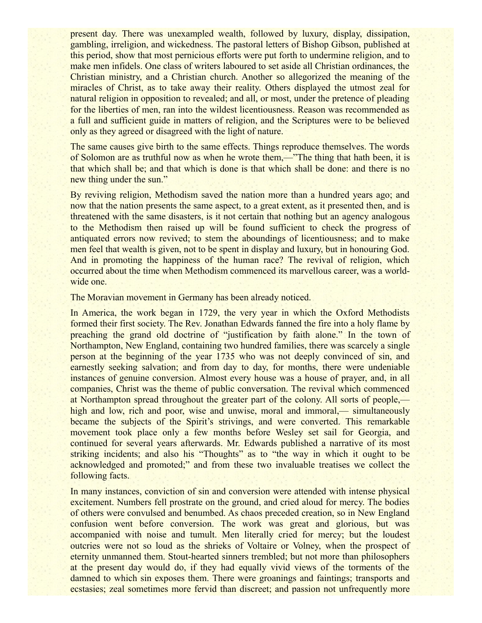present day. There was unexampled wealth, followed by luxury, display, dissipation, gambling, irreligion, and wickedness. The pastoral letters of Bishop Gibson, published at this period, show that most pernicious efforts were put forth to undermine religion, and to make men infidels. One class of writers laboured to set aside all Christian ordinances, the Christian ministry, and a Christian church. Another so allegorized the meaning of the miracles of Christ, as to take away their reality. Others displayed the utmost zeal for natural religion in opposition to revealed; and all, or most, under the pretence of pleading for the liberties of men, ran into the wildest licentiousness. Reason was recommended as a full and sufficient guide in matters of religion, and the Scriptures were to be believed only as they agreed or disagreed with the light of nature.

The same causes give birth to the same effects. Things reproduce themselves. The words of Solomon are as truthful now as when he wrote them,—"The thing that hath been, it is that which shall be; and that which is done is that which shall be done: and there is no new thing under the sun."

By reviving religion, Methodism saved the nation more than a hundred years ago; and now that the nation presents the same aspect, to a great extent, as it presented then, and is threatened with the same disasters, is it not certain that nothing but an agency analogous to the Methodism then raised up will be found sufficient to check the progress of antiquated errors now revived; to stem the aboundings of licentiousness; and to make men feel that wealth is given, not to be spent in display and luxury, but in honouring God. And in promoting the happiness of the human race? The revival of religion, which occurred about the time when Methodism commenced its marvellous career, was a worldwide one.

The Moravian movement in Germany has been already noticed.

In America, the work began in 1729, the very year in which the Oxford Methodists formed their first society. The Rev. Jonathan Edwards fanned the fire into a holy flame by preaching the grand old doctrine of "justification by faith alone." In the town of Northampton, New England, containing two hundred families, there was scarcely a single person at the beginning of the year 1735 who was not deeply convinced of sin, and earnestly seeking salvation; and from day to day, for months, there were undeniable instances of genuine conversion. Almost every house was a house of prayer, and, in all companies, Christ was the theme of public conversation. The revival which commenced at Northampton spread throughout the greater part of the colony. All sorts of people, high and low, rich and poor, wise and unwise, moral and immoral,— simultaneously became the subjects of the Spirit's strivings, and were converted. This remarkable movement took place only a few months before Wesley set sail for Georgia, and continued for several years afterwards. Mr. Edwards published a narrative of its most striking incidents; and also his "Thoughts" as to "the way in which it ought to be acknowledged and promoted;" and from these two invaluable treatises we collect the following facts.

In many instances, conviction of sin and conversion were attended with intense physical excitement. Numbers fell prostrate on the ground, and cried aloud for mercy. The bodies of others were convulsed and benumbed. As chaos preceded creation, so in New England confusion went before conversion. The work was great and glorious, but was accompanied with noise and tumult. Men literally cried for mercy; but the loudest outcries were not so loud as the shrieks of Voltaire or Volney, when the prospect of eternity unmanned them. Stout-hearted sinners trembled; but not more than philosophers at the present day would do, if they had equally vivid views of the torments of the damned to which sin exposes them. There were groanings and faintings; transports and ecstasies; zeal sometimes more fervid than discreet; and passion not unfrequently more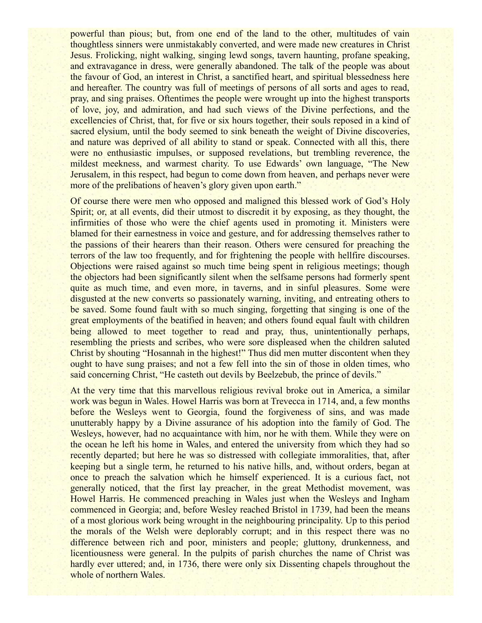powerful than pious; but, from one end of the land to the other, multitudes of vain thoughtless sinners were unmistakably converted, and were made new creatures in Christ Jesus. Frolicking, night walking, singing lewd songs, tavern haunting, profane speaking, and extravagance in dress, were generally abandoned. The talk of the people was about the favour of God, an interest in Christ, a sanctified heart, and spiritual blessedness here and hereafter. The country was full of meetings of persons of all sorts and ages to read, pray, and sing praises. Oftentimes the people were wrought up into the highest transports of love, joy, and admiration, and had such views of the Divine perfections, and the excellencies of Christ, that, for five or six hours together, their souls reposed in a kind of sacred elysium, until the body seemed to sink beneath the weight of Divine discoveries, and nature was deprived of all ability to stand or speak. Connected with all this, there were no enthusiastic impulses, or supposed revelations, but trembling reverence, the mildest meekness, and warmest charity. To use Edwards' own language, "The New Jerusalem, in this respect, had begun to come down from heaven, and perhaps never were more of the prelibations of heaven's glory given upon earth."

Of course there were men who opposed and maligned this blessed work of God's Holy Spirit; or, at all events, did their utmost to discredit it by exposing, as they thought, the infirmities of those who were the chief agents used in promoting it. Ministers were blamed for their earnestness in voice and gesture, and for addressing themselves rather to the passions of their hearers than their reason. Others were censured for preaching the terrors of the law too frequently, and for frightening the people with hellfire discourses. Objections were raised against so much time being spent in religious meetings; though the objectors had been significantly silent when the selfsame persons had formerly spent quite as much time, and even more, in taverns, and in sinful pleasures. Some were disgusted at the new converts so passionately warning, inviting, and entreating others to be saved. Some found fault with so much singing, forgetting that singing is one of the great employments of the beatified in heaven; and others found equal fault with children being allowed to meet together to read and pray, thus, unintentionally perhaps, resembling the priests and scribes, who were sore displeased when the children saluted Christ by shouting "Hosannah in the highest!" Thus did men mutter discontent when they ought to have sung praises; and not a few fell into the sin of those in olden times, who said concerning Christ, "He casteth out devils by Beelzebub, the prince of devils."

At the very time that this marvellous religious revival broke out in America, a similar work was begun in Wales. Howel Harris was born at Trevecca in 1714, and, a few months before the Wesleys went to Georgia, found the forgiveness of sins, and was made unutterably happy by a Divine assurance of his adoption into the family of God. The Wesleys, however, had no acquaintance with him, nor he with them. While they were on the ocean he left his home in Wales, and entered the university from which they had so recently departed; but here he was so distressed with collegiate immoralities, that, after keeping but a single term, he returned to his native hills, and, without orders, began at once to preach the salvation which he himself experienced. It is a curious fact, not generally noticed, that the first lay preacher, in the great Methodist movement, was Howel Harris. He commenced preaching in Wales just when the Wesleys and Ingham commenced in Georgia; and, before Wesley reached Bristol in 1739, had been the means of a most glorious work being wrought in the neighbouring principality. Up to this period the morals of the Welsh were deplorably corrupt; and in this respect there was no difference between rich and poor, ministers and people; gluttony, drunkenness, and licentiousness were general. In the pulpits of parish churches the name of Christ was hardly ever uttered; and, in 1736, there were only six Dissenting chapels throughout the whole of northern Wales.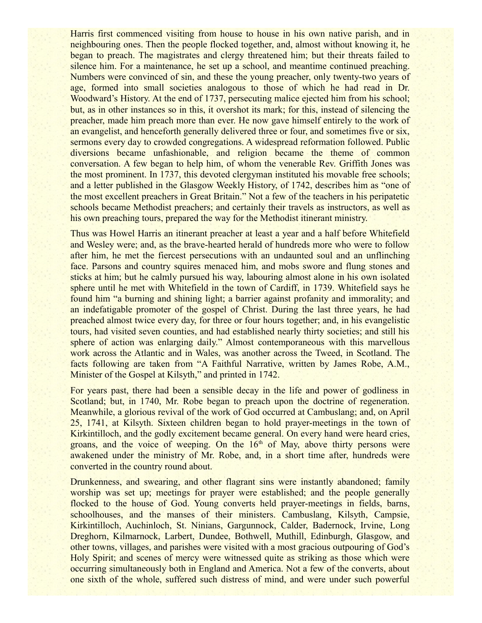Harris first commenced visiting from house to house in his own native parish, and in neighbouring ones. Then the people flocked together, and, almost without knowing it, he began to preach. The magistrates and clergy threatened him; but their threats failed to silence him. For a maintenance, he set up a school, and meantime continued preaching. Numbers were convinced of sin, and these the young preacher, only twenty-two years of age, formed into small societies analogous to those of which he had read in Dr. Woodward's History. At the end of 1737, persecuting malice ejected him from his school; but, as in other instances so in this, it overshot its mark; for this, instead of silencing the preacher, made him preach more than ever. He now gave himself entirely to the work of an evangelist, and henceforth generally delivered three or four, and sometimes five or six, sermons every day to crowded congregations. A widespread reformation followed. Public diversions became unfashionable, and religion became the theme of common conversation. A few began to help him, of whom the venerable Rev. Griffith Jones was the most prominent. In 1737, this devoted clergyman instituted his movable free schools; and a letter published in the Glasgow Weekly History, of 1742, describes him as "one of the most excellent preachers in Great Britain." Not a few of the teachers in his peripatetic schools became Methodist preachers; and certainly their travels as instructors, as well as his own preaching tours, prepared the way for the Methodist itinerant ministry.

Thus was Howel Harris an itinerant preacher at least a year and a half before Whitefield and Wesley were; and, as the brave-hearted herald of hundreds more who were to follow after him, he met the fiercest persecutions with an undaunted soul and an unflinching face. Parsons and country squires menaced him, and mobs swore and flung stones and sticks at him; but he calmly pursued his way, labouring almost alone in his own isolated sphere until he met with Whitefield in the town of Cardiff, in 1739. Whitefield says he found him "a burning and shining light; a barrier against profanity and immorality; and an indefatigable promoter of the gospel of Christ. During the last three years, he had preached almost twice every day, for three or four hours together; and, in his evangelistic tours, had visited seven counties, and had established nearly thirty societies; and still his sphere of action was enlarging daily." Almost contemporaneous with this marvellous work across the Atlantic and in Wales, was another across the Tweed, in Scotland. The facts following are taken from "A Faithful Narrative, written by James Robe, A.M., Minister of the Gospel at Kilsyth," and printed in 1742.

For years past, there had been a sensible decay in the life and power of godliness in Scotland; but, in 1740, Mr. Robe began to preach upon the doctrine of regeneration. Meanwhile, a glorious revival of the work of God occurred at Cambuslang; and, on April 25, 1741, at Kilsyth. Sixteen children began to hold prayer-meetings in the town of Kirkintilloch, and the godly excitement became general. On every hand were heard cries, groans, and the voice of weeping. On the  $16<sup>th</sup>$  of May, above thirty persons were awakened under the ministry of Mr. Robe, and, in a short time after, hundreds were converted in the country round about.

Drunkenness, and swearing, and other flagrant sins were instantly abandoned; family worship was set up; meetings for prayer were established; and the people generally flocked to the house of God. Young converts held prayer-meetings in fields, barns, schoolhouses, and the manses of their ministers. Cambuslang, Kilsyth, Campsie, Kirkintilloch, Auchinloch, St. Ninians, Gargunnock, Calder, Badernock, Irvine, Long Dreghorn, Kilmarnock, Larbert, Dundee, Bothwell, Muthill, Edinburgh, Glasgow, and other towns, villages, and parishes were visited with a most gracious outpouring of God's Holy Spirit; and scenes of mercy were witnessed quite as striking as those which were occurring simultaneously both in England and America. Not a few of the converts, about one sixth of the whole, suffered such distress of mind, and were under such powerful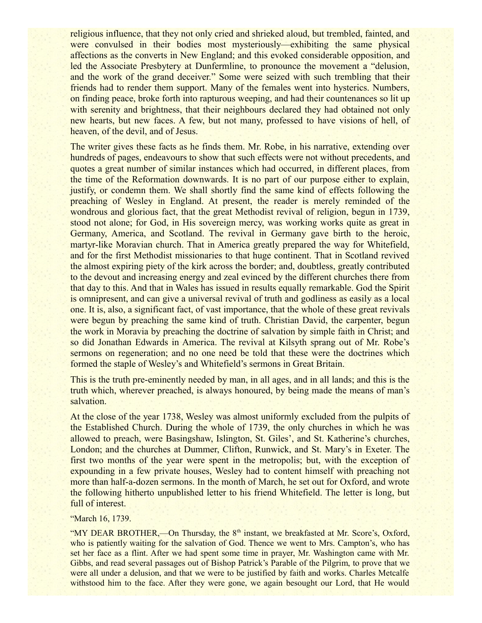religious influence, that they not only cried and shrieked aloud, but trembled, fainted, and were convulsed in their bodies most mysteriously—exhibiting the same physical affections as the converts in New England; and this evoked considerable opposition, and led the Associate Presbytery at Dunfermline, to pronounce the movement a "delusion, and the work of the grand deceiver." Some were seized with such trembling that their friends had to render them support. Many of the females went into hysterics. Numbers, on finding peace, broke forth into rapturous weeping, and had their countenances so lit up with serenity and brightness, that their neighbours declared they had obtained not only new hearts, but new faces. A few, but not many, professed to have visions of hell, of heaven, of the devil, and of Jesus.

The writer gives these facts as he finds them. Mr. Robe, in his narrative, extending over hundreds of pages, endeavours to show that such effects were not without precedents, and quotes a great number of similar instances which had occurred, in different places, from the time of the Reformation downwards. It is no part of our purpose either to explain, justify, or condemn them. We shall shortly find the same kind of effects following the preaching of Wesley in England. At present, the reader is merely reminded of the wondrous and glorious fact, that the great Methodist revival of religion, begun in 1739, stood not alone; for God, in His sovereign mercy, was working works quite as great in Germany, America, and Scotland. The revival in Germany gave birth to the heroic, martyr-like Moravian church. That in America greatly prepared the way for Whitefield, and for the first Methodist missionaries to that huge continent. That in Scotland revived the almost expiring piety of the kirk across the border; and, doubtless, greatly contributed to the devout and increasing energy and zeal evinced by the different churches there from that day to this. And that in Wales has issued in results equally remarkable. God the Spirit is omnipresent, and can give a universal revival of truth and godliness as easily as a local one. It is, also, a significant fact, of vast importance, that the whole of these great revivals were begun by preaching the same kind of truth. Christian David, the carpenter, begun the work in Moravia by preaching the doctrine of salvation by simple faith in Christ; and so did Jonathan Edwards in America. The revival at Kilsyth sprang out of Mr. Robe's sermons on regeneration; and no one need be told that these were the doctrines which formed the staple of Wesley's and Whitefield's sermons in Great Britain.

This is the truth pre-eminently needed by man, in all ages, and in all lands; and this is the truth which, wherever preached, is always honoured, by being made the means of man's salvation.

At the close of the year 1738, Wesley was almost uniformly excluded from the pulpits of the Established Church. During the whole of 1739, the only churches in which he was allowed to preach, were Basingshaw, Islington, St. Giles', and St. Katherine's churches, London; and the churches at Dummer, Clifton, Runwick, and St. Mary's in Exeter. The first two months of the year were spent in the metropolis; but, with the exception of expounding in a few private houses, Wesley had to content himself with preaching not more than half-a-dozen sermons. In the month of March, he set out for Oxford, and wrote the following hitherto unpublished letter to his friend Whitefield. The letter is long, but full of interest.

### "March 16, 1739.

"MY DEAR BROTHER,—On Thursday, the  $8<sup>th</sup>$  instant, we breakfasted at Mr. Score's, Oxford, who is patiently waiting for the salvation of God. Thence we went to Mrs. Campton's, who has set her face as a flint. After we had spent some time in prayer, Mr. Washington came with Mr. Gibbs, and read several passages out of Bishop Patrick's Parable of the Pilgrim, to prove that we were all under a delusion, and that we were to be justified by faith and works. Charles Metcalfe withstood him to the face. After they were gone, we again besought our Lord, that He would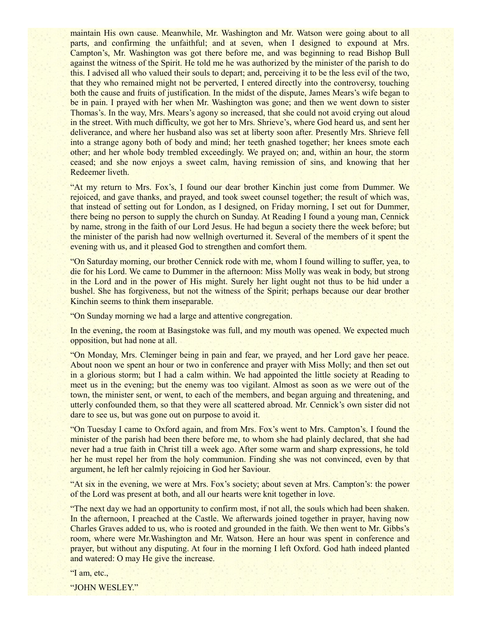maintain His own cause. Meanwhile, Mr. Washington and Mr. Watson were going about to all parts, and confirming the unfaithful; and at seven, when I designed to expound at Mrs. Campton's, Mr. Washington was got there before me, and was beginning to read Bishop Bull against the witness of the Spirit. He told me he was authorized by the minister of the parish to do this. I advised all who valued their souls to depart; and, perceiving it to be the less evil of the two, that they who remained might not be perverted, I entered directly into the controversy, touching both the cause and fruits of justification. In the midst of the dispute, James Mears's wife began to be in pain. I prayed with her when Mr. Washington was gone; and then we went down to sister Thomas's. In the way, Mrs. Mears's agony so increased, that she could not avoid crying out aloud in the street. With much difficulty, we got her to Mrs. Shrieve's, where God heard us, and sent her deliverance, and where her husband also was set at liberty soon after. Presently Mrs. Shrieve fell into a strange agony both of body and mind; her teeth gnashed together; her knees smote each other; and her whole body trembled exceedingly. We prayed on; and, within an hour, the storm ceased; and she now enjoys a sweet calm, having remission of sins, and knowing that her Redeemer liveth.

"At my return to Mrs. Fox's, I found our dear brother Kinchin just come from Dummer. We rejoiced, and gave thanks, and prayed, and took sweet counsel together; the result of which was, that instead of setting out for London, as I designed, on Friday morning, I set out for Dummer, there being no person to supply the church on Sunday. At Reading I found a young man, Cennick by name, strong in the faith of our Lord Jesus. He had begun a society there the week before; but the minister of the parish had now wellnigh overturned it. Several of the members of it spent the evening with us, and it pleased God to strengthen and comfort them.

"On Saturday morning, our brother Cennick rode with me, whom I found willing to suffer, yea, to die for his Lord. We came to Dummer in the afternoon: Miss Molly was weak in body, but strong in the Lord and in the power of His might. Surely her light ought not thus to be hid under a bushel. She has forgiveness, but not the witness of the Spirit; perhaps because our dear brother Kinchin seems to think them inseparable.

"On Sunday morning we had a large and attentive congregation.

In the evening, the room at Basingstoke was full, and my mouth was opened. We expected much opposition, but had none at all.

"On Monday, Mrs. Cleminger being in pain and fear, we prayed, and her Lord gave her peace. About noon we spent an hour or two in conference and prayer with Miss Molly; and then set out in a glorious storm; but I had a calm within. We had appointed the little society at Reading to meet us in the evening; but the enemy was too vigilant. Almost as soon as we were out of the town, the minister sent, or went, to each of the members, and began arguing and threatening, and utterly confounded them, so that they were all scattered abroad. Mr. Cennick's own sister did not dare to see us, but was gone out on purpose to avoid it.

"On Tuesday I came to Oxford again, and from Mrs. Fox's went to Mrs. Campton's. I found the minister of the parish had been there before me, to whom she had plainly declared, that she had never had a true faith in Christ till a week ago. After some warm and sharp expressions, he told her he must repel her from the holy communion. Finding she was not convinced, even by that argument, he left her calmly rejoicing in God her Saviour.

"At six in the evening, we were at Mrs. Fox's society; about seven at Mrs. Campton's: the power of the Lord was present at both, and all our hearts were knit together in love.

"The next day we had an opportunity to confirm most, if not all, the souls which had been shaken. In the afternoon, I preached at the Castle. We afterwards joined together in prayer, having now Charles Graves added to us, who is rooted and grounded in the faith. We then went to Mr. Gibbs's room, where were Mr.Washington and Mr. Watson. Here an hour was spent in conference and prayer, but without any disputing. At four in the morning I left Oxford. God hath indeed planted and watered: O may He give the increase.

"I am, etc.,

"JOHN WESLEY."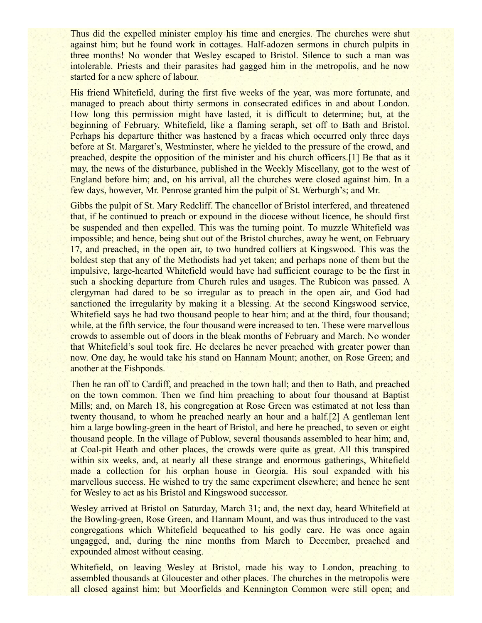Thus did the expelled minister employ his time and energies. The churches were shut against him; but he found work in cottages. Half-adozen sermons in church pulpits in three months! No wonder that Wesley escaped to Bristol. Silence to such a man was intolerable. Priests and their parasites had gagged him in the metropolis, and he now started for a new sphere of labour.

His friend Whitefield, during the first five weeks of the year, was more fortunate, and managed to preach about thirty sermons in consecrated edifices in and about London. How long this permission might have lasted, it is difficult to determine; but, at the beginning of February, Whitefield, like a flaming seraph, set off to Bath and Bristol. Perhaps his departure thither was hastened by a fracas which occurred only three days before at St. Margaret's, Westminster, where he yielded to the pressure of the crowd, and preached, despite the opposition of the minister and his church officers.[1] Be that as it may, the news of the disturbance, published in the Weekly Miscellany, got to the west of England before him; and, on his arrival, all the churches were closed against him. In a few days, however, Mr. Penrose granted him the pulpit of St. Werburgh's; and Mr.

Gibbs the pulpit of St. Mary Redcliff. The chancellor of Bristol interfered, and threatened that, if he continued to preach or expound in the diocese without licence, he should first be suspended and then expelled. This was the turning point. To muzzle Whitefield was impossible; and hence, being shut out of the Bristol churches, away he went, on February 17, and preached, in the open air, to two hundred colliers at Kingswood. This was the boldest step that any of the Methodists had yet taken; and perhaps none of them but the impulsive, large-hearted Whitefield would have had sufficient courage to be the first in such a shocking departure from Church rules and usages. The Rubicon was passed. A clergyman had dared to be so irregular as to preach in the open air, and God had sanctioned the irregularity by making it a blessing. At the second Kingswood service, Whitefield says he had two thousand people to hear him; and at the third, four thousand; while, at the fifth service, the four thousand were increased to ten. These were marvellous crowds to assemble out of doors in the bleak months of February and March. No wonder that Whitefield's soul took fire. He declares he never preached with greater power than now. One day, he would take his stand on Hannam Mount; another, on Rose Green; and another at the Fishponds.

Then he ran off to Cardiff, and preached in the town hall; and then to Bath, and preached on the town common. Then we find him preaching to about four thousand at Baptist Mills; and, on March 18, his congregation at Rose Green was estimated at not less than twenty thousand, to whom he preached nearly an hour and a half.[2] A gentleman lent him a large bowling-green in the heart of Bristol, and here he preached, to seven or eight thousand people. In the village of Publow, several thousands assembled to hear him; and, at Coal-pit Heath and other places, the crowds were quite as great. All this transpired within six weeks, and, at nearly all these strange and enormous gatherings, Whitefield made a collection for his orphan house in Georgia. His soul expanded with his marvellous success. He wished to try the same experiment elsewhere; and hence he sent for Wesley to act as his Bristol and Kingswood successor.

Wesley arrived at Bristol on Saturday, March 31; and, the next day, heard Whitefield at the Bowling-green, Rose Green, and Hannam Mount, and was thus introduced to the vast congregations which Whitefield bequeathed to his godly care. He was once again ungagged, and, during the nine months from March to December, preached and expounded almost without ceasing.

Whitefield, on leaving Wesley at Bristol, made his way to London, preaching to assembled thousands at Gloucester and other places. The churches in the metropolis were all closed against him; but Moorfields and Kennington Common were still open; and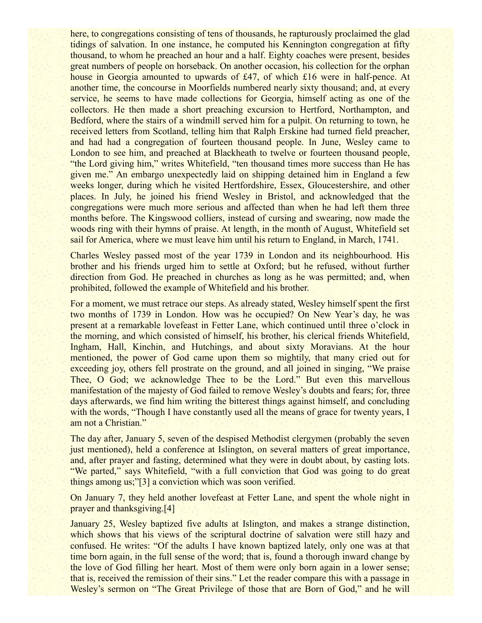here, to congregations consisting of tens of thousands, he rapturously proclaimed the glad tidings of salvation. In one instance, he computed his Kennington congregation at fifty thousand, to whom he preached an hour and a half. Eighty coaches were present, besides great numbers of people on horseback. On another occasion, his collection for the orphan house in Georgia amounted to upwards of £47, of which £16 were in half-pence. At another time, the concourse in Moorfields numbered nearly sixty thousand; and, at every service, he seems to have made collections for Georgia, himself acting as one of the collectors. He then made a short preaching excursion to Hertford, Northampton, and Bedford, where the stairs of a windmill served him for a pulpit. On returning to town, he received letters from Scotland, telling him that Ralph Erskine had turned field preacher, and had had a congregation of fourteen thousand people. In June, Wesley came to London to see him, and preached at Blackheath to twelve or fourteen thousand people, "the Lord giving him," writes Whitefield, "ten thousand times more success than He has given me." An embargo unexpectedly laid on shipping detained him in England a few weeks longer, during which he visited Hertfordshire, Essex, Gloucestershire, and other places. In July, he joined his friend Wesley in Bristol, and acknowledged that the congregations were much more serious and affected than when he had left them three months before. The Kingswood colliers, instead of cursing and swearing, now made the woods ring with their hymns of praise. At length, in the month of August, Whitefield set sail for America, where we must leave him until his return to England, in March, 1741.

Charles Wesley passed most of the year 1739 in London and its neighbourhood. His brother and his friends urged him to settle at Oxford; but he refused, without further direction from God. He preached in churches as long as he was permitted; and, when prohibited, followed the example of Whitefield and his brother.

For a moment, we must retrace our steps. As already stated, Wesley himself spent the first two months of 1739 in London. How was he occupied? On New Year's day, he was present at a remarkable lovefeast in Fetter Lane, which continued until three o'clock in the morning, and which consisted of himself, his brother, his clerical friends Whitefield, Ingham, Hall, Kinchin, and Hutchings, and about sixty Moravians. At the hour mentioned, the power of God came upon them so mightily, that many cried out for exceeding joy, others fell prostrate on the ground, and all joined in singing, "We praise Thee, O God; we acknowledge Thee to be the Lord." But even this marvellous manifestation of the majesty of God failed to remove Wesley's doubts and fears; for, three days afterwards, we find him writing the bitterest things against himself, and concluding with the words, "Though I have constantly used all the means of grace for twenty years, I am not a Christian."

The day after, January 5, seven of the despised Methodist clergymen (probably the seven just mentioned), held a conference at Islington, on several matters of great importance, and, after prayer and fasting, determined what they were in doubt about, by casting lots. "We parted," says Whitefield, "with a full conviction that God was going to do great things among us;"[3] a conviction which was soon verified.

On January 7, they held another lovefeast at Fetter Lane, and spent the whole night in prayer and thanksgiving.[4]

January 25, Wesley baptized five adults at Islington, and makes a strange distinction, which shows that his views of the scriptural doctrine of salvation were still hazy and confused. He writes: "Of the adults I have known baptized lately, only one was at that time born again, in the full sense of the word; that is, found a thorough inward change by the love of God filling her heart. Most of them were only born again in a lower sense; that is, received the remission of their sins." Let the reader compare this with a passage in Wesley's sermon on "The Great Privilege of those that are Born of God," and he will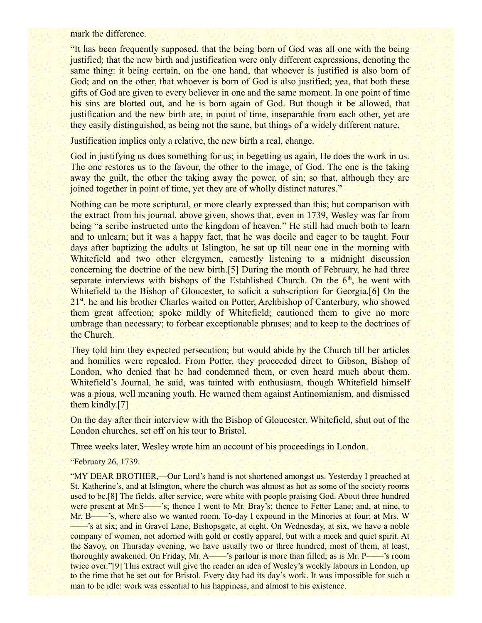mark the difference.

"It has been frequently supposed, that the being born of God was all one with the being justified; that the new birth and justification were only different expressions, denoting the same thing: it being certain, on the one hand, that whoever is justified is also born of God; and on the other, that whoever is born of God is also justified; yea, that both these gifts of God are given to every believer in one and the same moment. In one point of time his sins are blotted out, and he is born again of God. But though it be allowed, that justification and the new birth are, in point of time, inseparable from each other, yet are they easily distinguished, as being not the same, but things of a widely different nature.

Justification implies only a relative, the new birth a real, change.

God in justifying us does something for us; in begetting us again, He does the work in us. The one restores us to the favour, the other to the image, of God. The one is the taking away the guilt, the other the taking away the power, of sin; so that, although they are joined together in point of time, yet they are of wholly distinct natures."

Nothing can be more scriptural, or more clearly expressed than this; but comparison with the extract from his journal, above given, shows that, even in 1739, Wesley was far from being "a scribe instructed unto the kingdom of heaven." He still had much both to learn and to unlearn; but it was a happy fact, that he was docile and eager to be taught. Four days after baptizing the adults at Islington, he sat up till near one in the morning with Whitefield and two other clergymen, earnestly listening to a midnight discussion concerning the doctrine of the new birth.[5] During the month of February, he had three separate interviews with bishops of the Established Church. On the  $6<sup>th</sup>$ , he went with Whitefield to the Bishop of Gloucester, to solicit a subscription for Georgia.[6] On the  $21<sup>st</sup>$ , he and his brother Charles waited on Potter, Archbishop of Canterbury, who showed them great affection; spoke mildly of Whitefield; cautioned them to give no more umbrage than necessary; to forbear exceptionable phrases; and to keep to the doctrines of the Church.

They told him they expected persecution; but would abide by the Church till her articles and homilies were repealed. From Potter, they proceeded direct to Gibson, Bishop of London, who denied that he had condemned them, or even heard much about them. Whitefield's Journal, he said, was tainted with enthusiasm, though Whitefield himself was a pious, well meaning youth. He warned them against Antinomianism, and dismissed them kindly.[7]

On the day after their interview with the Bishop of Gloucester, Whitefield, shut out of the London churches, set off on his tour to Bristol.

Three weeks later, Wesley wrote him an account of his proceedings in London.

"February 26, 1739.

"MY DEAR BROTHER,—Our Lord's hand is not shortened amongst us. Yesterday I preached at St. Katherine's, and at Islington, where the church was almost as hot as some of the society rooms used to be.[8] The fields, after service, were white with people praising God. About three hundred were present at Mr.S——'s; thence I went to Mr. Bray's; thence to Fetter Lane; and, at nine, to Mr. B——'s, where also we wanted room. To-day I expound in the Minories at four; at Mrs. W ——'s at six; and in Gravel Lane, Bishopsgate, at eight. On Wednesday, at six, we have a noble company of women, not adorned with gold or costly apparel, but with a meek and quiet spirit. At the Savoy, on Thursday evening, we have usually two or three hundred, most of them, at least, thoroughly awakened. On Friday, Mr. A——'s parlour is more than filled; as is Mr. P——'s room twice over."[9] This extract will give the reader an idea of Wesley's weekly labours in London, up to the time that he set out for Bristol. Every day had its day's work. It was impossible for such a man to be idle: work was essential to his happiness, and almost to his existence.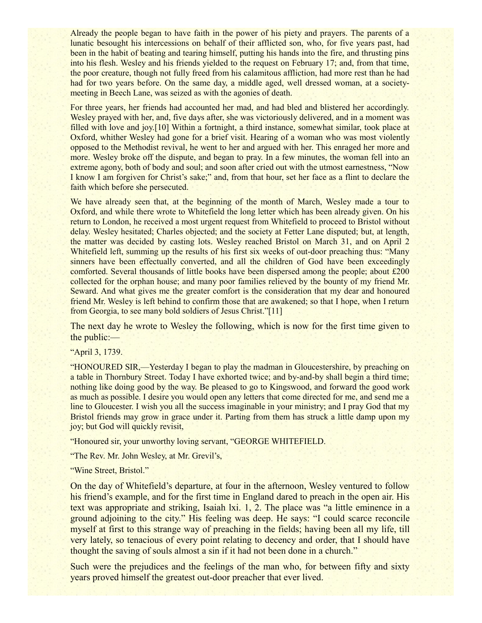Already the people began to have faith in the power of his piety and prayers. The parents of a lunatic besought his intercessions on behalf of their afflicted son, who, for five years past, had been in the habit of beating and tearing himself, putting his hands into the fire, and thrusting pins into his flesh. Wesley and his friends yielded to the request on February 17; and, from that time, the poor creature, though not fully freed from his calamitous affliction, had more rest than he had had for two years before. On the same day, a middle aged, well dressed woman, at a societymeeting in Beech Lane, was seized as with the agonies of death.

For three years, her friends had accounted her mad, and had bled and blistered her accordingly. Wesley prayed with her, and, five days after, she was victoriously delivered, and in a moment was filled with love and joy.[10] Within a fortnight, a third instance, somewhat similar, took place at Oxford, whither Wesley had gone for a brief visit. Hearing of a woman who was most violently opposed to the Methodist revival, he went to her and argued with her. This enraged her more and more. Wesley broke off the dispute, and began to pray. In a few minutes, the woman fell into an extreme agony, both of body and soul; and soon after cried out with the utmost earnestness, "Now" I know I am forgiven for Christ's sake;" and, from that hour, set her face as a flint to declare the faith which before she persecuted.

We have already seen that, at the beginning of the month of March, Wesley made a tour to Oxford, and while there wrote to Whitefield the long letter which has been already given. On his return to London, he received a most urgent request from Whitefield to proceed to Bristol without delay. Wesley hesitated; Charles objected; and the society at Fetter Lane disputed; but, at length, the matter was decided by casting lots. Wesley reached Bristol on March 31, and on April 2 Whitefield left, summing up the results of his first six weeks of out-door preaching thus: "Many sinners have been effectually converted, and all the children of God have been exceedingly comforted. Several thousands of little books have been dispersed among the people; about £200 collected for the orphan house; and many poor families relieved by the bounty of my friend Mr. Seward. And what gives me the greater comfort is the consideration that my dear and honoured friend Mr. Wesley is left behind to confirm those that are awakened; so that I hope, when I return from Georgia, to see many bold soldiers of Jesus Christ."[11]

The next day he wrote to Wesley the following, which is now for the first time given to the public:—

### "April 3, 1739.

"HONOURED SIR,—Yesterday I began to play the madman in Gloucestershire, by preaching on a table in Thornbury Street. Today I have exhorted twice; and by-and-by shall begin a third time; nothing like doing good by the way. Be pleased to go to Kingswood, and forward the good work as much as possible. I desire you would open any letters that come directed for me, and send me a line to Gloucester. I wish you all the success imaginable in your ministry; and I pray God that my Bristol friends may grow in grace under it. Parting from them has struck a little damp upon my joy; but God will quickly revisit,

"Honoured sir, your unworthy loving servant, "GEORGE WHITEFIELD.

"The Rev. Mr. John Wesley, at Mr. Grevil's,

"Wine Street, Bristol."

On the day of Whitefield's departure, at four in the afternoon, Wesley ventured to follow his friend's example, and for the first time in England dared to preach in the open air. His text was appropriate and striking, Isaiah lxi. 1, 2. The place was "a little eminence in a ground adjoining to the city." His feeling was deep. He says: "I could scarce reconcile myself at first to this strange way of preaching in the fields; having been all my life, till very lately, so tenacious of every point relating to decency and order, that I should have thought the saving of souls almost a sin if it had not been done in a church."

Such were the prejudices and the feelings of the man who, for between fifty and sixty years proved himself the greatest out-door preacher that ever lived.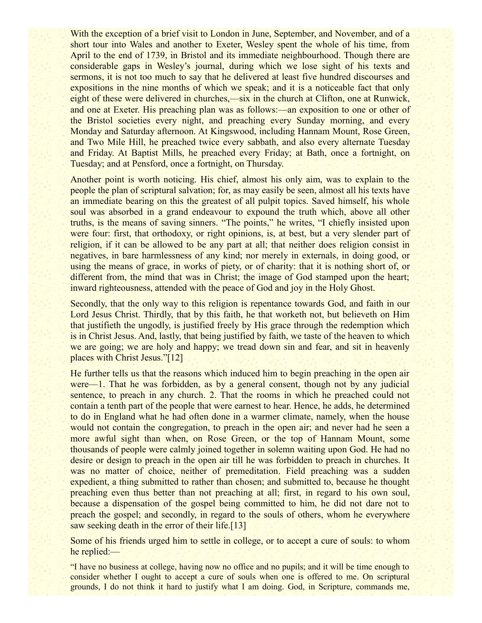With the exception of a brief visit to London in June, September, and November, and of a short tour into Wales and another to Exeter, Wesley spent the whole of his time, from April to the end of 1739, in Bristol and its immediate neighbourhood. Though there are considerable gaps in Wesley's journal, during which we lose sight of his texts and sermons, it is not too much to say that he delivered at least five hundred discourses and expositions in the nine months of which we speak; and it is a noticeable fact that only eight of these were delivered in churches,—six in the church at Clifton, one at Runwick, and one at Exeter. His preaching plan was as follows:—an exposition to one or other of the Bristol societies every night, and preaching every Sunday morning, and every Monday and Saturday afternoon. At Kingswood, including Hannam Mount, Rose Green, and Two Mile Hill, he preached twice every sabbath, and also every alternate Tuesday and Friday. At Baptist Mills, he preached every Friday; at Bath, once a fortnight, on Tuesday; and at Pensford, once a fortnight, on Thursday.

Another point is worth noticing. His chief, almost his only aim, was to explain to the people the plan of scriptural salvation; for, as may easily be seen, almost all his texts have an immediate bearing on this the greatest of all pulpit topics. Saved himself, his whole soul was absorbed in a grand endeavour to expound the truth which, above all other truths, is the means of saving sinners. "The points," he writes, "I chiefly insisted upon were four: first, that orthodoxy, or right opinions, is, at best, but a very slender part of religion, if it can be allowed to be any part at all; that neither does religion consist in negatives, in bare harmlessness of any kind; nor merely in externals, in doing good, or using the means of grace, in works of piety, or of charity: that it is nothing short of, or different from, the mind that was in Christ; the image of God stamped upon the heart; inward righteousness, attended with the peace of God and joy in the Holy Ghost.

Secondly, that the only way to this religion is repentance towards God, and faith in our Lord Jesus Christ. Thirdly, that by this faith, he that worketh not, but believeth on Him that justifieth the ungodly, is justified freely by His grace through the redemption which is in Christ Jesus. And, lastly, that being justified by faith, we taste of the heaven to which we are going; we are holy and happy; we tread down sin and fear, and sit in heavenly places with Christ Jesus."[12]

He further tells us that the reasons which induced him to begin preaching in the open air were—1. That he was forbidden, as by a general consent, though not by any judicial sentence, to preach in any church. 2. That the rooms in which he preached could not contain a tenth part of the people that were earnest to hear. Hence, he adds, he determined to do in England what he had often done in a warmer climate, namely, when the house would not contain the congregation, to preach in the open air; and never had he seen a more awful sight than when, on Rose Green, or the top of Hannam Mount, some thousands of people were calmly joined together in solemn waiting upon God. He had no desire or design to preach in the open air till he was forbidden to preach in churches. It was no matter of choice, neither of premeditation. Field preaching was a sudden expedient, a thing submitted to rather than chosen; and submitted to, because he thought preaching even thus better than not preaching at all; first, in regard to his own soul, because a dispensation of the gospel being committed to him, he did not dare not to preach the gospel; and secondly, in regard to the souls of others, whom he everywhere saw seeking death in the error of their life.<sup>[13]</sup>

Some of his friends urged him to settle in college, or to accept a cure of souls: to whom he replied:—

"I have no business at college, having now no office and no pupils; and it will be time enough to consider whether I ought to accept a cure of souls when one is offered to me. On scriptural grounds, I do not think it hard to justify what I am doing. God, in Scripture, commands me,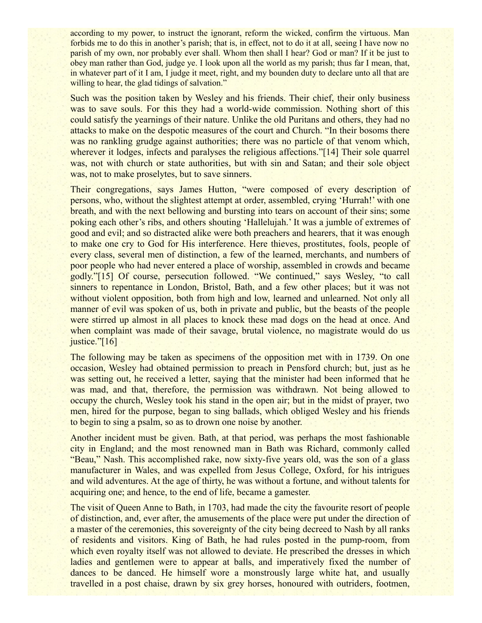according to my power, to instruct the ignorant, reform the wicked, confirm the virtuous. Man forbids me to do this in another's parish; that is, in effect, not to do it at all, seeing I have now no parish of my own, nor probably ever shall. Whom then shall I hear? God or man? If it be just to obey man rather than God, judge ye. I look upon all the world as my parish; thus far I mean, that, in whatever part of it I am, I judge it meet, right, and my bounden duty to declare unto all that are willing to hear, the glad tidings of salvation."

Such was the position taken by Wesley and his friends. Their chief, their only business was to save souls. For this they had a world-wide commission. Nothing short of this could satisfy the yearnings of their nature. Unlike the old Puritans and others, they had no attacks to make on the despotic measures of the court and Church. "In their bosoms there was no rankling grudge against authorities; there was no particle of that venom which, wherever it lodges, infects and paralyses the religious affections."[14] Their sole quarrel was, not with church or state authorities, but with sin and Satan; and their sole object was, not to make proselytes, but to save sinners.

Their congregations, says James Hutton, "were composed of every description of persons, who, without the slightest attempt at order, assembled, crying 'Hurrah!' with one breath, and with the next bellowing and bursting into tears on account of their sins; some poking each other's ribs, and others shouting 'Hallelujah.' It was a jumble of extremes of good and evil; and so distracted alike were both preachers and hearers, that it was enough to make one cry to God for His interference. Here thieves, prostitutes, fools, people of every class, several men of distinction, a few of the learned, merchants, and numbers of poor people who had never entered a place of worship, assembled in crowds and became godly."[15] Of course, persecution followed. "We continued," says Wesley, "to call sinners to repentance in London, Bristol, Bath, and a few other places; but it was not without violent opposition, both from high and low, learned and unlearned. Not only all manner of evil was spoken of us, both in private and public, but the beasts of the people were stirred up almost in all places to knock these mad dogs on the head at once. And when complaint was made of their savage, brutal violence, no magistrate would do us justice."[16]

The following may be taken as specimens of the opposition met with in 1739. On one occasion, Wesley had obtained permission to preach in Pensford church; but, just as he was setting out, he received a letter, saying that the minister had been informed that he was mad, and that, therefore, the permission was withdrawn. Not being allowed to occupy the church, Wesley took his stand in the open air; but in the midst of prayer, two men, hired for the purpose, began to sing ballads, which obliged Wesley and his friends to begin to sing a psalm, so as to drown one noise by another.

Another incident must be given. Bath, at that period, was perhaps the most fashionable city in England; and the most renowned man in Bath was Richard, commonly called "Beau," Nash. This accomplished rake, now sixty-five years old, was the son of a glass manufacturer in Wales, and was expelled from Jesus College, Oxford, for his intrigues and wild adventures. At the age of thirty, he was without a fortune, and without talents for acquiring one; and hence, to the end of life, became a gamester.

The visit of Queen Anne to Bath, in 1703, had made the city the favourite resort of people of distinction, and, ever after, the amusements of the place were put under the direction of a master of the ceremonies, this sovereignty of the city being decreed to Nash by all ranks of residents and visitors. King of Bath, he had rules posted in the pump-room, from which even royalty itself was not allowed to deviate. He prescribed the dresses in which ladies and gentlemen were to appear at balls, and imperatively fixed the number of dances to be danced. He himself wore a monstrously large white hat, and usually travelled in a post chaise, drawn by six grey horses, honoured with outriders, footmen,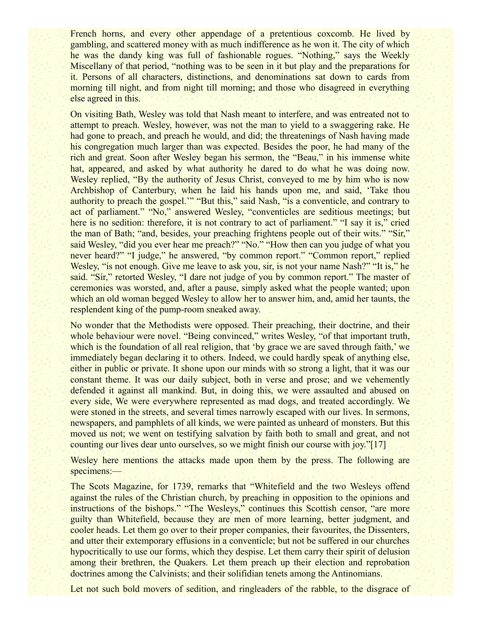French horns, and every other appendage of a pretentious coxcomb. He lived by gambling, and scattered money with as much indifference as he won it. The city of which he was the dandy king was full of fashionable rogues. "Nothing," says the Weekly Miscellany of that period, "nothing was to be seen in it but play and the preparations for it. Persons of all characters, distinctions, and denominations sat down to cards from morning till night, and from night till morning; and those who disagreed in everything else agreed in this.

On visiting Bath, Wesley was told that Nash meant to interfere, and was entreated not to attempt to preach. Wesley, however, was not the man to yield to a swaggering rake. He had gone to preach, and preach he would, and did; the threatenings of Nash having made his congregation much larger than was expected. Besides the poor, he had many of the rich and great. Soon after Wesley began his sermon, the "Beau," in his immense white hat, appeared, and asked by what authority he dared to do what he was doing now. Wesley replied, "By the authority of Jesus Christ, conveyed to me by him who is now Archbishop of Canterbury, when he laid his hands upon me, and said, 'Take thou authority to preach the gospel.'" "But this," said Nash, "is a conventicle, and contrary to act of parliament." "No," answered Wesley, "conventicles are seditious meetings; but here is no sedition: therefore, it is not contrary to act of parliament." "I say it is," cried the man of Bath; "and, besides, your preaching frightens people out of their wits." "Sir," said Wesley, "did you ever hear me preach?" "No." "How then can you judge of what you never heard?" "I judge," he answered, "by common report." "Common report," replied Wesley, "is not enough. Give me leave to ask you, sir, is not your name Nash?" "It is," he said. "Sir," retorted Wesley, "I dare not judge of you by common report." The master of ceremonies was worsted, and, after a pause, simply asked what the people wanted; upon which an old woman begged Wesley to allow her to answer him, and, amid her taunts, the resplendent king of the pump-room sneaked away.

No wonder that the Methodists were opposed. Their preaching, their doctrine, and their whole behaviour were novel. "Being convinced," writes Wesley, "of that important truth, which is the foundation of all real religion, that 'by grace we are saved through faith,' we immediately began declaring it to others. Indeed, we could hardly speak of anything else, either in public or private. It shone upon our minds with so strong a light, that it was our constant theme. It was our daily subject, both in verse and prose; and we vehemently defended it against all mankind. But, in doing this, we were assaulted and abused on every side, We were everywhere represented as mad dogs, and treated accordingly. We were stoned in the streets, and several times narrowly escaped with our lives. In sermons, newspapers, and pamphlets of all kinds, we were painted as unheard of monsters. But this moved us not; we went on testifying salvation by faith both to small and great, and not counting our lives dear unto ourselves, so we might finish our course with joy."[17]

Wesley here mentions the attacks made upon them by the press. The following are specimens:—

The Scots Magazine, for 1739, remarks that "Whitefield and the two Wesleys offend against the rules of the Christian church, by preaching in opposition to the opinions and instructions of the bishops." "The Wesleys," continues this Scottish censor, "are more guilty than Whitefield, because they are men of more learning, better judgment, and cooler heads. Let them go over to their proper companies, their favourites, the Dissenters, and utter their extemporary effusions in a conventicle; but not be suffered in our churches hypocritically to use our forms, which they despise. Let them carry their spirit of delusion among their brethren, the Quakers. Let them preach up their election and reprobation doctrines among the Calvinists; and their solifidian tenets among the Antinomians.

Let not such bold movers of sedition, and ringleaders of the rabble, to the disgrace of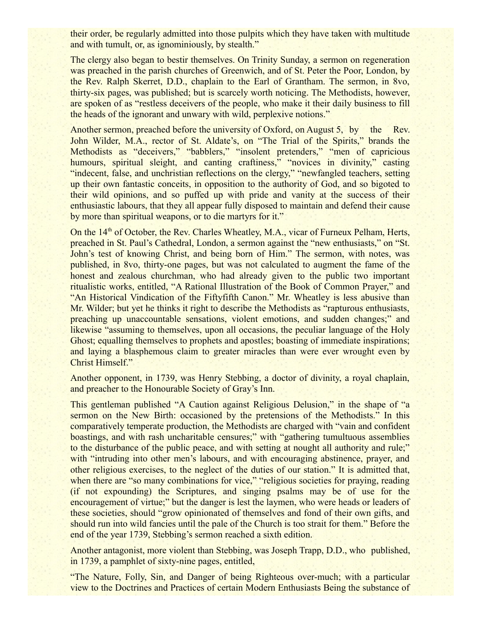their order, be regularly admitted into those pulpits which they have taken with multitude and with tumult, or, as ignominiously, by stealth."

The clergy also began to bestir themselves. On Trinity Sunday, a sermon on regeneration was preached in the parish churches of Greenwich, and of St. Peter the Poor, London, by the Rev. Ralph Skerret, D.D., chaplain to the Earl of Grantham. The sermon, in 8vo, thirty-six pages, was published; but is scarcely worth noticing. The Methodists, however, are spoken of as "restless deceivers of the people, who make it their daily business to fill the heads of the ignorant and unwary with wild, perplexive notions."

Another sermon, preached before the university of Oxford, on August 5, by the Rev. John Wilder, M.A., rector of St. Aldate's, on "The Trial of the Spirits," brands the Methodists as "deceivers," "babblers," "insolent pretenders," "men of capricious humours, spiritual sleight, and canting craftiness," "novices in divinity," casting "indecent, false, and unchristian reflections on the clergy," "newfangled teachers, setting up their own fantastic conceits, in opposition to the authority of God, and so bigoted to their wild opinions, and so puffed up with pride and vanity at the success of their enthusiastic labours, that they all appear fully disposed to maintain and defend their cause by more than spiritual weapons, or to die martyrs for it."

On the  $14<sup>th</sup>$  of October, the Rev. Charles Wheatley, M.A., vicar of Furneux Pelham, Herts, preached in St. Paul's Cathedral, London, a sermon against the "new enthusiasts," on "St. John's test of knowing Christ, and being born of Him." The sermon, with notes, was published, in 8vo, thirty-one pages, but was not calculated to augment the fame of the honest and zealous churchman, who had already given to the public two important ritualistic works, entitled, "A Rational Illustration of the Book of Common Prayer," and "An Historical Vindication of the Fiftyfifth Canon." Mr. Wheatley is less abusive than Mr. Wilder; but yet he thinks it right to describe the Methodists as "rapturous enthusiasts, preaching up unaccountable sensations, violent emotions, and sudden changes;" and likewise "assuming to themselves, upon all occasions, the peculiar language of the Holy Ghost; equalling themselves to prophets and apostles; boasting of immediate inspirations; and laying a blasphemous claim to greater miracles than were ever wrought even by Christ Himself."

Another opponent, in 1739, was Henry Stebbing, a doctor of divinity, a royal chaplain, and preacher to the Honourable Society of Gray's Inn.

This gentleman published "A Caution against Religious Delusion," in the shape of "a sermon on the New Birth: occasioned by the pretensions of the Methodists." In this comparatively temperate production, the Methodists are charged with "vain and confident boastings, and with rash uncharitable censures;" with "gathering tumultuous assemblies to the disturbance of the public peace, and with setting at nought all authority and rule;" with "intruding into other men's labours, and with encouraging abstinence, prayer, and other religious exercises, to the neglect of the duties of our station." It is admitted that, when there are "so many combinations for vice," "religious societies for praying, reading (if not expounding) the Scriptures, and singing psalms may be of use for the encouragement of virtue;" but the danger is lest the laymen, who were heads or leaders of these societies, should "grow opinionated of themselves and fond of their own gifts, and should run into wild fancies until the pale of the Church is too strait for them." Before the end of the year 1739, Stebbing's sermon reached a sixth edition.

Another antagonist, more violent than Stebbing, was Joseph Trapp, D.D., who published, in 1739, a pamphlet of sixty-nine pages, entitled,

"The Nature, Folly, Sin, and Danger of being Righteous over-much; with a particular view to the Doctrines and Practices of certain Modern Enthusiasts Being the substance of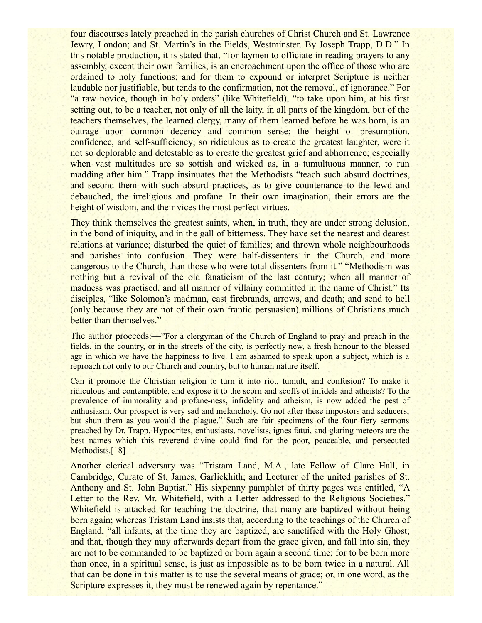four discourses lately preached in the parish churches of Christ Church and St. Lawrence Jewry, London; and St. Martin's in the Fields, Westminster. By Joseph Trapp, D.D." In this notable production, it is stated that, "for laymen to officiate in reading prayers to any assembly, except their own families, is an encroachment upon the office of those who are ordained to holy functions; and for them to expound or interpret Scripture is neither laudable nor justifiable, but tends to the confirmation, not the removal, of ignorance." For "a raw novice, though in holy orders" (like Whitefield), "to take upon him, at his first setting out, to be a teacher, not only of all the laity, in all parts of the kingdom, but of the teachers themselves, the learned clergy, many of them learned before he was born, is an outrage upon common decency and common sense; the height of presumption, confidence, and self-sufficiency; so ridiculous as to create the greatest laughter, were it not so deplorable and detestable as to create the greatest grief and abhorrence; especially when vast multitudes are so sottish and wicked as, in a tumultuous manner, to run madding after him." Trapp insinuates that the Methodists "teach such absurd doctrines, and second them with such absurd practices, as to give countenance to the lewd and debauched, the irreligious and profane. In their own imagination, their errors are the height of wisdom, and their vices the most perfect virtues.

They think themselves the greatest saints, when, in truth, they are under strong delusion, in the bond of iniquity, and in the gall of bitterness. They have set the nearest and dearest relations at variance; disturbed the quiet of families; and thrown whole neighbourhoods and parishes into confusion. They were half-dissenters in the Church, and more dangerous to the Church, than those who were total dissenters from it." "Methodism was nothing but a revival of the old fanaticism of the last century; when all manner of madness was practised, and all manner of villainy committed in the name of Christ." Its disciples, "like Solomon's madman, cast firebrands, arrows, and death; and send to hell (only because they are not of their own frantic persuasion) millions of Christians much better than themselves."

The author proceeds:—"For a clergyman of the Church of England to pray and preach in the fields, in the country, or in the streets of the city, is perfectly new, a fresh honour to the blessed age in which we have the happiness to live. I am ashamed to speak upon a subject, which is a reproach not only to our Church and country, but to human nature itself.

Can it promote the Christian religion to turn it into riot, tumult, and confusion? To make it ridiculous and contemptible, and expose it to the scorn and scoffs of infidels and atheists? To the prevalence of immorality and profane-ness, infidelity and atheism, is now added the pest of enthusiasm. Our prospect is very sad and melancholy. Go not after these impostors and seducers; but shun them as you would the plague." Such are fair specimens of the four fiery sermons preached by Dr. Trapp. Hypocrites, enthusiasts, novelists, ignes fatui, and glaring meteors are the best names which this reverend divine could find for the poor, peaceable, and persecuted Methodists.<sup>[18]</sup>

Another clerical adversary was "Tristam Land, M.A., late Fellow of Clare Hall, in Cambridge, Curate of St. James, Garlickhith; and Lecturer of the united parishes of St. Anthony and St. John Baptist." His sixpenny pamphlet of thirty pages was entitled, "A Letter to the Rev. Mr. Whitefield, with a Letter addressed to the Religious Societies." Whitefield is attacked for teaching the doctrine, that many are baptized without being born again; whereas Tristam Land insists that, according to the teachings of the Church of England, "all infants, at the time they are baptized, are sanctified with the Holy Ghost; and that, though they may afterwards depart from the grace given, and fall into sin, they are not to be commanded to be baptized or born again a second time; for to be born more than once, in a spiritual sense, is just as impossible as to be born twice in a natural. All that can be done in this matter is to use the several means of grace; or, in one word, as the Scripture expresses it, they must be renewed again by repentance."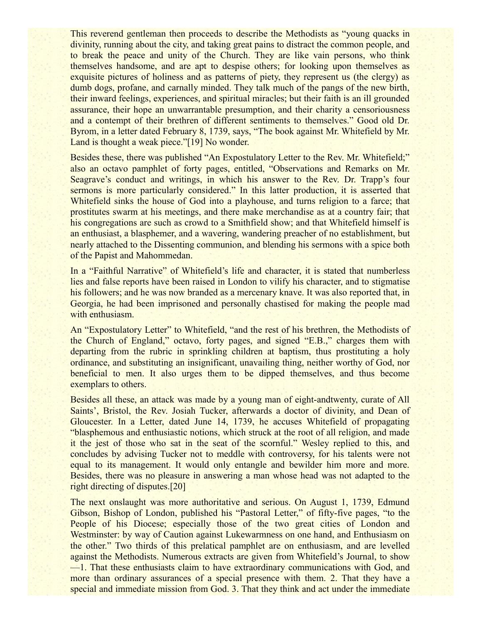This reverend gentleman then proceeds to describe the Methodists as "young quacks in divinity, running about the city, and taking great pains to distract the common people, and to break the peace and unity of the Church. They are like vain persons, who think themselves handsome, and are apt to despise others; for looking upon themselves as exquisite pictures of holiness and as patterns of piety, they represent us (the clergy) as dumb dogs, profane, and carnally minded. They talk much of the pangs of the new birth, their inward feelings, experiences, and spiritual miracles; but their faith is an ill grounded assurance, their hope an unwarrantable presumption, and their charity a censoriousness and a contempt of their brethren of different sentiments to themselves." Good old Dr. Byrom, in a letter dated February 8, 1739, says, "The book against Mr. Whitefield by Mr. Land is thought a weak piece."[19] No wonder.

Besides these, there was published "An Expostulatory Letter to the Rev. Mr. Whitefield;" also an octavo pamphlet of forty pages, entitled, "Observations and Remarks on Mr. Seagrave's conduct and writings, in which his answer to the Rev. Dr. Trapp's four sermons is more particularly considered." In this latter production, it is asserted that Whitefield sinks the house of God into a playhouse, and turns religion to a farce; that prostitutes swarm at his meetings, and there make merchandise as at a country fair; that his congregations are such as crowd to a Smithfield show; and that Whitefield himself is an enthusiast, a blasphemer, and a wavering, wandering preacher of no establishment, but nearly attached to the Dissenting communion, and blending his sermons with a spice both of the Papist and Mahommedan.

In a "Faithful Narrative" of Whitefield's life and character, it is stated that numberless lies and false reports have been raised in London to vilify his character, and to stigmatise his followers; and he was now branded as a mercenary knave. It was also reported that, in Georgia, he had been imprisoned and personally chastised for making the people mad with enthusiasm.

An "Expostulatory Letter" to Whitefield, "and the rest of his brethren, the Methodists of the Church of England," octavo, forty pages, and signed "E.B.," charges them with departing from the rubric in sprinkling children at baptism, thus prostituting a holy ordinance, and substituting an insignificant, unavailing thing, neither worthy of God, nor beneficial to men. It also urges them to be dipped themselves, and thus become exemplars to others.

Besides all these, an attack was made by a young man of eight-andtwenty, curate of All Saints', Bristol, the Rev. Josiah Tucker, afterwards a doctor of divinity, and Dean of Gloucester. In a Letter, dated June 14, 1739, he accuses Whitefield of propagating "blasphemous and enthusiastic notions, which struck at the root of all religion, and made it the jest of those who sat in the seat of the scornful." Wesley replied to this, and concludes by advising Tucker not to meddle with controversy, for his talents were not equal to its management. It would only entangle and bewilder him more and more. Besides, there was no pleasure in answering a man whose head was not adapted to the right directing of disputes.[20]

The next onslaught was more authoritative and serious. On August 1, 1739, Edmund Gibson, Bishop of London, published his "Pastoral Letter," of fifty-five pages, "to the People of his Diocese; especially those of the two great cities of London and Westminster: by way of Caution against Lukewarmness on one hand, and Enthusiasm on the other." Two thirds of this prelatical pamphlet are on enthusiasm, and are levelled against the Methodists. Numerous extracts are given from Whitefield's Journal, to show —1. That these enthusiasts claim to have extraordinary communications with God, and more than ordinary assurances of a special presence with them. 2. That they have a special and immediate mission from God. 3. That they think and act under the immediate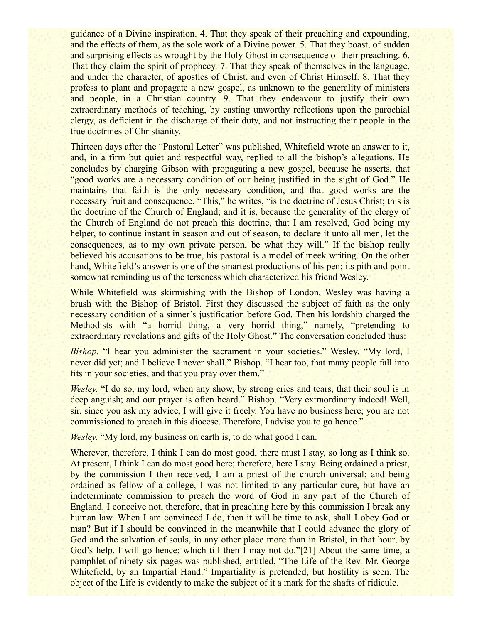guidance of a Divine inspiration. 4. That they speak of their preaching and expounding, and the effects of them, as the sole work of a Divine power. 5. That they boast, of sudden and surprising effects as wrought by the Holy Ghost in consequence of their preaching. 6. That they claim the spirit of prophecy. 7. That they speak of themselves in the language, and under the character, of apostles of Christ, and even of Christ Himself. 8. That they profess to plant and propagate a new gospel, as unknown to the generality of ministers and people, in a Christian country. 9. That they endeavour to justify their own extraordinary methods of teaching, by casting unworthy reflections upon the parochial clergy, as deficient in the discharge of their duty, and not instructing their people in the true doctrines of Christianity.

Thirteen days after the "Pastoral Letter" was published, Whitefield wrote an answer to it, and, in a firm but quiet and respectful way, replied to all the bishop's allegations. He concludes by charging Gibson with propagating a new gospel, because he asserts, that "good works are a necessary condition of our being justified in the sight of God." He maintains that faith is the only necessary condition, and that good works are the necessary fruit and consequence. "This," he writes, "is the doctrine of Jesus Christ; this is the doctrine of the Church of England; and it is, because the generality of the clergy of the Church of England do not preach this doctrine, that I am resolved, God being my helper, to continue instant in season and out of season, to declare it unto all men, let the consequences, as to my own private person, be what they will." If the bishop really believed his accusations to be true, his pastoral is a model of meek writing. On the other hand, Whitefield's answer is one of the smartest productions of his pen; its pith and point somewhat reminding us of the terseness which characterized his friend Wesley.

While Whitefield was skirmishing with the Bishop of London, Wesley was having a brush with the Bishop of Bristol. First they discussed the subject of faith as the only necessary condition of a sinner's justification before God. Then his lordship charged the Methodists with "a horrid thing, a very horrid thing," namely, "pretending to extraordinary revelations and gifts of the Holy Ghost." The conversation concluded thus:

*Bishop.* "I hear you administer the sacrament in your societies." Wesley. "My lord, I never did yet; and I believe I never shall." Bishop. "I hear too, that many people fall into fits in your societies, and that you pray over them."

*Wesley.* "I do so, my lord, when any show, by strong cries and tears, that their soul is in deep anguish; and our prayer is often heard." Bishop. "Very extraordinary indeed! Well, sir, since you ask my advice, I will give it freely. You have no business here; you are not commissioned to preach in this diocese. Therefore, I advise you to go hence."

*Wesley.* "My lord, my business on earth is, to do what good I can.

Wherever, therefore, I think I can do most good, there must I stay, so long as I think so. At present, I think I can do most good here; therefore, here I stay. Being ordained a priest, by the commission I then received, I am a priest of the church universal; and being ordained as fellow of a college, I was not limited to any particular cure, but have an indeterminate commission to preach the word of God in any part of the Church of England. I conceive not, therefore, that in preaching here by this commission I break any human law. When I am convinced I do, then it will be time to ask, shall I obey God or man? But if I should be convinced in the meanwhile that I could advance the glory of God and the salvation of souls, in any other place more than in Bristol, in that hour, by God's help, I will go hence; which till then I may not do."[21] About the same time, a pamphlet of ninety-six pages was published, entitled, "The Life of the Rev. Mr. George Whitefield, by an Impartial Hand." Impartiality is pretended, but hostility is seen. The object of the Life is evidently to make the subject of it a mark for the shafts of ridicule.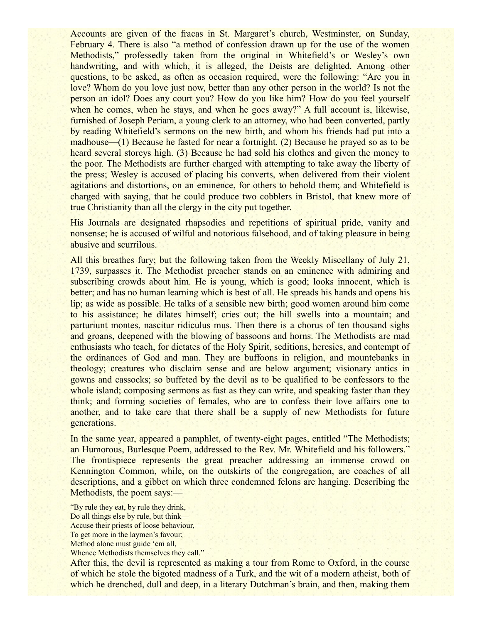Accounts are given of the fracas in St. Margaret's church, Westminster, on Sunday, February 4. There is also "a method of confession drawn up for the use of the women Methodists," professedly taken from the original in Whitefield's or Wesley's own handwriting, and with which, it is alleged, the Deists are delighted. Among other questions, to be asked, as often as occasion required, were the following: "Are you in love? Whom do you love just now, better than any other person in the world? Is not the person an idol? Does any court you? How do you like him? How do you feel yourself when he comes, when he stays, and when he goes away?" A full account is, likewise, furnished of Joseph Periam, a young clerk to an attorney, who had been converted, partly by reading Whitefield's sermons on the new birth, and whom his friends had put into a madhouse—(1) Because he fasted for near a fortnight. (2) Because he prayed so as to be heard several storeys high. (3) Because he had sold his clothes and given the money to the poor. The Methodists are further charged with attempting to take away the liberty of the press; Wesley is accused of placing his converts, when delivered from their violent agitations and distortions, on an eminence, for others to behold them; and Whitefield is charged with saying, that he could produce two cobblers in Bristol, that knew more of true Christianity than all the clergy in the city put together.

His Journals are designated rhapsodies and repetitions of spiritual pride, vanity and nonsense; he is accused of wilful and notorious falsehood, and of taking pleasure in being abusive and scurrilous.

All this breathes fury; but the following taken from the Weekly Miscellany of July 21, 1739, surpasses it. The Methodist preacher stands on an eminence with admiring and subscribing crowds about him. He is young, which is good; looks innocent, which is better; and has no human learning which is best of all. He spreads his hands and opens his lip; as wide as possible. He talks of a sensible new birth; good women around him come to his assistance; he dilates himself; cries out; the hill swells into a mountain; and parturiunt montes, nascitur ridiculus mus. Then there is a chorus of ten thousand sighs and groans, deepened with the blowing of bassoons and horns. The Methodists are mad enthusiasts who teach, for dictates of the Holy Spirit, seditions, heresies, and contempt of the ordinances of God and man. They are buffoons in religion, and mountebanks in theology; creatures who disclaim sense and are below argument; visionary antics in gowns and cassocks; so buffeted by the devil as to be qualified to be confessors to the whole island; composing sermons as fast as they can write, and speaking faster than they think; and forming societies of females, who are to confess their love affairs one to another, and to take care that there shall be a supply of new Methodists for future generations.

In the same year, appeared a pamphlet, of twenty-eight pages, entitled "The Methodists; an Humorous, Burlesque Poem, addressed to the Rev. Mr. Whitefield and his followers." The frontispiece represents the great preacher addressing an immense crowd on Kennington Common, while, on the outskirts of the congregation, are coaches of all descriptions, and a gibbet on which three condemned felons are hanging. Describing the Methodists, the poem says:—

"By rule they eat, by rule they drink, Do all things else by rule, but think— Accuse their priests of loose behaviour,— To get more in the laymen's favour; Method alone must guide 'em all, Whence Methodists themselves they call."

After this, the devil is represented as making a tour from Rome to Oxford, in the course of which he stole the bigoted madness of a Turk, and the wit of a modern atheist, both of which he drenched, dull and deep, in a literary Dutchman's brain, and then, making them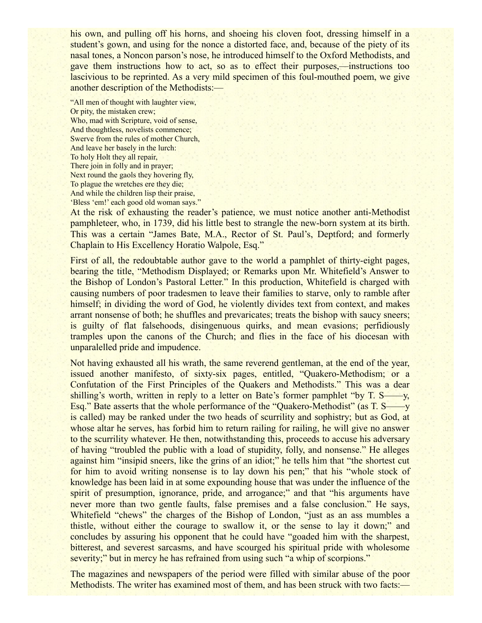his own, and pulling off his horns, and shoeing his cloven foot, dressing himself in a student's gown, and using for the nonce a distorted face, and, because of the piety of its nasal tones, a Noncon parson's nose, he introduced himself to the Oxford Methodists, and gave them instructions how to act, so as to effect their purposes,—instructions too lascivious to be reprinted. As a very mild specimen of this foul-mouthed poem, we give another description of the Methodists:—

"All men of thought with laughter view, Or pity, the mistaken crew; Who, mad with Scripture, void of sense, And thoughtless, novelists commence; Swerve from the rules of mother Church, And leave her basely in the lurch: To holy Holt they all repair, There join in folly and in prayer; Next round the gaols they hovering fly, To plague the wretches ere they die; And while the children lisp their praise, 'Bless 'em!' each good old woman says."

At the risk of exhausting the reader's patience, we must notice another anti-Methodist pamphleteer, who, in 1739, did his little best to strangle the new-born system at its birth. This was a certain "James Bate, M.A., Rector of St. Paul's, Deptford; and formerly Chaplain to His Excellency Horatio Walpole, Esq."

First of all, the redoubtable author gave to the world a pamphlet of thirty-eight pages, bearing the title, "Methodism Displayed; or Remarks upon Mr. Whitefield's Answer to the Bishop of London's Pastoral Letter." In this production, Whitefield is charged with causing numbers of poor tradesmen to leave their families to starve, only to ramble after himself; in dividing the word of God, he violently divides text from context, and makes arrant nonsense of both; he shuffles and prevaricates; treats the bishop with saucy sneers; is guilty of flat falsehoods, disingenuous quirks, and mean evasions; perfidiously tramples upon the canons of the Church; and flies in the face of his diocesan with unparalelled pride and impudence.

Not having exhausted all his wrath, the same reverend gentleman, at the end of the year, issued another manifesto, of sixty-six pages, entitled, "Quakero-Methodism; or a Confutation of the First Principles of the Quakers and Methodists." This was a dear shilling's worth, written in reply to a letter on Bate's former pamphlet "by T. S——y, Esq." Bate asserts that the whole performance of the "Quakero-Methodist" (as T. S——y is called) may be ranked under the two heads of scurrility and sophistry; but as God, at whose altar he serves, has forbid him to return railing for railing, he will give no answer to the scurrility whatever. He then, notwithstanding this, proceeds to accuse his adversary of having "troubled the public with a load of stupidity, folly, and nonsense." He alleges against him "insipid sneers, like the grins of an idiot;" he tells him that "the shortest cut for him to avoid writing nonsense is to lay down his pen;" that his "whole stock of knowledge has been laid in at some expounding house that was under the influence of the spirit of presumption, ignorance, pride, and arrogance;" and that "his arguments have never more than two gentle faults, false premises and a false conclusion." He says, Whitefield "chews" the charges of the Bishop of London, "just as an ass mumbles a thistle, without either the courage to swallow it, or the sense to lay it down;" and concludes by assuring his opponent that he could have "goaded him with the sharpest, bitterest, and severest sarcasms, and have scourged his spiritual pride with wholesome severity;" but in mercy he has refrained from using such "a whip of scorpions."

The magazines and newspapers of the period were filled with similar abuse of the poor Methodists. The writer has examined most of them, and has been struck with two facts:—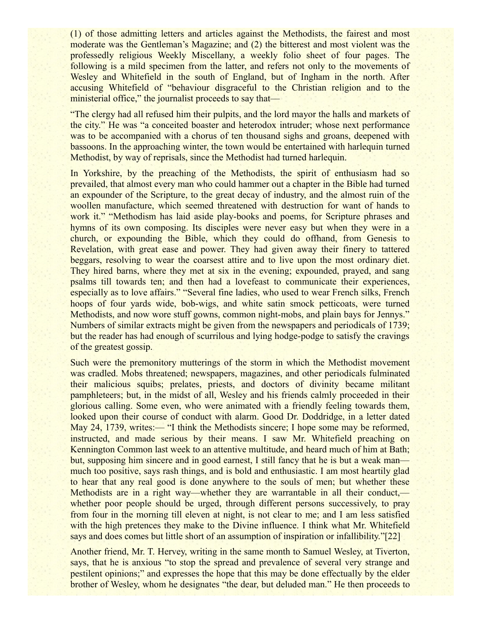(1) of those admitting letters and articles against the Methodists, the fairest and most moderate was the Gentleman's Magazine; and (2) the bitterest and most violent was the professedly religious Weekly Miscellany, a weekly folio sheet of four pages. The following is a mild specimen from the latter, and refers not only to the movements of Wesley and Whitefield in the south of England, but of Ingham in the north. After accusing Whitefield of "behaviour disgraceful to the Christian religion and to the ministerial office," the journalist proceeds to say that—

"The clergy had all refused him their pulpits, and the lord mayor the halls and markets of the city." He was "a conceited boaster and heterodox intruder; whose next performance was to be accompanied with a chorus of ten thousand sighs and groans, deepened with bassoons. In the approaching winter, the town would be entertained with harlequin turned Methodist, by way of reprisals, since the Methodist had turned harlequin.

In Yorkshire, by the preaching of the Methodists, the spirit of enthusiasm had so prevailed, that almost every man who could hammer out a chapter in the Bible had turned an expounder of the Scripture, to the great decay of industry, and the almost ruin of the woollen manufacture, which seemed threatened with destruction for want of hands to work it." "Methodism has laid aside play-books and poems, for Scripture phrases and hymns of its own composing. Its disciples were never easy but when they were in a church, or expounding the Bible, which they could do offhand, from Genesis to Revelation, with great ease and power. They had given away their finery to tattered beggars, resolving to wear the coarsest attire and to live upon the most ordinary diet. They hired barns, where they met at six in the evening; expounded, prayed, and sang psalms till towards ten; and then had a lovefeast to communicate their experiences, especially as to love affairs." "Several fine ladies, who used to wear French silks, French hoops of four yards wide, bob-wigs, and white satin smock petticoats, were turned Methodists, and now wore stuff gowns, common night-mobs, and plain bays for Jennys." Numbers of similar extracts might be given from the newspapers and periodicals of 1739; but the reader has had enough of scurrilous and lying hodge-podge to satisfy the cravings of the greatest gossip.

Such were the premonitory mutterings of the storm in which the Methodist movement was cradled. Mobs threatened; newspapers, magazines, and other periodicals fulminated their malicious squibs; prelates, priests, and doctors of divinity became militant pamphleteers; but, in the midst of all, Wesley and his friends calmly proceeded in their glorious calling. Some even, who were animated with a friendly feeling towards them, looked upon their course of conduct with alarm. Good Dr. Doddridge, in a letter dated May 24, 1739, writes:— "I think the Methodists sincere; I hope some may be reformed, instructed, and made serious by their means. I saw Mr. Whitefield preaching on Kennington Common last week to an attentive multitude, and heard much of him at Bath; but, supposing him sincere and in good earnest. I still fancy that he is but a weak man much too positive, says rash things, and is bold and enthusiastic. I am most heartily glad to hear that any real good is done anywhere to the souls of men; but whether these Methodists are in a right way—whether they are warrantable in all their conduct, whether poor people should be urged, through different persons successively, to pray from four in the morning till eleven at night, is not clear to me; and I am less satisfied with the high pretences they make to the Divine influence. I think what Mr. Whitefield says and does comes but little short of an assumption of inspiration or infallibility."[22]

Another friend, Mr. T. Hervey, writing in the same month to Samuel Wesley, at Tiverton, says, that he is anxious "to stop the spread and prevalence of several very strange and pestilent opinions;" and expresses the hope that this may be done effectually by the elder brother of Wesley, whom he designates "the dear, but deluded man." He then proceeds to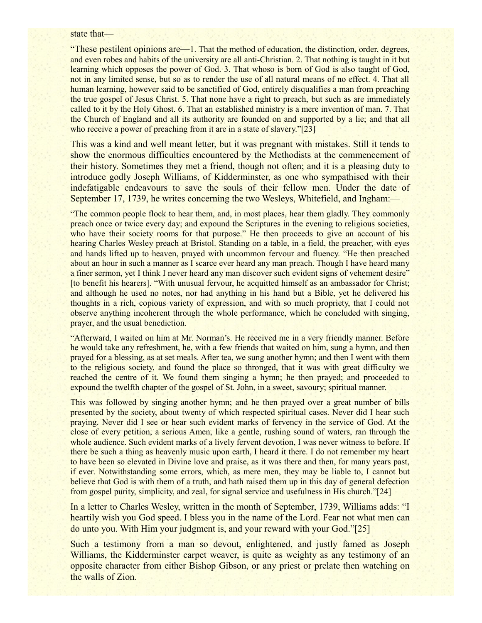#### state that—

"These pestilent opinions are—1. That the method of education, the distinction, order, degrees, and even robes and habits of the university are all anti-Christian. 2. That nothing is taught in it but learning which opposes the power of God. 3. That whoso is born of God is also taught of God, not in any limited sense, but so as to render the use of all natural means of no effect. 4. That all human learning, however said to be sanctified of God, entirely disqualifies a man from preaching the true gospel of Jesus Christ. 5. That none have a right to preach, but such as are immediately called to it by the Holy Ghost. 6. That an established ministry is a mere invention of man. 7. That the Church of England and all its authority are founded on and supported by a lie; and that all who receive a power of preaching from it are in a state of slavery."[23]

This was a kind and well meant letter, but it was pregnant with mistakes. Still it tends to show the enormous difficulties encountered by the Methodists at the commencement of their history. Sometimes they met a friend, though not often; and it is a pleasing duty to introduce godly Joseph Williams, of Kidderminster, as one who sympathised with their indefatigable endeavours to save the souls of their fellow men. Under the date of September 17, 1739, he writes concerning the two Wesleys, Whitefield, and Ingham:—

"The common people flock to hear them, and, in most places, hear them gladly. They commonly preach once or twice every day; and expound the Scriptures in the evening to religious societies, who have their society rooms for that purpose." He then proceeds to give an account of his hearing Charles Wesley preach at Bristol. Standing on a table, in a field, the preacher, with eyes and hands lifted up to heaven, prayed with uncommon fervour and fluency. "He then preached about an hour in such a manner as I scarce ever heard any man preach. Though I have heard many a finer sermon, yet I think I never heard any man discover such evident signs of vehement desire" [to benefit his hearers]. "With unusual fervour, he acquitted himself as an ambassador for Christ; and although he used no notes, nor had anything in his hand but a Bible, yet he delivered his thoughts in a rich, copious variety of expression, and with so much propriety, that I could not observe anything incoherent through the whole performance, which he concluded with singing, prayer, and the usual benediction.

"Afterward, I waited on him at Mr. Norman's. He received me in a very friendly manner. Before he would take any refreshment, he, with a few friends that waited on him, sung a hymn, and then prayed for a blessing, as at set meals. After tea, we sung another hymn; and then I went with them to the religious society, and found the place so thronged, that it was with great difficulty we reached the centre of it. We found them singing a hymn; he then prayed; and proceeded to expound the twelfth chapter of the gospel of St. John, in a sweet, savoury; spiritual manner.

This was followed by singing another hymn; and he then prayed over a great number of bills presented by the society, about twenty of which respected spiritual cases. Never did I hear such praying. Never did I see or hear such evident marks of fervency in the service of God. At the close of every petition, a serious Amen, like a gentle, rushing sound of waters, ran through the whole audience. Such evident marks of a lively fervent devotion, I was never witness to before. If there be such a thing as heavenly music upon earth, I heard it there. I do not remember my heart to have been so elevated in Divine love and praise, as it was there and then, for many years past, if ever. Notwithstanding some errors, which, as mere men, they may be liable to, I cannot but believe that God is with them of a truth, and hath raised them up in this day of general defection from gospel purity, simplicity, and zeal, for signal service and usefulness in His church."[24]

In a letter to Charles Wesley, written in the month of September, 1739, Williams adds: "I heartily wish you God speed. I bless you in the name of the Lord. Fear not what men can do unto you. With Him your judgment is, and your reward with your God."[25]

Such a testimony from a man so devout, enlightened, and justly famed as Joseph Williams, the Kidderminster carpet weaver, is quite as weighty as any testimony of an opposite character from either Bishop Gibson, or any priest or prelate then watching on the walls of Zion.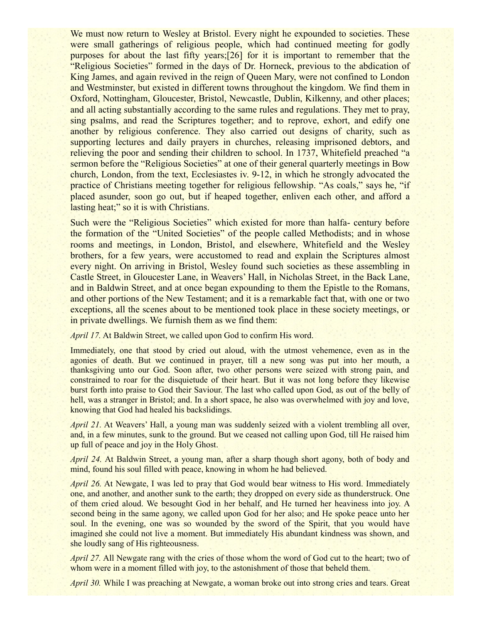We must now return to Wesley at Bristol. Every night he expounded to societies. These were small gatherings of religious people, which had continued meeting for godly purposes for about the last fifty years;[26] for it is important to remember that the "Religious Societies" formed in the days of Dr. Horneck, previous to the abdication of King James, and again revived in the reign of Queen Mary, were not confined to London and Westminster, but existed in different towns throughout the kingdom. We find them in Oxford, Nottingham, Gloucester, Bristol, Newcastle, Dublin, Kilkenny, and other places; and all acting substantially according to the same rules and regulations. They met to pray, sing psalms, and read the Scriptures together; and to reprove, exhort, and edify one another by religious conference. They also carried out designs of charity, such as supporting lectures and daily prayers in churches, releasing imprisoned debtors, and relieving the poor and sending their children to school. In 1737, Whitefield preached "a sermon before the "Religious Societies" at one of their general quarterly meetings in Bow church, London, from the text, Ecclesiastes iv. 9-12, in which he strongly advocated the practice of Christians meeting together for religious fellowship. "As coals," says he, "if placed asunder, soon go out, but if heaped together, enliven each other, and afford a lasting heat;" so it is with Christians.

Such were the "Religious Societies" which existed for more than halfa- century before the formation of the "United Societies" of the people called Methodists; and in whose rooms and meetings, in London, Bristol, and elsewhere, Whitefield and the Wesley brothers, for a few years, were accustomed to read and explain the Scriptures almost every night. On arriving in Bristol, Wesley found such societies as these assembling in Castle Street, in Gloucester Lane, in Weavers' Hall, in Nicholas Street, in the Back Lane, and in Baldwin Street, and at once began expounding to them the Epistle to the Romans, and other portions of the New Testament; and it is a remarkable fact that, with one or two exceptions, all the scenes about to be mentioned took place in these society meetings, or in private dwellings. We furnish them as we find them:

*April 17.* At Baldwin Street, we called upon God to confirm His word.

Immediately, one that stood by cried out aloud, with the utmost vehemence, even as in the agonies of death. But we continued in prayer, till a new song was put into her mouth, a thanksgiving unto our God. Soon after, two other persons were seized with strong pain, and constrained to roar for the disquietude of their heart. But it was not long before they likewise burst forth into praise to God their Saviour. The last who called upon God, as out of the belly of hell, was a stranger in Bristol; and. In a short space, he also was overwhelmed with joy and love, knowing that God had healed his backslidings.

*April 21.* At Weavers' Hall, a young man was suddenly seized with a violent trembling all over, and, in a few minutes, sunk to the ground. But we ceased not calling upon God, till He raised him up full of peace and joy in the Holy Ghost.

*April 24.* At Baldwin Street, a young man, after a sharp though short agony, both of body and mind, found his soul filled with peace, knowing in whom he had believed.

*April 26.* At Newgate, I was led to pray that God would bear witness to His word. Immediately one, and another, and another sunk to the earth; they dropped on every side as thunderstruck. One of them cried aloud. We besought God in her behalf, and He turned her heaviness into joy. A second being in the same agony, we called upon God for her also; and He spoke peace unto her soul. In the evening, one was so wounded by the sword of the Spirit, that you would have imagined she could not live a moment. But immediately His abundant kindness was shown, and she loudly sang of His righteousness.

*April 27.* All Newgate rang with the cries of those whom the word of God cut to the heart; two of whom were in a moment filled with joy, to the astonishment of those that beheld them.

*April 30.* While I was preaching at Newgate, a woman broke out into strong cries and tears. Great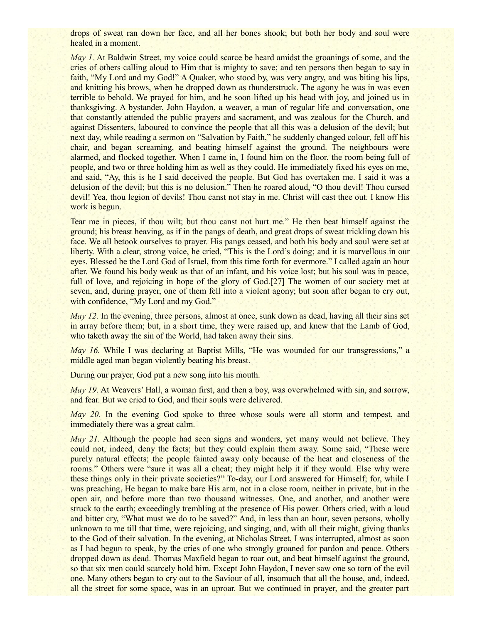drops of sweat ran down her face, and all her bones shook; but both her body and soul were healed in a moment.

*May 1.* At Baldwin Street, my voice could scarce be heard amidst the groanings of some, and the cries of others calling aloud to Him that is mighty to save; and ten persons then began to say in faith, "My Lord and my God!" A Quaker, who stood by, was very angry, and was biting his lips, and knitting his brows, when he dropped down as thunderstruck. The agony he was in was even terrible to behold. We prayed for him, and he soon lifted up his head with joy, and joined us in thanksgiving. A bystander, John Haydon, a weaver, a man of regular life and conversation, one that constantly attended the public prayers and sacrament, and was zealous for the Church, and against Dissenters, laboured to convince the people that all this was a delusion of the devil; but next day, while reading a sermon on "Salvation by Faith," he suddenly changed colour, fell off his chair, and began screaming, and beating himself against the ground. The neighbours were alarmed, and flocked together. When I came in, I found him on the floor, the room being full of people, and two or three holding him as well as they could. He immediately fixed his eyes on me, and said, "Ay, this is he I said deceived the people. But God has overtaken me. I said it was a delusion of the devil; but this is no delusion." Then he roared aloud, "O thou devil! Thou cursed devil! Yea, thou legion of devils! Thou canst not stay in me. Christ will cast thee out. I know His work is begun.

Tear me in pieces, if thou wilt; but thou canst not hurt me." He then beat himself against the ground; his breast heaving, as if in the pangs of death, and great drops of sweat trickling down his face. We all betook ourselves to prayer. His pangs ceased, and both his body and soul were set at liberty. With a clear, strong voice, he cried, "This is the Lord's doing; and it is marvellous in our eyes. Blessed be the Lord God of Israel, from this time forth for evermore." I called again an hour after. We found his body weak as that of an infant, and his voice lost; but his soul was in peace, full of love, and rejoicing in hope of the glory of God.[27] The women of our society met at seven, and, during prayer, one of them fell into a violent agony; but soon after began to cry out, with confidence, "My Lord and my God."

*May 12.* In the evening, three persons, almost at once, sunk down as dead, having all their sins set in array before them; but, in a short time, they were raised up, and knew that the Lamb of God, who taketh away the sin of the World, had taken away their sins.

*May 16.* While I was declaring at Baptist Mills, "He was wounded for our transgressions," a middle aged man began violently beating his breast.

During our prayer, God put a new song into his mouth.

*May 19.* At Weavers' Hall, a woman first, and then a boy, was overwhelmed with sin, and sorrow, and fear. But we cried to God, and their souls were delivered.

*May 20.* In the evening God spoke to three whose souls were all storm and tempest, and immediately there was a great calm.

*May 21.* Although the people had seen signs and wonders, yet many would not believe. They could not, indeed, deny the facts; but they could explain them away. Some said, "These were purely natural effects; the people fainted away only because of the heat and closeness of the rooms." Others were "sure it was all a cheat; they might help it if they would. Else why were these things only in their private societies?" To-day, our Lord answered for Himself; for, while I was preaching, He began to make bare His arm, not in a close room, neither in private, but in the open air, and before more than two thousand witnesses. One, and another, and another were struck to the earth; exceedingly trembling at the presence of His power. Others cried, with a loud and bitter cry, "What must we do to be saved?" And, in less than an hour, seven persons, wholly unknown to me till that time, were rejoicing, and singing, and, with all their might, giving thanks to the God of their salvation. In the evening, at Nicholas Street, I was interrupted, almost as soon as I had begun to speak, by the cries of one who strongly groaned for pardon and peace. Others dropped down as dead. Thomas Maxfield began to roar out, and beat himself against the ground, so that six men could scarcely hold him. Except John Haydon, I never saw one so torn of the evil one. Many others began to cry out to the Saviour of all, insomuch that all the house, and, indeed, all the street for some space, was in an uproar. But we continued in prayer, and the greater part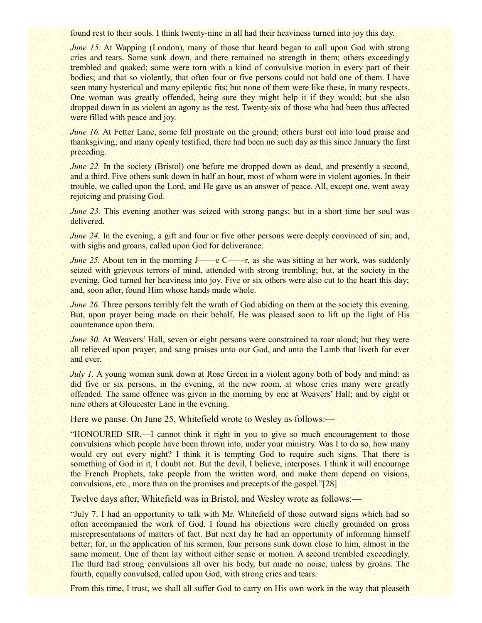found rest to their souls. I think twenty-nine in all had their heaviness turned into joy this day.

*June 15.* At Wapping (London), many of those that heard began to call upon God with strong cries and tears. Some sunk down, and there remained no strength in them; others exceedingly trembled and quaked; some were torn with a kind of convulsive motion in every part of their bodies; and that so violently, that often four or five persons could not hold one of them. I have seen many hysterical and many epileptic fits; but none of them were like these, in many respects. One woman was greatly offended, being sure they might help it if they would; but she also dropped down in as violent an agony as the rest. Twenty-six of those who had been thus affected were filled with peace and joy.

*June 16.* At Fetter Lane, some fell prostrate on the ground; others burst out into loud praise and thanksgiving; and many openly testified, there had been no such day as this since January the first preceding.

*June 22.* In the society (Bristol) one before me dropped down as dead, and presently a second, and a third. Five others sunk down in half an hour, most of whom were in violent agonies. In their trouble, we called upon the Lord, and He gave us an answer of peace. All, except one, went away rejoicing and praising God.

*June 23.* This evening another was seized with strong pangs; but in a short time her soul was delivered.

*June 24.* In the evening, a gift and four or five other persons were deeply convinced of sin; and, with sighs and groans, called upon God for deliverance.

*June 25.* About ten in the morning J——e C——r, as she was sitting at her work, was suddenly seized with grievous terrors of mind, attended with strong trembling; but, at the society in the evening, God turned her heaviness into joy. Five or six others were also cut to the heart this day; and, soon after, found Him whose hands made whole.

*June 26.* Three persons terribly felt the wrath of God abiding on them at the society this evening. But, upon prayer being made on their behalf, He was pleased soon to lift up the light of His countenance upon them.

*June 30.* At Weavers' Hall, seven or eight persons were constrained to roar aloud; but they were all relieved upon prayer, and sang praises unto our God, and unto the Lamb that liveth for ever and ever.

*July 1.* A young woman sunk down at Rose Green in a violent agony both of body and mind: as did five or six persons, in the evening, at the new room, at whose cries many were greatly offended. The same offence was given in the morning by one at Weavers' Hall; and by eight or nine others at Gloucester Lane in the evening.

Here we pause. On June 25, Whitefield wrote to Wesley as follows:—

"HONOURED SIR,—I cannot think it right in you to give so much encouragement to those convulsions which people have been thrown into, under your ministry. Was I to do so, how many would cry out every night? I think it is tempting God to require such signs. That there is something of God in it, I doubt not. But the devil, I believe, interposes. I think it will encourage the French Prophets, take people from the written word, and make them depend on visions, convulsions, etc., more than on the promises and precepts of the gospel."[28]

Twelve days after, Whitefield was in Bristol, and Wesley wrote as follows:—

"July 7. I had an opportunity to talk with Mr. Whitefield of those outward signs which had so often accompanied the work of God. I found his objections were chiefly grounded on gross misrepresentations of matters of fact. But next day he had an opportunity of informing himself better; for, in the application of his sermon, four persons sunk down close to him, almost in the same moment. One of them lay without either sense or motion. A second trembled exceedingly. The third had strong convulsions all over his body, but made no noise, unless by groans. The fourth, equally convulsed, called upon God, with strong cries and tears.

From this time, I trust, we shall all suffer God to carry on His own work in the way that pleaseth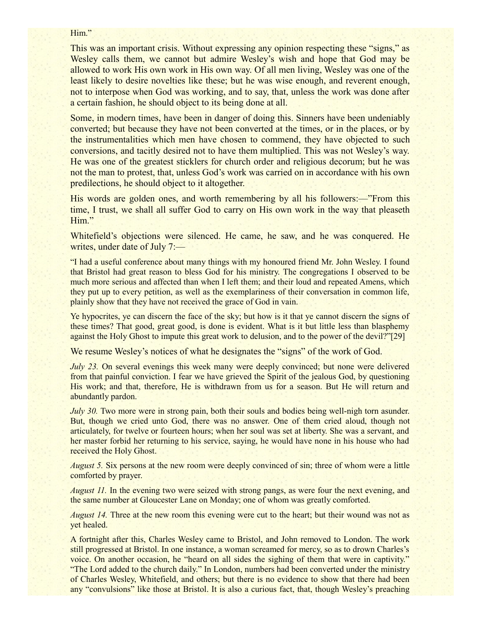#### Him."

This was an important crisis. Without expressing any opinion respecting these "signs," as Wesley calls them, we cannot but admire Wesley's wish and hope that God may be allowed to work His own work in His own way. Of all men living, Wesley was one of the least likely to desire novelties like these; but he was wise enough, and reverent enough, not to interpose when God was working, and to say, that, unless the work was done after a certain fashion, he should object to its being done at all.

Some, in modern times, have been in danger of doing this. Sinners have been undeniably converted; but because they have not been converted at the times, or in the places, or by the instrumentalities which men have chosen to commend, they have objected to such conversions, and tacitly desired not to have them multiplied. This was not Wesley's way. He was one of the greatest sticklers for church order and religious decorum; but he was not the man to protest, that, unless God's work was carried on in accordance with his own predilections, he should object to it altogether.

His words are golden ones, and worth remembering by all his followers:—"From this time, I trust, we shall all suffer God to carry on His own work in the way that pleaseth Him."

Whitefield's objections were silenced. He came, he saw, and he was conquered. He writes, under date of July 7:—

"I had a useful conference about many things with my honoured friend Mr. John Wesley. I found that Bristol had great reason to bless God for his ministry. The congregations I observed to be much more serious and affected than when I left them; and their loud and repeated Amens, which they put up to every petition, as well as the exemplariness of their conversation in common life, plainly show that they have not received the grace of God in vain.

Ye hypocrites, ye can discern the face of the sky; but how is it that ye cannot discern the signs of these times? That good, great good, is done is evident. What is it but little less than blasphemy against the Holy Ghost to impute this great work to delusion, and to the power of the devil?"[29]

We resume Wesley's notices of what he designates the "signs" of the work of God.

*July 23.* On several evenings this week many were deeply convinced; but none were delivered from that painful conviction. I fear we have grieved the Spirit of the jealous God, by questioning His work; and that, therefore, He is withdrawn from us for a season. But He will return and abundantly pardon.

*July 30.* Two more were in strong pain, both their souls and bodies being well-nigh torn asunder. But, though we cried unto God, there was no answer. One of them cried aloud, though not articulately, for twelve or fourteen hours; when her soul was set at liberty. She was a servant, and her master forbid her returning to his service, saying, he would have none in his house who had received the Holy Ghost.

*August 5.* Six persons at the new room were deeply convinced of sin; three of whom were a little comforted by prayer.

*August 11.* In the evening two were seized with strong pangs, as were four the next evening, and the same number at Gloucester Lane on Monday; one of whom was greatly comforted.

*August 14.* Three at the new room this evening were cut to the heart; but their wound was not as yet healed.

A fortnight after this, Charles Wesley came to Bristol, and John removed to London. The work still progressed at Bristol. In one instance, a woman screamed for mercy, so as to drown Charles's voice. On another occasion, he "heard on all sides the sighing of them that were in captivity." "The Lord added to the church daily." In London, numbers had been converted under the ministry of Charles Wesley, Whitefield, and others; but there is no evidence to show that there had been any "convulsions" like those at Bristol. It is also a curious fact, that, though Wesley's preaching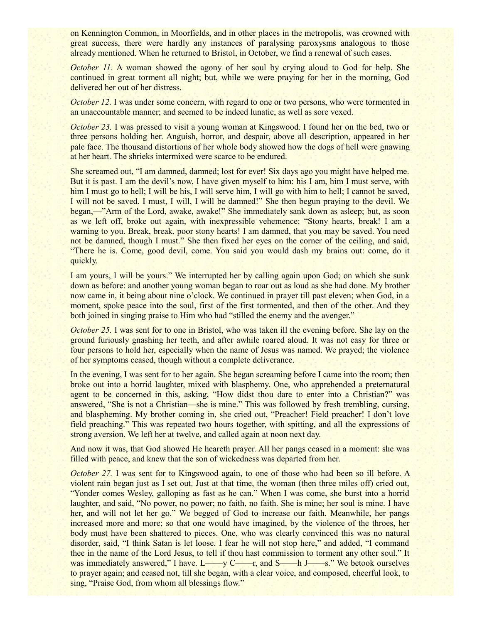on Kennington Common, in Moorfields, and in other places in the metropolis, was crowned with great success, there were hardly any instances of paralysing paroxysms analogous to those already mentioned. When he returned to Bristol, in October, we find a renewal of such cases.

*October 11.* A woman showed the agony of her soul by crying aloud to God for help. She continued in great torment all night; but, while we were praying for her in the morning, God delivered her out of her distress.

*October 12.* I was under some concern, with regard to one or two persons, who were tormented in an unaccountable manner; and seemed to be indeed lunatic, as well as sore vexed.

*October 23.* I was pressed to visit a young woman at Kingswood. I found her on the bed, two or three persons holding her. Anguish, horror, and despair, above all description, appeared in her pale face. The thousand distortions of her whole body showed how the dogs of hell were gnawing at her heart. The shrieks intermixed were scarce to be endured.

She screamed out, "I am damned, damned; lost for ever! Six days ago you might have helped me. But it is past. I am the devil's now, I have given myself to him: his I am, him I must serve, with him I must go to hell; I will be his, I will serve him, I will go with him to hell; I cannot be saved, I will not be saved. I must, I will, I will be damned!" She then begun praying to the devil. We began,—"Arm of the Lord, awake, awake!" She immediately sank down as asleep; but, as soon as we left off, broke out again, with inexpressible vehemence: "Stony hearts, break! I am a warning to you. Break, break, poor stony hearts! I am damned, that you may be saved. You need not be damned, though I must." She then fixed her eyes on the corner of the ceiling, and said, "There he is. Come, good devil, come. You said you would dash my brains out: come, do it quickly.

I am yours, I will be yours." We interrupted her by calling again upon God; on which she sunk down as before: and another young woman began to roar out as loud as she had done. My brother now came in, it being about nine o'clock. We continued in prayer till past eleven; when God, in a moment, spoke peace into the soul, first of the first tormented, and then of the other. And they both joined in singing praise to Him who had "stilled the enemy and the avenger."

*October 25.* I was sent for to one in Bristol, who was taken ill the evening before. She lay on the ground furiously gnashing her teeth, and after awhile roared aloud. It was not easy for three or four persons to hold her, especially when the name of Jesus was named. We prayed; the violence of her symptoms ceased, though without a complete deliverance.

In the evening, I was sent for to her again. She began screaming before I came into the room; then broke out into a horrid laughter, mixed with blasphemy. One, who apprehended a preternatural agent to be concerned in this, asking, "How didst thou dare to enter into a Christian?" was answered, "She is not a Christian—she is mine." This was followed by fresh trembling, cursing, and blaspheming. My brother coming in, she cried out, "Preacher! Field preacher! I don't love field preaching." This was repeated two hours together, with spitting, and all the expressions of strong aversion. We left her at twelve, and called again at noon next day.

And now it was, that God showed He heareth prayer. All her pangs ceased in a moment: she was filled with peace, and knew that the son of wickedness was departed from her.

*October 27.* I was sent for to Kingswood again, to one of those who had been so ill before. A violent rain began just as I set out. Just at that time, the woman (then three miles off) cried out, "Yonder comes Wesley, galloping as fast as he can." When I was come, she burst into a horrid laughter, and said, "No power, no power; no faith, no faith. She is mine; her soul is mine. I have her, and will not let her go." We begged of God to increase our faith. Meanwhile, her pangs increased more and more; so that one would have imagined, by the violence of the throes, her body must have been shattered to pieces. One, who was clearly convinced this was no natural disorder, said, "I think Satan is let loose. I fear he will not stop here," and added, "I command thee in the name of the Lord Jesus, to tell if thou hast commission to torment any other soul." It was immediately answered," I have. L——y C——r, and S——h J——s." We betook ourselves to prayer again; and ceased not, till she began, with a clear voice, and composed, cheerful look, to sing, "Praise God, from whom all blessings flow."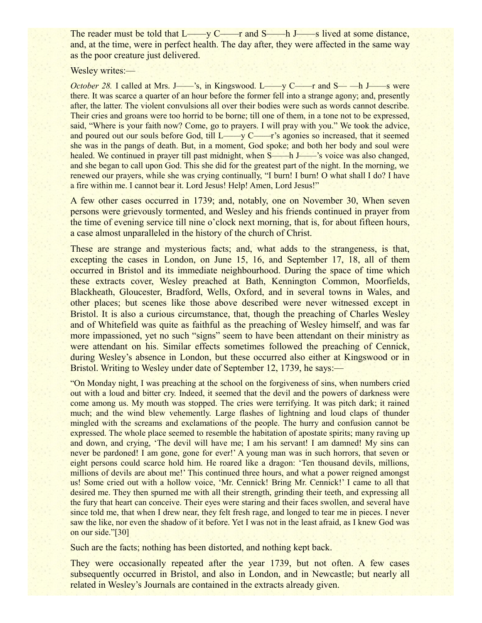The reader must be told that L——y C——r and S——h J——s lived at some distance, and, at the time, were in perfect health. The day after, they were affected in the same way as the poor creature just delivered.

Wesley writes:-

*October 28.* I called at Mrs. J——'s, in Kingswood. L——y C——r and S——h J——s were there. It was scarce a quarter of an hour before the former fell into a strange agony; and, presently after, the latter. The violent convulsions all over their bodies were such as words cannot describe. Their cries and groans were too horrid to be borne; till one of them, in a tone not to be expressed, said, "Where is your faith now? Come, go to prayers. I will pray with you." We took the advice, and poured out our souls before God, till L——y C——r's agonies so increased, that it seemed she was in the pangs of death. But, in a moment, God spoke; and both her body and soul were healed. We continued in prayer till past midnight, when S——h J——'s voice was also changed, and she began to call upon God. This she did for the greatest part of the night. In the morning, we renewed our prayers, while she was crying continually, "I burn! I burn! O what shall I do? I have a fire within me. I cannot bear it. Lord Jesus! Help! Amen, Lord Jesus!"

A few other cases occurred in 1739; and, notably, one on November 30, When seven persons were grievously tormented, and Wesley and his friends continued in prayer from the time of evening service till nine o'clock next morning, that is, for about fifteen hours, a case almost unparalleled in the history of the church of Christ.

These are strange and mysterious facts; and, what adds to the strangeness, is that, excepting the cases in London, on June 15, 16, and September 17, 18, all of them occurred in Bristol and its immediate neighbourhood. During the space of time which these extracts cover, Wesley preached at Bath, Kennington Common, Moorfields, Blackheath, Gloucester, Bradford, Wells, Oxford, and in several towns in Wales, and other places; but scenes like those above described were never witnessed except in Bristol. It is also a curious circumstance, that, though the preaching of Charles Wesley and of Whitefield was quite as faithful as the preaching of Wesley himself, and was far more impassioned, yet no such "signs" seem to have been attendant on their ministry as were attendant on his. Similar effects sometimes followed the preaching of Cennick, during Wesley's absence in London, but these occurred also either at Kingswood or in Bristol. Writing to Wesley under date of September 12, 1739, he says:—

"On Monday night, I was preaching at the school on the forgiveness of sins, when numbers cried out with a loud and bitter cry. Indeed, it seemed that the devil and the powers of darkness were come among us. My mouth was stopped. The cries were terrifying. It was pitch dark; it rained much; and the wind blew vehemently. Large flashes of lightning and loud claps of thunder mingled with the screams and exclamations of the people. The hurry and confusion cannot be expressed. The whole place seemed to resemble the habitation of apostate spirits; many raving up and down, and crying, 'The devil will have me; I am his servant! I am damned! My sins can never be pardoned! I am gone, gone for ever!' A young man was in such horrors, that seven or eight persons could scarce hold him. He roared like a dragon: 'Ten thousand devils, millions, millions of devils are about me!' This continued three hours, and what a power reigned amongst us! Some cried out with a hollow voice, 'Mr. Cennick! Bring Mr. Cennick!' I came to all that desired me. They then spurned me with all their strength, grinding their teeth, and expressing all the fury that heart can conceive. Their eyes were staring and their faces swollen, and several have since told me, that when I drew near, they felt fresh rage, and longed to tear me in pieces. I never saw the like, nor even the shadow of it before. Yet I was not in the least afraid, as I knew God was on our side."[30]

Such are the facts; nothing has been distorted, and nothing kept back.

They were occasionally repeated after the year 1739, but not often. A few cases subsequently occurred in Bristol, and also in London, and in Newcastle; but nearly all related in Wesley's Journals are contained in the extracts already given.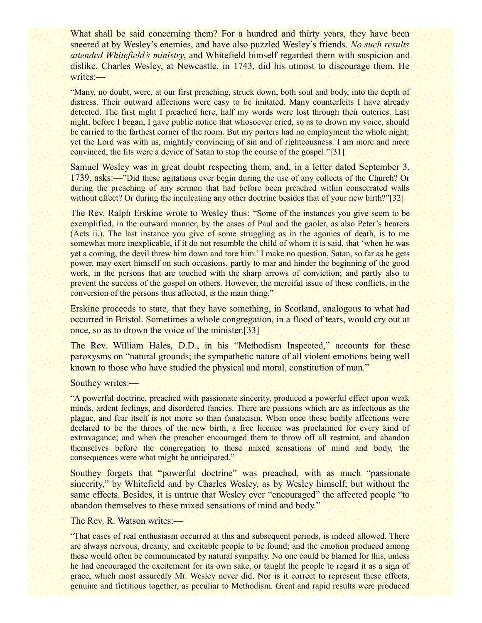What shall be said concerning them? For a hundred and thirty years, they have been sneered at by Wesley's enemies, and have also puzzled Wesley's friends. *No such results attended Whitefield's ministry*, and Whitefield himself regarded them with suspicion and dislike. Charles Wesley, at Newcastle, in 1743, did his utmost to discourage them. He writes:—

"Many, no doubt, were, at our first preaching, struck down, both soul and body, into the depth of distress. Their outward affections were easy to be imitated. Many counterfeits I have already detected. The first night I preached here, half my words were lost through their outcries. Last night, before I began, I gave public notice that whosoever cried, so as to drown my voice, should be carried to the farthest corner of the room. But my porters had no employment the whole night; yet the Lord was with us, mightily convincing of sin and of righteousness. I am more and more convinced, the fits were a device of Satan to stop the course of the gospel."[31]

Samuel Wesley was in great doubt respecting them, and, in a letter dated September 3, 1739, asks:—"Did these agitations ever begin during the use of any collects of the Church? Or during the preaching of any sermon that had before been preached within consecrated walls without effect? Or during the inculcating any other doctrine besides that of your new birth?"[32]

The Rev. Ralph Erskine wrote to Wesley thus: "Some of the instances you give seem to be exemplified, in the outward manner, by the cases of Paul and the gaoler, as also Peter's hearers (Acts ii.). The last instance you give of some struggling as in the agonies of death, is to me somewhat more inexplicable, if it do not resemble the child of whom it is said, that 'when he was yet a coming, the devil threw him down and tore him.' I make no question, Satan, so far as he gets power, may exert himself on such occasions, partly to mar and hinder the beginning of the good work, in the persons that are touched with the sharp arrows of conviction; and partly also to prevent the success of the gospel on others. However, the merciful issue of these conflicts, in the conversion of the persons thus affected, is the main thing."

Erskine proceeds to state, that they have something, in Scotland, analogous to what had occurred in Bristol. Sometimes a whole congregation, in a flood of tears, would cry out at once, so as to drown the voice of the minister.[33]

The Rev. William Hales, D.D., in his "Methodism Inspected," accounts for these paroxysms on "natural grounds; the sympathetic nature of all violent emotions being well known to those who have studied the physical and moral, constitution of man."

Southey writes:—

"A powerful doctrine, preached with passionate sincerity, produced a powerful effect upon weak minds, ardent feelings, and disordered fancies. There are passions which are as infectious as the plague, and fear itself is not more so than fanaticism. When once these bodily affections were declared to be the throes of the new birth, a free licence was proclaimed for every kind of extravagance; and when the preacher encouraged them to throw off all restraint, and abandon themselves before the congregation to these mixed sensations of mind and body, the consequences were what might be anticipated."

Southey forgets that "powerful doctrine" was preached, with as much "passionate sincerity," by Whitefield and by Charles Wesley, as by Wesley himself; but without the same effects. Besides, it is untrue that Wesley ever "encouraged" the affected people "to" abandon themselves to these mixed sensations of mind and body."

The Rev. R. Watson writes:—

"That cases of real enthusiasm occurred at this and subsequent periods, is indeed allowed. There are always nervous, dreamy, and excitable people to be found; and the emotion produced among these would often be communicated by natural sympathy. No one could be blamed for this, unless he had encouraged the excitement for its own sake, or taught the people to regard it as a sign of grace, which most assuredly Mr. Wesley never did. Nor is it correct to represent these effects, genuine and fictitious together, as peculiar to Methodism. Great and rapid results were produced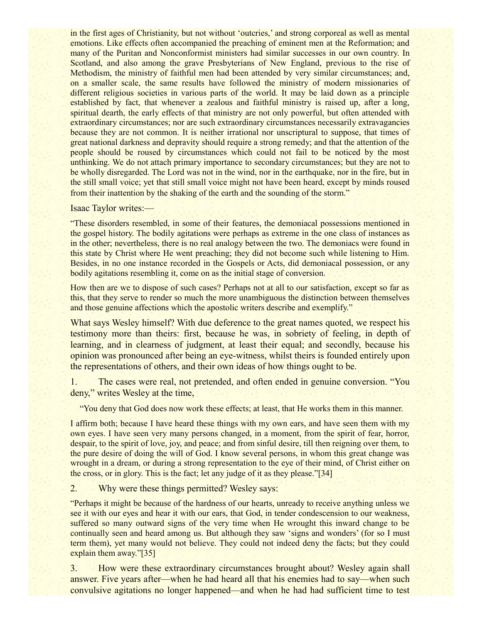in the first ages of Christianity, but not without 'outcries,' and strong corporeal as well as mental emotions. Like effects often accompanied the preaching of eminent men at the Reformation; and many of the Puritan and Nonconformist ministers had similar successes in our own country. In Scotland, and also among the grave Presbyterians of New England, previous to the rise of Methodism, the ministry of faithful men had been attended by very similar circumstances; and, on a smaller scale, the same results have followed the ministry of modern missionaries of different religious societies in various parts of the world. It may be laid down as a principle established by fact, that whenever a zealous and faithful ministry is raised up, after a long, spiritual dearth, the early effects of that ministry are not only powerful, but often attended with extraordinary circumstances; nor are such extraordinary circumstances necessarily extravagancies because they are not common. It is neither irrational nor unscriptural to suppose, that times of great national darkness and depravity should require a strong remedy; and that the attention of the people should be roused by circumstances which could not fail to be noticed by the most unthinking. We do not attach primary importance to secondary circumstances; but they are not to be wholly disregarded. The Lord was not in the wind, nor in the earthquake, nor in the fire, but in the still small voice; yet that still small voice might not have been heard, except by minds roused from their inattention by the shaking of the earth and the sounding of the storm."

Isaac Taylor writes:—

"These disorders resembled, in some of their features, the demoniacal possessions mentioned in the gospel history. The bodily agitations were perhaps as extreme in the one class of instances as in the other; nevertheless, there is no real analogy between the two. The demoniacs were found in this state by Christ where He went preaching; they did not become such while listening to Him. Besides, in no one instance recorded in the Gospels or Acts, did demoniacal possession, or any bodily agitations resembling it, come on as the initial stage of conversion.

How then are we to dispose of such cases? Perhaps not at all to our satisfaction, except so far as this, that they serve to render so much the more unambiguous the distinction between themselves and those genuine affections which the apostolic writers describe and exemplify."

What says Wesley himself? With due deference to the great names quoted, we respect his testimony more than theirs: first, because he was, in sobriety of feeling, in depth of learning, and in clearness of judgment, at least their equal; and secondly, because his opinion was pronounced after being an eye-witness, whilst theirs is founded entirely upon the representations of others, and their own ideas of how things ought to be.

1. The cases were real, not pretended, and often ended in genuine conversion. "You deny," writes Wesley at the time,

"You deny that God does now work these effects; at least, that He works them in this manner.

I affirm both; because I have heard these things with my own ears, and have seen them with my own eyes. I have seen very many persons changed, in a moment, from the spirit of fear, horror, despair, to the spirit of love, joy, and peace; and from sinful desire, till then reigning over them, to the pure desire of doing the will of God. I know several persons, in whom this great change was wrought in a dream, or during a strong representation to the eye of their mind, of Christ either on the cross, or in glory. This is the fact; let any judge of it as they please."[34]

2. Why were these things permitted? Wesley says:

"Perhaps it might be because of the hardness of our hearts, unready to receive anything unless we see it with our eyes and hear it with our ears, that God, in tender condescension to our weakness, suffered so many outward signs of the very time when He wrought this inward change to be continually seen and heard among us. But although they saw 'signs and wonders' (for so I must term them), yet many would not believe. They could not indeed deny the facts; but they could explain them away."[35]

3. How were these extraordinary circumstances brought about? Wesley again shall answer. Five years after—when he had heard all that his enemies had to say—when such convulsive agitations no longer happened—and when he had had sufficient time to test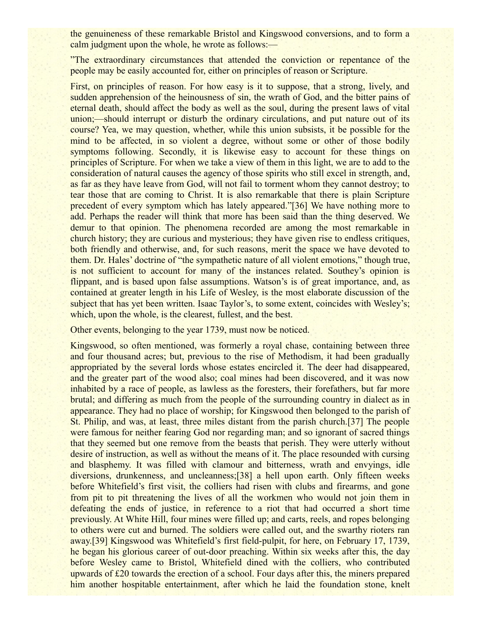the genuineness of these remarkable Bristol and Kingswood conversions, and to form a calm judgment upon the whole, he wrote as follows:—

"The extraordinary circumstances that attended the conviction or repentance of the people may be easily accounted for, either on principles of reason or Scripture.

First, on principles of reason. For how easy is it to suppose, that a strong, lively, and sudden apprehension of the heinousness of sin, the wrath of God, and the bitter pains of eternal death, should affect the body as well as the soul, during the present laws of vital union;—should interrupt or disturb the ordinary circulations, and put nature out of its course? Yea, we may question, whether, while this union subsists, it be possible for the mind to be affected, in so violent a degree, without some or other of those bodily symptoms following. Secondly, it is likewise easy to account for these things on principles of Scripture. For when we take a view of them in this light, we are to add to the consideration of natural causes the agency of those spirits who still excel in strength, and, as far as they have leave from God, will not fail to torment whom they cannot destroy; to tear those that are coming to Christ. It is also remarkable that there is plain Scripture precedent of every symptom which has lately appeared."[36] We have nothing more to add. Perhaps the reader will think that more has been said than the thing deserved. We demur to that opinion. The phenomena recorded are among the most remarkable in church history; they are curious and mysterious; they have given rise to endless critiques, both friendly and otherwise, and, for such reasons, merit the space we have devoted to them. Dr. Hales' doctrine of "the sympathetic nature of all violent emotions," though true, is not sufficient to account for many of the instances related. Southey's opinion is flippant, and is based upon false assumptions. Watson's is of great importance, and, as contained at greater length in his Life of Wesley, is the most elaborate discussion of the subject that has yet been written. Isaac Taylor's, to some extent, coincides with Wesley's; which, upon the whole, is the clearest, fullest, and the best.

Other events, belonging to the year 1739, must now be noticed.

Kingswood, so often mentioned, was formerly a royal chase, containing between three and four thousand acres; but, previous to the rise of Methodism, it had been gradually appropriated by the several lords whose estates encircled it. The deer had disappeared, and the greater part of the wood also; coal mines had been discovered, and it was now inhabited by a race of people, as lawless as the foresters, their forefathers, but far more brutal; and differing as much from the people of the surrounding country in dialect as in appearance. They had no place of worship; for Kingswood then belonged to the parish of St. Philip, and was, at least, three miles distant from the parish church.[37] The people were famous for neither fearing God nor regarding man; and so ignorant of sacred things that they seemed but one remove from the beasts that perish. They were utterly without desire of instruction, as well as without the means of it. The place resounded with cursing and blasphemy. It was filled with clamour and bitterness, wrath and envyings, idle diversions, drunkenness, and uncleanness;[38] a hell upon earth. Only fifteen weeks before Whitefield's first visit, the colliers had risen with clubs and firearms, and gone from pit to pit threatening the lives of all the workmen who would not join them in defeating the ends of justice, in reference to a riot that had occurred a short time previously. At White Hill, four mines were filled up; and carts, reels, and ropes belonging to others were cut and burned. The soldiers were called out, and the swarthy rioters ran away.[39] Kingswood was Whitefield's first field-pulpit, for here, on February 17, 1739, he began his glorious career of out-door preaching. Within six weeks after this, the day before Wesley came to Bristol, Whitefield dined with the colliers, who contributed upwards of £20 towards the erection of a school. Four days after this, the miners prepared him another hospitable entertainment, after which he laid the foundation stone, knelt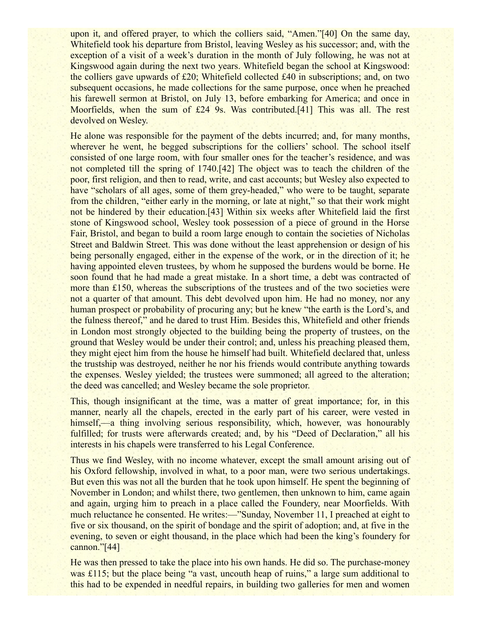upon it, and offered prayer, to which the colliers said, "Amen."[40] On the same day, Whitefield took his departure from Bristol, leaving Wesley as his successor; and, with the exception of a visit of a week's duration in the month of July following, he was not at Kingswood again during the next two years. Whitefield began the school at Kingswood: the colliers gave upwards of £20; Whitefield collected £40 in subscriptions; and, on two subsequent occasions, he made collections for the same purpose, once when he preached his farewell sermon at Bristol, on July 13, before embarking for America; and once in Moorfields, when the sum of £24 9s. Was contributed.[41] This was all. The rest devolved on Wesley.

He alone was responsible for the payment of the debts incurred; and, for many months, wherever he went, he begged subscriptions for the colliers' school. The school itself consisted of one large room, with four smaller ones for the teacher's residence, and was not completed till the spring of 1740.[42] The object was to teach the children of the poor, first religion, and then to read, write, and cast accounts; but Wesley also expected to have "scholars of all ages, some of them grey-headed," who were to be taught, separate from the children, "either early in the morning, or late at night," so that their work might not be hindered by their education.[43] Within six weeks after Whitefield laid the first stone of Kingswood school, Wesley took possession of a piece of ground in the Horse Fair, Bristol, and began to build a room large enough to contain the societies of Nicholas Street and Baldwin Street. This was done without the least apprehension or design of his being personally engaged, either in the expense of the work, or in the direction of it; he having appointed eleven trustees, by whom he supposed the burdens would be borne. He soon found that he had made a great mistake. In a short time, a debt was contracted of more than £150, whereas the subscriptions of the trustees and of the two societies were not a quarter of that amount. This debt devolved upon him. He had no money, nor any human prospect or probability of procuring any; but he knew "the earth is the Lord's, and the fulness thereof," and he dared to trust Him. Besides this, Whitefield and other friends in London most strongly objected to the building being the property of trustees, on the ground that Wesley would be under their control; and, unless his preaching pleased them, they might eject him from the house he himself had built. Whitefield declared that, unless the trustship was destroyed, neither he nor his friends would contribute anything towards the expenses. Wesley yielded; the trustees were summoned; all agreed to the alteration; the deed was cancelled; and Wesley became the sole proprietor.

This, though insignificant at the time, was a matter of great importance; for, in this manner, nearly all the chapels, erected in the early part of his career, were vested in himself,—a thing involving serious responsibility, which, however, was honourably fulfilled; for trusts were afterwards created; and, by his "Deed of Declaration," all his interests in his chapels were transferred to his Legal Conference.

Thus we find Wesley, with no income whatever, except the small amount arising out of his Oxford fellowship, involved in what, to a poor man, were two serious undertakings. But even this was not all the burden that he took upon himself. He spent the beginning of November in London; and whilst there, two gentlemen, then unknown to him, came again and again, urging him to preach in a place called the Foundery, near Moorfields. With much reluctance he consented. He writes:—"Sunday, November 11, I preached at eight to five or six thousand, on the spirit of bondage and the spirit of adoption; and, at five in the evening, to seven or eight thousand, in the place which had been the king's foundery for cannon."[44]

He was then pressed to take the place into his own hands. He did so. The purchase-money was £115; but the place being "a vast, uncouth heap of ruins," a large sum additional to this had to be expended in needful repairs, in building two galleries for men and women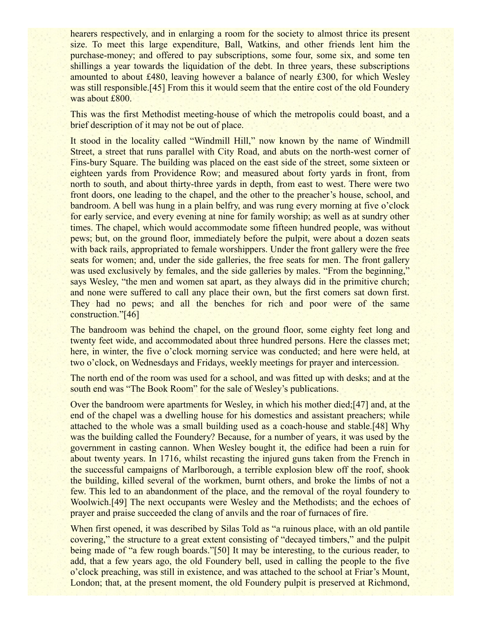hearers respectively, and in enlarging a room for the society to almost thrice its present size. To meet this large expenditure, Ball, Watkins, and other friends lent him the purchase-money; and offered to pay subscriptions, some four, some six, and some ten shillings a year towards the liquidation of the debt. In three years, these subscriptions amounted to about £480, leaving however a balance of nearly £300, for which Wesley was still responsible.[45] From this it would seem that the entire cost of the old Foundery was about £800.

This was the first Methodist meeting-house of which the metropolis could boast, and a brief description of it may not be out of place.

It stood in the locality called "Windmill Hill," now known by the name of Windmill Street, a street that runs parallel with City Road, and abuts on the north-west corner of Fins-bury Square. The building was placed on the east side of the street, some sixteen or eighteen yards from Providence Row; and measured about forty yards in front, from north to south, and about thirty-three yards in depth, from east to west. There were two front doors, one leading to the chapel, and the other to the preacher's house, school, and bandroom. A bell was hung in a plain belfry, and was rung every morning at five o'clock for early service, and every evening at nine for family worship; as well as at sundry other times. The chapel, which would accommodate some fifteen hundred people, was without pews; but, on the ground floor, immediately before the pulpit, were about a dozen seats with back rails, appropriated to female worshippers. Under the front gallery were the free seats for women; and, under the side galleries, the free seats for men. The front gallery was used exclusively by females, and the side galleries by males. "From the beginning," says Wesley, "the men and women sat apart, as they always did in the primitive church; and none were suffered to call any place their own, but the first comers sat down first. They had no pews; and all the benches for rich and poor were of the same construction."[46]

The bandroom was behind the chapel, on the ground floor, some eighty feet long and twenty feet wide, and accommodated about three hundred persons. Here the classes met; here, in winter, the five o'clock morning service was conducted; and here were held, at two o'clock, on Wednesdays and Fridays, weekly meetings for prayer and intercession.

The north end of the room was used for a school, and was fitted up with desks; and at the south end was "The Book Room" for the sale of Wesley's publications.

Over the bandroom were apartments for Wesley, in which his mother died;[47] and, at the end of the chapel was a dwelling house for his domestics and assistant preachers; while attached to the whole was a small building used as a coach-house and stable.[48] Why was the building called the Foundery? Because, for a number of years, it was used by the government in casting cannon. When Wesley bought it, the edifice had been a ruin for about twenty years. In 1716, whilst recasting the injured guns taken from the French in the successful campaigns of Marlborough, a terrible explosion blew off the roof, shook the building, killed several of the workmen, burnt others, and broke the limbs of not a few. This led to an abandonment of the place, and the removal of the royal foundery to Woolwich.[49] The next occupants were Wesley and the Methodists; and the echoes of prayer and praise succeeded the clang of anvils and the roar of furnaces of fire.

When first opened, it was described by Silas Told as "a ruinous place, with an old pantile covering," the structure to a great extent consisting of "decayed timbers," and the pulpit being made of "a few rough boards."[50] It may be interesting, to the curious reader, to add, that a few years ago, the old Foundery bell, used in calling the people to the five o'clock preaching, was still in existence, and was attached to the school at Friar's Mount, London; that, at the present moment, the old Foundery pulpit is preserved at Richmond,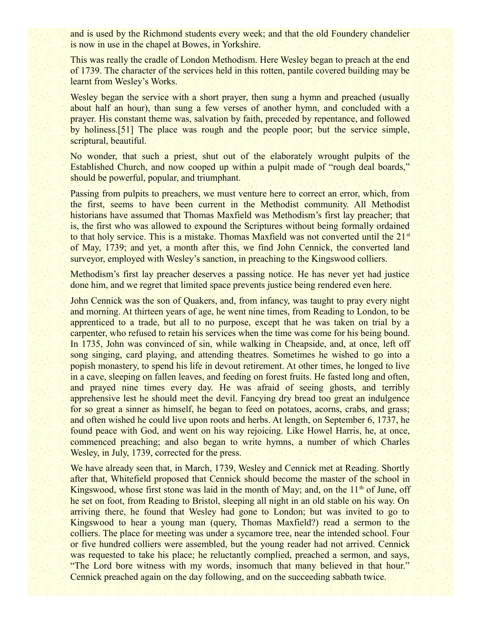and is used by the Richmond students every week; and that the old Foundery chandelier is now in use in the chapel at Bowes, in Yorkshire.

This was really the cradle of London Methodism. Here Wesley began to preach at the end of 1739. The character of the services held in this rotten, pantile covered building may be learnt from Wesley's Works.

Wesley began the service with a short prayer, then sung a hymn and preached (usually about half an hour), than sung a few verses of another hymn, and concluded with a prayer. His constant theme was, salvation by faith, preceded by repentance, and followed by holiness.[51] The place was rough and the people poor; but the service simple, scriptural, beautiful.

No wonder, that such a priest, shut out of the elaborately wrought pulpits of the Established Church, and now cooped up within a pulpit made of "rough deal boards," should be powerful, popular, and triumphant.

Passing from pulpits to preachers, we must venture here to correct an error, which, from the first, seems to have been current in the Methodist community. All Methodist historians have assumed that Thomas Maxfield was Methodism's first lay preacher; that is, the first who was allowed to expound the Scriptures without being formally ordained to that holy service. This is a mistake. Thomas Maxfield was not converted until the  $21<sup>st</sup>$ of May, 1739; and yet, a month after this, we find John Cennick, the converted land surveyor, employed with Wesley's sanction, in preaching to the Kingswood colliers.

Methodism's first lay preacher deserves a passing notice. He has never yet had justice done him, and we regret that limited space prevents justice being rendered even here.

John Cennick was the son of Quakers, and, from infancy, was taught to pray every night and morning. At thirteen years of age, he went nine times, from Reading to London, to be apprenticed to a trade, but all to no purpose, except that he was taken on trial by a carpenter, who refused to retain his services when the time was come for his being bound. In 1735, John was convinced of sin, while walking in Cheapside, and, at once, left off song singing, card playing, and attending theatres. Sometimes he wished to go into a popish monastery, to spend his life in devout retirement. At other times, he longed to live in a cave, sleeping on fallen leaves, and feeding on forest fruits. He fasted long and often, and prayed nine times every day. He was afraid of seeing ghosts, and terribly apprehensive lest he should meet the devil. Fancying dry bread too great an indulgence for so great a sinner as himself, he began to feed on potatoes, acorns, crabs, and grass; and often wished he could live upon roots and herbs. At length, on September 6, 1737, he found peace with God, and went on his way rejoicing. Like Howel Harris, he, at once, commenced preaching; and also began to write hymns, a number of which Charles Wesley, in July, 1739, corrected for the press.

We have already seen that, in March, 1739, Wesley and Cennick met at Reading. Shortly after that, Whitefield proposed that Cennick should become the master of the school in Kingswood, whose first stone was laid in the month of May; and, on the  $11<sup>th</sup>$  of June, off he set on foot, from Reading to Bristol, sleeping all night in an old stable on his way. On arriving there, he found that Wesley had gone to London; but was invited to go to Kingswood to hear a young man (query, Thomas Maxfield?) read a sermon to the colliers. The place for meeting was under a sycamore tree, near the intended school. Four or five hundred colliers were assembled, but the young reader had not arrived. Cennick was requested to take his place; he reluctantly complied, preached a sermon, and says, "The Lord bore witness with my words, insomuch that many believed in that hour." Cennick preached again on the day following, and on the succeeding sabbath twice.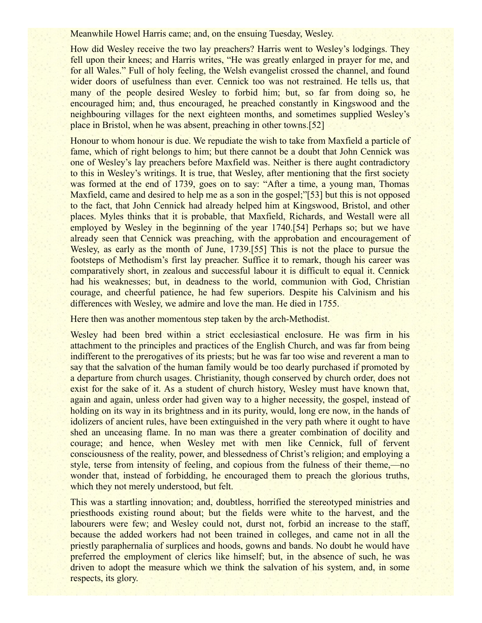Meanwhile Howel Harris came; and, on the ensuing Tuesday, Wesley.

How did Wesley receive the two lay preachers? Harris went to Wesley's lodgings. They fell upon their knees; and Harris writes, "He was greatly enlarged in prayer for me, and for all Wales." Full of holy feeling, the Welsh evangelist crossed the channel, and found wider doors of usefulness than ever. Cennick too was not restrained. He tells us, that many of the people desired Wesley to forbid him; but, so far from doing so, he encouraged him; and, thus encouraged, he preached constantly in Kingswood and the neighbouring villages for the next eighteen months, and sometimes supplied Wesley's place in Bristol, when he was absent, preaching in other towns.[52]

Honour to whom honour is due. We repudiate the wish to take from Maxfield a particle of fame, which of right belongs to him; but there cannot be a doubt that John Cennick was one of Wesley's lay preachers before Maxfield was. Neither is there aught contradictory to this in Wesley's writings. It is true, that Wesley, after mentioning that the first society was formed at the end of 1739, goes on to say: "After a time, a young man, Thomas Maxfield, came and desired to help me as a son in the gospel;"[53] but this is not opposed to the fact, that John Cennick had already helped him at Kingswood, Bristol, and other places. Myles thinks that it is probable, that Maxfield, Richards, and Westall were all employed by Wesley in the beginning of the year 1740.[54] Perhaps so; but we have already seen that Cennick was preaching, with the approbation and encouragement of Wesley, as early as the month of June, 1739.[55] This is not the place to pursue the footsteps of Methodism's first lay preacher. Suffice it to remark, though his career was comparatively short, in zealous and successful labour it is difficult to equal it. Cennick had his weaknesses; but, in deadness to the world, communion with God, Christian courage, and cheerful patience, he had few superiors. Despite his Calvinism and his differences with Wesley, we admire and love the man. He died in 1755.

Here then was another momentous step taken by the arch-Methodist.

Wesley had been bred within a strict ecclesiastical enclosure. He was firm in his attachment to the principles and practices of the English Church, and was far from being indifferent to the prerogatives of its priests; but he was far too wise and reverent a man to say that the salvation of the human family would be too dearly purchased if promoted by a departure from church usages. Christianity, though conserved by church order, does not exist for the sake of it. As a student of church history, Wesley must have known that, again and again, unless order had given way to a higher necessity, the gospel, instead of holding on its way in its brightness and in its purity, would, long ere now, in the hands of idolizers of ancient rules, have been extinguished in the very path where it ought to have shed an unceasing flame. In no man was there a greater combination of docility and courage; and hence, when Wesley met with men like Cennick, full of fervent consciousness of the reality, power, and blessedness of Christ's religion; and employing a style, terse from intensity of feeling, and copious from the fulness of their theme,—no wonder that, instead of forbidding, he encouraged them to preach the glorious truths, which they not merely understood, but felt.

This was a startling innovation; and, doubtless, horrified the stereotyped ministries and priesthoods existing round about; but the fields were white to the harvest, and the labourers were few; and Wesley could not, durst not, forbid an increase to the staff, because the added workers had not been trained in colleges, and came not in all the priestly paraphernalia of surplices and hoods, gowns and bands. No doubt he would have preferred the employment of clerics like himself; but, in the absence of such, he was driven to adopt the measure which we think the salvation of his system, and, in some respects, its glory.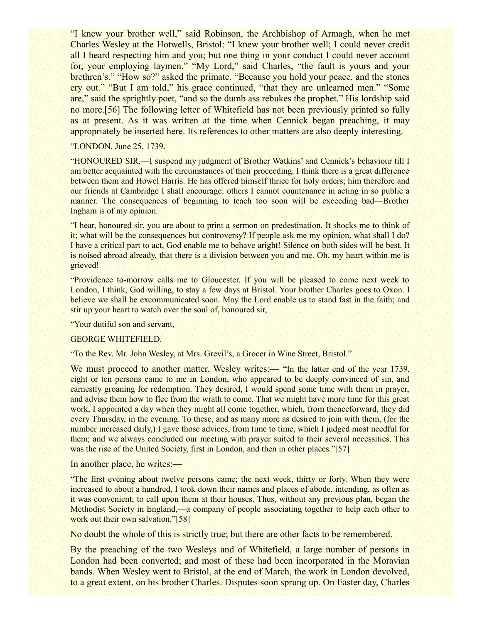"I knew your brother well," said Robinson, the Archbishop of Armagh, when he met Charles Wesley at the Hotwells, Bristol: "I knew your brother well; I could never credit all I heard respecting him and you; but one thing in your conduct I could never account for, your employing laymen." "My Lord," said Charles, "the fault is yours and your brethren's." "How so?" asked the primate. "Because you hold your peace, and the stones cry out." "But I am told," his grace continued, "that they are unlearned men." "Some are," said the sprightly poet, "and so the dumb ass rebukes the prophet." His lordship said no more.[56] The following letter of Whitefield has not been previously printed so fully as at present. As it was written at the time when Cennick began preaching, it may appropriately be inserted here. Its references to other matters are also deeply interesting.

#### "LONDON, June 25, 1739.

"HONOURED SIR,—I suspend my judgment of Brother Watkins' and Cennick's behaviour till I am better acquainted with the circumstances of their proceeding. I think there is a great difference between them and Howel Harris. He has offered himself thrice for holy orders; him therefore and our friends at Cambridge I shall encourage: others I cannot countenance in acting in so public a manner. The consequences of beginning to teach too soon will be exceeding bad—Brother Ingham is of my opinion.

"I hear, honoured sir, you are about to print a sermon on predestination. It shocks me to think of it; what will be the consequences but controversy? If people ask me my opinion, what shall I do? I have a critical part to act, God enable me to behave aright! Silence on both sides will be best. It is noised abroad already, that there is a division between you and me. Oh, my heart within me is grieved!

"Providence to-morrow calls me to Gloucester. If you will be pleased to come next week to London, I think, God willing, to stay a few days at Bristol. Your brother Charles goes to Oxon. I believe we shall be excommunicated soon. May the Lord enable us to stand fast in the faith; and stir up your heart to watch over the soul of, honoured sir,

"Your dutiful son and servant,

#### GEORGE WHITEFIELD.

"To the Rev. Mr. John Wesley, at Mrs. Grevil's, a Grocer in Wine Street, Bristol."

We must proceed to another matter. Wesley writes:— "In the latter end of the year 1739, eight or ten persons came to me in London, who appeared to be deeply convinced of sin, and earnestly groaning for redemption. They desired, I would spend some time with them in prayer, and advise them how to flee from the wrath to come. That we might have more time for this great work, I appointed a day when they might all come together, which, from thenceforward, they did every Thursday, in the evening. To these, and as many more as desired to join with them, (for the number increased daily,) I gave those advices, from time to time, which I judged most needful for them; and we always concluded our meeting with prayer suited to their several necessities. This was the rise of the United Society, first in London, and then in other places."[57]

#### In another place, he writes:—

"The first evening about twelve persons came; the next week, thirty or forty. When they were increased to about a hundred, I took down their names and places of abode, intending, as often as it was convenient; to call upon them at their houses. Thus, without any previous plan, began the Methodist Society in England,—a company of people associating together to help each other to work out their own salvation."[58]

No doubt the whole of this is strictly true; but there are other facts to be remembered.

By the preaching of the two Wesleys and of Whitefield, a large number of persons in London had been converted; and most of these had been incorporated in the Moravian bands. When Wesley went to Bristol, at the end of March, the work in London devolved, to a great extent, on his brother Charles. Disputes soon sprung up. On Easter day, Charles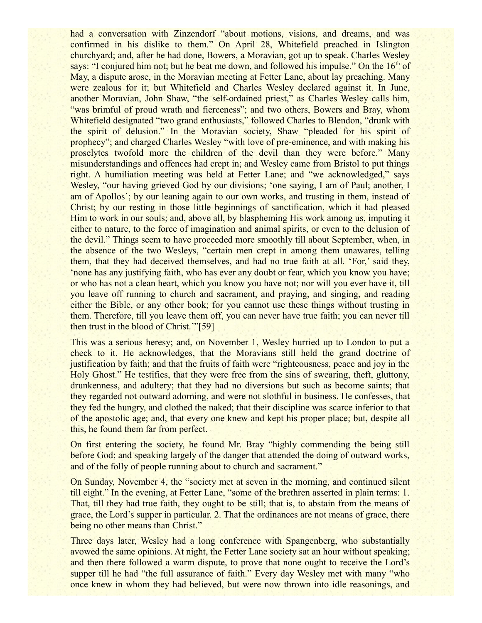had a conversation with Zinzendorf "about motions, visions, and dreams, and was confirmed in his dislike to them." On April 28, Whitefield preached in Islington churchyard; and, after he had done, Bowers, a Moravian, got up to speak. Charles Wesley says: "I conjured him not; but he beat me down, and followed his impulse." On the  $16<sup>th</sup>$  of May, a dispute arose, in the Moravian meeting at Fetter Lane, about lay preaching. Many were zealous for it; but Whitefield and Charles Wesley declared against it. In June, another Moravian, John Shaw, "the self-ordained priest," as Charles Wesley calls him, "was brimful of proud wrath and fierceness"; and two others, Bowers and Bray, whom Whitefield designated "two grand enthusiasts," followed Charles to Blendon, "drunk with the spirit of delusion." In the Moravian society, Shaw "pleaded for his spirit of prophecy"; and charged Charles Wesley "with love of pre-eminence, and with making his proselytes twofold more the children of the devil than they were before." Many misunderstandings and offences had crept in; and Wesley came from Bristol to put things right. A humiliation meeting was held at Fetter Lane; and "we acknowledged," says Wesley, "our having grieved God by our divisions; 'one saying, I am of Paul; another, I am of Apollos'; by our leaning again to our own works, and trusting in them, instead of Christ; by our resting in those little beginnings of sanctification, which it had pleased Him to work in our souls; and, above all, by blaspheming His work among us, imputing it either to nature, to the force of imagination and animal spirits, or even to the delusion of the devil." Things seem to have proceeded more smoothly till about September, when, in the absence of the two Wesleys, "certain men crept in among them unawares, telling them, that they had deceived themselves, and had no true faith at all. 'For,' said they, 'none has any justifying faith, who has ever any doubt or fear, which you know you have; or who has not a clean heart, which you know you have not; nor will you ever have it, till you leave off running to church and sacrament, and praying, and singing, and reading either the Bible, or any other book; for you cannot use these things without trusting in them. Therefore, till you leave them off, you can never have true faith; you can never till then trust in the blood of Christ.'"[59]

This was a serious heresy; and, on November 1, Wesley hurried up to London to put a check to it. He acknowledges, that the Moravians still held the grand doctrine of justification by faith; and that the fruits of faith were "righteousness, peace and joy in the Holy Ghost." He testifies, that they were free from the sins of swearing, theft, gluttony, drunkenness, and adultery; that they had no diversions but such as become saints; that they regarded not outward adorning, and were not slothful in business. He confesses, that they fed the hungry, and clothed the naked; that their discipline was scarce inferior to that of the apostolic age; and, that every one knew and kept his proper place; but, despite all this, he found them far from perfect.

On first entering the society, he found Mr. Bray "highly commending the being still before God; and speaking largely of the danger that attended the doing of outward works, and of the folly of people running about to church and sacrament."

On Sunday, November 4, the "society met at seven in the morning, and continued silent till eight." In the evening, at Fetter Lane, "some of the brethren asserted in plain terms: 1. That, till they had true faith, they ought to be still; that is, to abstain from the means of grace, the Lord's supper in particular. 2. That the ordinances are not means of grace, there being no other means than Christ."

Three days later, Wesley had a long conference with Spangenberg, who substantially avowed the same opinions. At night, the Fetter Lane society sat an hour without speaking; and then there followed a warm dispute, to prove that none ought to receive the Lord's supper till he had "the full assurance of faith." Every day Wesley met with many "who once knew in whom they had believed, but were now thrown into idle reasonings, and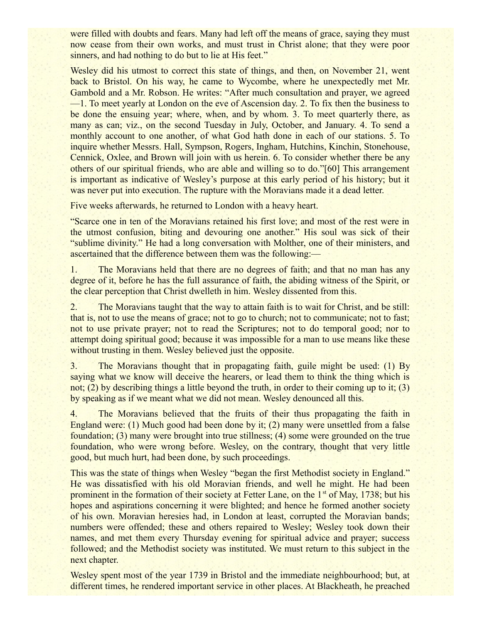were filled with doubts and fears. Many had left off the means of grace, saying they must now cease from their own works, and must trust in Christ alone; that they were poor sinners, and had nothing to do but to lie at His feet."

Wesley did his utmost to correct this state of things, and then, on November 21, went back to Bristol. On his way, he came to Wycombe, where he unexpectedly met Mr. Gambold and a Mr. Robson. He writes: "After much consultation and prayer, we agreed —1. To meet yearly at London on the eve of Ascension day. 2. To fix then the business to be done the ensuing year; where, when, and by whom. 3. To meet quarterly there, as many as can; viz., on the second Tuesday in July, October, and January. 4. To send a monthly account to one another, of what God hath done in each of our stations. 5. To inquire whether Messrs. Hall, Sympson, Rogers, Ingham, Hutchins, Kinchin, Stonehouse, Cennick, Oxlee, and Brown will join with us herein. 6. To consider whether there be any others of our spiritual friends, who are able and willing so to do."[60] This arrangement is important as indicative of Wesley's purpose at this early period of his history; but it was never put into execution. The rupture with the Moravians made it a dead letter.

Five weeks afterwards, he returned to London with a heavy heart.

"Scarce one in ten of the Moravians retained his first love; and most of the rest were in the utmost confusion, biting and devouring one another." His soul was sick of their "sublime divinity." He had a long conversation with Molther, one of their ministers, and ascertained that the difference between them was the following:—

1. The Moravians held that there are no degrees of faith; and that no man has any degree of it, before he has the full assurance of faith, the abiding witness of the Spirit, or the clear perception that Christ dwelleth in him. Wesley dissented from this.

2. The Moravians taught that the way to attain faith is to wait for Christ, and be still: that is, not to use the means of grace; not to go to church; not to communicate; not to fast; not to use private prayer; not to read the Scriptures; not to do temporal good; nor to attempt doing spiritual good; because it was impossible for a man to use means like these without trusting in them. Wesley believed just the opposite.

3. The Moravians thought that in propagating faith, guile might be used: (1) By saying what we know will deceive the hearers, or lead them to think the thing which is not; (2) by describing things a little beyond the truth, in order to their coming up to it; (3) by speaking as if we meant what we did not mean. Wesley denounced all this.

4. The Moravians believed that the fruits of their thus propagating the faith in England were: (1) Much good had been done by it; (2) many were unsettled from a false foundation; (3) many were brought into true stillness; (4) some were grounded on the true foundation, who were wrong before. Wesley, on the contrary, thought that very little good, but much hurt, had been done, by such proceedings.

This was the state of things when Wesley "began the first Methodist society in England." He was dissatisfied with his old Moravian friends, and well he might. He had been prominent in the formation of their society at Fetter Lane, on the  $1<sup>st</sup>$  of May, 1738; but his hopes and aspirations concerning it were blighted; and hence he formed another society of his own. Moravian heresies had, in London at least, corrupted the Moravian bands; numbers were offended; these and others repaired to Wesley; Wesley took down their names, and met them every Thursday evening for spiritual advice and prayer; success followed; and the Methodist society was instituted. We must return to this subject in the next chapter.

Wesley spent most of the year 1739 in Bristol and the immediate neighbourhood; but, at different times, he rendered important service in other places. At Blackheath, he preached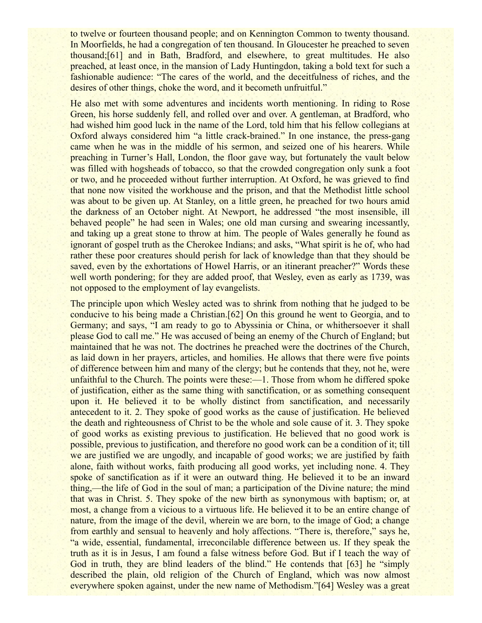to twelve or fourteen thousand people; and on Kennington Common to twenty thousand. In Moorfields, he had a congregation of ten thousand. In Gloucester he preached to seven thousand;[61] and in Bath, Bradford, and elsewhere, to great multitudes. He also preached, at least once, in the mansion of Lady Huntingdon, taking a bold text for such a fashionable audience: "The cares of the world, and the deceitfulness of riches, and the desires of other things, choke the word, and it becometh unfruitful."

He also met with some adventures and incidents worth mentioning. In riding to Rose Green, his horse suddenly fell, and rolled over and over. A gentleman, at Bradford, who had wished him good luck in the name of the Lord, told him that his fellow collegians at Oxford always considered him "a little crack-brained." In one instance, the press-gang came when he was in the middle of his sermon, and seized one of his hearers. While preaching in Turner's Hall, London, the floor gave way, but fortunately the vault below was filled with hogsheads of tobacco, so that the crowded congregation only sunk a foot or two, and he proceeded without further interruption. At Oxford, he was grieved to find that none now visited the workhouse and the prison, and that the Methodist little school was about to be given up. At Stanley, on a little green, he preached for two hours amid the darkness of an October night. At Newport, he addressed "the most insensible, ill behaved people" he had seen in Wales; one old man cursing and swearing incessantly, and taking up a great stone to throw at him. The people of Wales generally he found as ignorant of gospel truth as the Cherokee Indians; and asks, "What spirit is he of, who had rather these poor creatures should perish for lack of knowledge than that they should be saved, even by the exhortations of Howel Harris, or an itinerant preacher?" Words these well worth pondering; for they are added proof, that Wesley, even as early as 1739, was not opposed to the employment of lay evangelists.

The principle upon which Wesley acted was to shrink from nothing that he judged to be conducive to his being made a Christian.[62] On this ground he went to Georgia, and to Germany; and says, "I am ready to go to Abyssinia or China, or whithersoever it shall please God to call me." He was accused of being an enemy of the Church of England; but maintained that he was not. The doctrines he preached were the doctrines of the Church, as laid down in her prayers, articles, and homilies. He allows that there were five points of difference between him and many of the clergy; but he contends that they, not he, were unfaithful to the Church. The points were these:—1. Those from whom he differed spoke of justification, either as the same thing with sanctification, or as something consequent upon it. He believed it to be wholly distinct from sanctification, and necessarily antecedent to it. 2. They spoke of good works as the cause of justification. He believed the death and righteousness of Christ to be the whole and sole cause of it. 3. They spoke of good works as existing previous to justification. He believed that no good work is possible, previous to justification, and therefore no good work can be a condition of it; till we are justified we are ungodly, and incapable of good works; we are justified by faith alone, faith without works, faith producing all good works, yet including none. 4. They spoke of sanctification as if it were an outward thing. He believed it to be an inward thing,—the life of God in the soul of man; a participation of the Divine nature; the mind that was in Christ. 5. They spoke of the new birth as synonymous with baptism; or, at most, a change from a vicious to a virtuous life. He believed it to be an entire change of nature, from the image of the devil, wherein we are born, to the image of God; a change from earthly and sensual to heavenly and holy affections. "There is, therefore," says he, "a wide, essential, fundamental, irreconcilable difference between us. If they speak the truth as it is in Jesus, I am found a false witness before God. But if I teach the way of God in truth, they are blind leaders of the blind." He contends that [63] he "simply described the plain, old religion of the Church of England, which was now almost everywhere spoken against, under the new name of Methodism."[64] Wesley was a great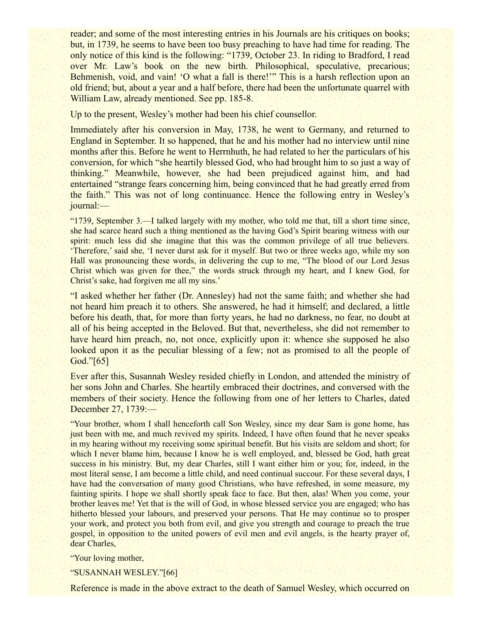reader; and some of the most interesting entries in his Journals are his critiques on books; but, in 1739, he seems to have been too busy preaching to have had time for reading. The only notice of this kind is the following: "1739, October 23. In riding to Bradford, I read over Mr. Law's book on the new birth. Philosophical, speculative, precarious; Behmenish, void, and vain! 'O what a fall is there!'" This is a harsh reflection upon an old friend; but, about a year and a half before, there had been the unfortunate quarrel with William Law, already mentioned. See pp. 185-8.

Up to the present, Wesley's mother had been his chief counsellor.

Immediately after his conversion in May, 1738, he went to Germany, and returned to England in September. It so happened, that he and his mother had no interview until nine months after this. Before he went to Herrnhuth, he had related to her the particulars of his conversion, for which "she heartily blessed God, who had brought him to so just a way of thinking." Meanwhile, however, she had been prejudiced against him, and had entertained "strange fears concerning him, being convinced that he had greatly erred from the faith." This was not of long continuance. Hence the following entry in Wesley's journal:—

"1739, September 3.—I talked largely with my mother, who told me that, till a short time since, she had scarce heard such a thing mentioned as the having God's Spirit bearing witness with our spirit: much less did she imagine that this was the common privilege of all true believers. 'Therefore,' said she, 'I never durst ask for it myself. But two or three weeks ago, while my son Hall was pronouncing these words, in delivering the cup to me, "The blood of our Lord Jesus Christ which was given for thee," the words struck through my heart, and I knew God, for Christ's sake, had forgiven me all my sins.'

"I asked whether her father (Dr. Annesley) had not the same faith; and whether she had not heard him preach it to others. She answered, he had it himself; and declared, a little before his death, that, for more than forty years, he had no darkness, no fear, no doubt at all of his being accepted in the Beloved. But that, nevertheless, she did not remember to have heard him preach, no, not once, explicitly upon it: whence she supposed he also looked upon it as the peculiar blessing of a few; not as promised to all the people of God."[65]

Ever after this, Susannah Wesley resided chiefly in London, and attended the ministry of her sons John and Charles. She heartily embraced their doctrines, and conversed with the members of their society. Hence the following from one of her letters to Charles, dated December 27, 1739:—

"Your brother, whom I shall henceforth call Son Wesley, since my dear Sam is gone home, has just been with me, and much revived my spirits. Indeed, I have often found that he never speaks in my hearing without my receiving some spiritual benefit. But his visits are seldom and short; for which I never blame him, because I know he is well employed, and, blessed be God, hath great success in his ministry. But, my dear Charles, still I want either him or you; for, indeed, in the most literal sense, I am become a little child, and need continual succour. For these several days, I have had the conversation of many good Christians, who have refreshed, in some measure, my fainting spirits. I hope we shall shortly speak face to face. But then, alas! When you come, your brother leaves me! Yet that is the will of God, in whose blessed service you are engaged; who has hitherto blessed your labours, and preserved your persons. That He may continue so to prosper your work, and protect you both from evil, and give you strength and courage to preach the true gospel, in opposition to the united powers of evil men and evil angels, is the hearty prayer of, dear Charles,

"Your loving mother,

"SUSANNAH WESLEY."[66]

Reference is made in the above extract to the death of Samuel Wesley, which occurred on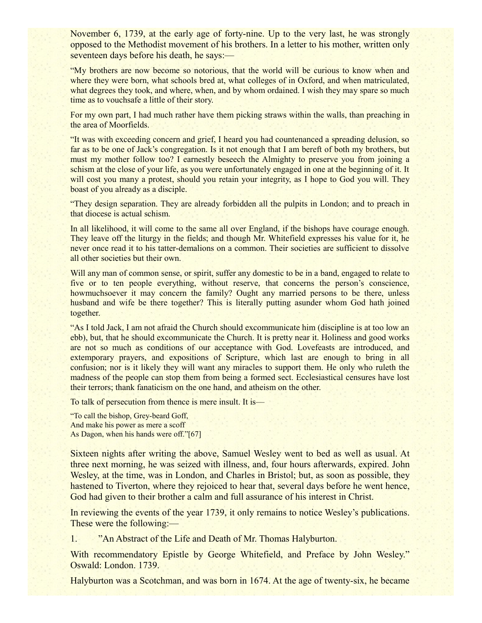November 6, 1739, at the early age of forty-nine. Up to the very last, he was strongly opposed to the Methodist movement of his brothers. In a letter to his mother, written only seventeen days before his death, he says:—

"My brothers are now become so notorious, that the world will be curious to know when and where they were born, what schools bred at, what colleges of in Oxford, and when matriculated, what degrees they took, and where, when, and by whom ordained. I wish they may spare so much time as to vouchsafe a little of their story.

For my own part, I had much rather have them picking straws within the walls, than preaching in the area of Moorfields.

"It was with exceeding concern and grief, I heard you had countenanced a spreading delusion, so far as to be one of Jack's congregation. Is it not enough that I am bereft of both my brothers, but must my mother follow too? I earnestly beseech the Almighty to preserve you from joining a schism at the close of your life, as you were unfortunately engaged in one at the beginning of it. It will cost you many a protest, should you retain your integrity, as I hope to God you will. They boast of you already as a disciple.

"They design separation. They are already forbidden all the pulpits in London; and to preach in that diocese is actual schism.

In all likelihood, it will come to the same all over England, if the bishops have courage enough. They leave off the liturgy in the fields; and though Mr. Whitefield expresses his value for it, he never once read it to his tatter-demalions on a common. Their societies are sufficient to dissolve all other societies but their own.

Will any man of common sense, or spirit, suffer any domestic to be in a band, engaged to relate to five or to ten people everything, without reserve, that concerns the person's conscience, howmuchsoever it may concern the family? Ought any married persons to be there, unless husband and wife be there together? This is literally putting asunder whom God hath joined together.

"As I told Jack, I am not afraid the Church should excommunicate him (discipline is at too low an ebb), but, that he should excommunicate the Church. It is pretty near it. Holiness and good works are not so much as conditions of our acceptance with God. Lovefeasts are introduced, and extemporary prayers, and expositions of Scripture, which last are enough to bring in all confusion; nor is it likely they will want any miracles to support them. He only who ruleth the madness of the people can stop them from being a formed sect. Ecclesiastical censures have lost their terrors; thank fanaticism on the one hand, and atheism on the other.

To talk of persecution from thence is mere insult. It is—

"To call the bishop, Grey-beard Goff, And make his power as mere a scoff As Dagon, when his hands were off."[67]

Sixteen nights after writing the above, Samuel Wesley went to bed as well as usual. At three next morning, he was seized with illness, and, four hours afterwards, expired. John Wesley, at the time, was in London, and Charles in Bristol; but, as soon as possible, they hastened to Tiverton, where they rejoiced to hear that, several days before he went hence, God had given to their brother a calm and full assurance of his interest in Christ.

In reviewing the events of the year 1739, it only remains to notice Wesley's publications. These were the following:—

1. "An Abstract of the Life and Death of Mr. Thomas Halyburton.

With recommendatory Epistle by George Whitefield, and Preface by John Wesley." Oswald: London. 1739.

Halyburton was a Scotchman, and was born in 1674. At the age of twenty-six, he became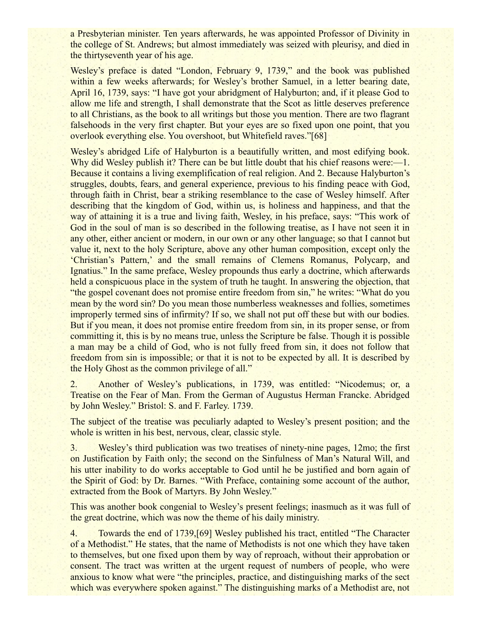a Presbyterian minister. Ten years afterwards, he was appointed Professor of Divinity in the college of St. Andrews; but almost immediately was seized with pleurisy, and died in the thirtyseventh year of his age.

Wesley's preface is dated "London, February 9, 1739," and the book was published within a few weeks afterwards; for Wesley's brother Samuel, in a letter bearing date, April 16, 1739, says: "I have got your abridgment of Halyburton; and, if it please God to allow me life and strength, I shall demonstrate that the Scot as little deserves preference to all Christians, as the book to all writings but those you mention. There are two flagrant falsehoods in the very first chapter. But your eyes are so fixed upon one point, that you overlook everything else. You overshoot, but Whitefield raves."[68]

Wesley's abridged Life of Halyburton is a beautifully written, and most edifying book. Why did Wesley publish it? There can be but little doubt that his chief reasons were:—1. Because it contains a living exemplification of real religion. And 2. Because Halyburton's struggles, doubts, fears, and general experience, previous to his finding peace with God, through faith in Christ, bear a striking resemblance to the case of Wesley himself. After describing that the kingdom of God, within us, is holiness and happiness, and that the way of attaining it is a true and living faith, Wesley, in his preface, says: "This work of God in the soul of man is so described in the following treatise, as I have not seen it in any other, either ancient or modern, in our own or any other language; so that I cannot but value it, next to the holy Scripture, above any other human composition, except only the 'Christian's Pattern,' and the small remains of Clemens Romanus, Polycarp, and Ignatius." In the same preface, Wesley propounds thus early a doctrine, which afterwards held a conspicuous place in the system of truth he taught. In answering the objection, that "the gospel covenant does not promise entire freedom from sin," he writes: "What do you mean by the word sin? Do you mean those numberless weaknesses and follies, sometimes improperly termed sins of infirmity? If so, we shall not put off these but with our bodies. But if you mean, it does not promise entire freedom from sin, in its proper sense, or from committing it, this is by no means true, unless the Scripture be false. Though it is possible a man may be a child of God, who is not fully freed from sin, it does not follow that freedom from sin is impossible; or that it is not to be expected by all. It is described by the Holy Ghost as the common privilege of all."

2. Another of Wesley's publications, in 1739, was entitled: "Nicodemus; or, a Treatise on the Fear of Man. From the German of Augustus Herman Francke. Abridged by John Wesley." Bristol: S. and F. Farley. 1739.

The subject of the treatise was peculiarly adapted to Wesley's present position; and the whole is written in his best, nervous, clear, classic style.

3. Wesley's third publication was two treatises of ninety-nine pages, 12mo; the first on Justification by Faith only; the second on the Sinfulness of Man's Natural Will, and his utter inability to do works acceptable to God until he be justified and born again of the Spirit of God: by Dr. Barnes. "With Preface, containing some account of the author, extracted from the Book of Martyrs. By John Wesley."

This was another book congenial to Wesley's present feelings; inasmuch as it was full of the great doctrine, which was now the theme of his daily ministry.

4. Towards the end of 1739,[69] Wesley published his tract, entitled "The Character of a Methodist." He states, that the name of Methodists is not one which they have taken to themselves, but one fixed upon them by way of reproach, without their approbation or consent. The tract was written at the urgent request of numbers of people, who were anxious to know what were "the principles, practice, and distinguishing marks of the sect which was everywhere spoken against." The distinguishing marks of a Methodist are, not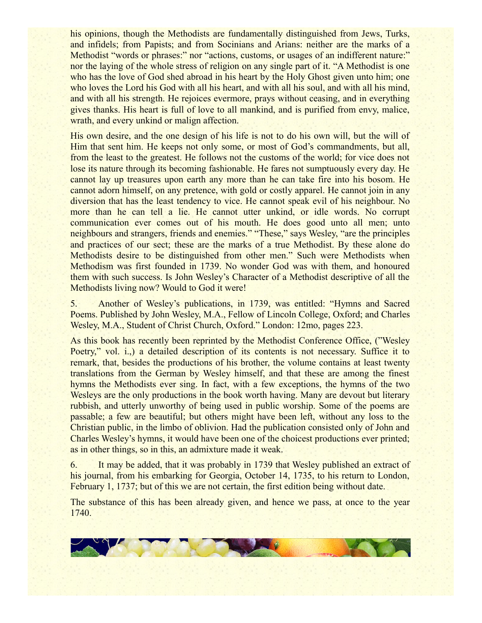his opinions, though the Methodists are fundamentally distinguished from Jews, Turks, and infidels; from Papists; and from Socinians and Arians: neither are the marks of a Methodist "words or phrases:" nor "actions, customs, or usages of an indifferent nature:" nor the laying of the whole stress of religion on any single part of it. "A Methodist is one who has the love of God shed abroad in his heart by the Holy Ghost given unto him; one who loves the Lord his God with all his heart, and with all his soul, and with all his mind, and with all his strength. He rejoices evermore, prays without ceasing, and in everything gives thanks. His heart is full of love to all mankind, and is purified from envy, malice, wrath, and every unkind or malign affection.

His own desire, and the one design of his life is not to do his own will, but the will of Him that sent him. He keeps not only some, or most of God's commandments, but all, from the least to the greatest. He follows not the customs of the world; for vice does not lose its nature through its becoming fashionable. He fares not sumptuously every day. He cannot lay up treasures upon earth any more than he can take fire into his bosom. He cannot adorn himself, on any pretence, with gold or costly apparel. He cannot join in any diversion that has the least tendency to vice. He cannot speak evil of his neighbour. No more than he can tell a lie. He cannot utter unkind, or idle words. No corrupt communication ever comes out of his mouth. He does good unto all men; unto neighbours and strangers, friends and enemies." "These," says Wesley, "are the principles and practices of our sect; these are the marks of a true Methodist. By these alone do Methodists desire to be distinguished from other men." Such were Methodists when Methodism was first founded in 1739. No wonder God was with them, and honoured them with such success. Is John Wesley's Character of a Methodist descriptive of all the Methodists living now? Would to God it were!

5. Another of Wesley's publications, in 1739, was entitled: "Hymns and Sacred Poems. Published by John Wesley, M.A., Fellow of Lincoln College, Oxford; and Charles Wesley, M.A., Student of Christ Church, Oxford." London: 12mo, pages 223.

As this book has recently been reprinted by the Methodist Conference Office, ("Wesley Poetry," vol. *i.*, a detailed description of its contents is not necessary. Suffice it to remark, that, besides the productions of his brother, the volume contains at least twenty translations from the German by Wesley himself, and that these are among the finest hymns the Methodists ever sing. In fact, with a few exceptions, the hymns of the two Wesleys are the only productions in the book worth having. Many are devout but literary rubbish, and utterly unworthy of being used in public worship. Some of the poems are passable; a few are beautiful; but others might have been left, without any loss to the Christian public, in the limbo of oblivion. Had the publication consisted only of John and Charles Wesley's hymns, it would have been one of the choicest productions ever printed; as in other things, so in this, an admixture made it weak.

6. It may be added, that it was probably in 1739 that Wesley published an extract of his journal, from his embarking for Georgia, October 14, 1735, to his return to London, February 1, 1737; but of this we are not certain, the first edition being without date.

The substance of this has been already given, and hence we pass, at once to the year 1740.

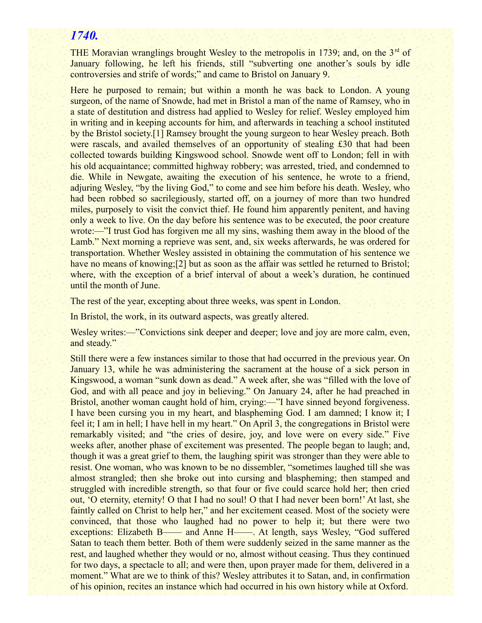## *1740.*

THE Moravian wranglings brought Wesley to the metropolis in 1739; and, on the  $3<sup>rd</sup>$  of January following, he left his friends, still "subverting one another's souls by idle controversies and strife of words;" and came to Bristol on January 9.

Here he purposed to remain; but within a month he was back to London. A young surgeon, of the name of Snowde, had met in Bristol a man of the name of Ramsey, who in a state of destitution and distress had applied to Wesley for relief. Wesley employed him in writing and in keeping accounts for him, and afterwards in teaching a school instituted by the Bristol society.[1] Ramsey brought the young surgeon to hear Wesley preach. Both were rascals, and availed themselves of an opportunity of stealing £30 that had been collected towards building Kingswood school. Snowde went off to London; fell in with his old acquaintance; committed highway robbery; was arrested, tried, and condemned to die. While in Newgate, awaiting the execution of his sentence, he wrote to a friend, adjuring Wesley, "by the living God," to come and see him before his death. Wesley, who had been robbed so sacrilegiously, started off, on a journey of more than two hundred miles, purposely to visit the convict thief. He found him apparently penitent, and having only a week to live. On the day before his sentence was to be executed, the poor creature wrote:—"I trust God has forgiven me all my sins, washing them away in the blood of the Lamb." Next morning a reprieve was sent, and, six weeks afterwards, he was ordered for transportation. Whether Wesley assisted in obtaining the commutation of his sentence we have no means of knowing;[2] but as soon as the affair was settled he returned to Bristol; where, with the exception of a brief interval of about a week's duration, he continued until the month of June.

The rest of the year, excepting about three weeks, was spent in London.

In Bristol, the work, in its outward aspects, was greatly altered.

Wesley writes:—"Convictions sink deeper and deeper; love and joy are more calm, even, and steady."

Still there were a few instances similar to those that had occurred in the previous year. On January 13, while he was administering the sacrament at the house of a sick person in Kingswood, a woman "sunk down as dead." A week after, she was "filled with the love of God, and with all peace and joy in believing." On January 24, after he had preached in Bristol, another woman caught hold of him, crying:—"I have sinned beyond forgiveness. I have been cursing you in my heart, and blaspheming God. I am damned; I know it; I feel it; I am in hell; I have hell in my heart." On April 3, the congregations in Bristol were remarkably visited; and "the cries of desire, joy, and love were on every side." Five weeks after, another phase of excitement was presented. The people began to laugh; and, though it was a great grief to them, the laughing spirit was stronger than they were able to resist. One woman, who was known to be no dissembler, "sometimes laughed till she was almost strangled; then she broke out into cursing and blaspheming; then stamped and struggled with incredible strength, so that four or five could scarce hold her; then cried out, 'O eternity, eternity! O that I had no soul! O that I had never been born!' At last, she faintly called on Christ to help her," and her excitement ceased. Most of the society were convinced, that those who laughed had no power to help it; but there were two exceptions: Elizabeth B—— and Anne H——. At length, says Wesley, "God suffered Satan to teach them better. Both of them were suddenly seized in the same manner as the rest, and laughed whether they would or no, almost without ceasing. Thus they continued for two days, a spectacle to all; and were then, upon prayer made for them, delivered in a moment." What are we to think of this? Wesley attributes it to Satan, and, in confirmation of his opinion, recites an instance which had occurred in his own history while at Oxford.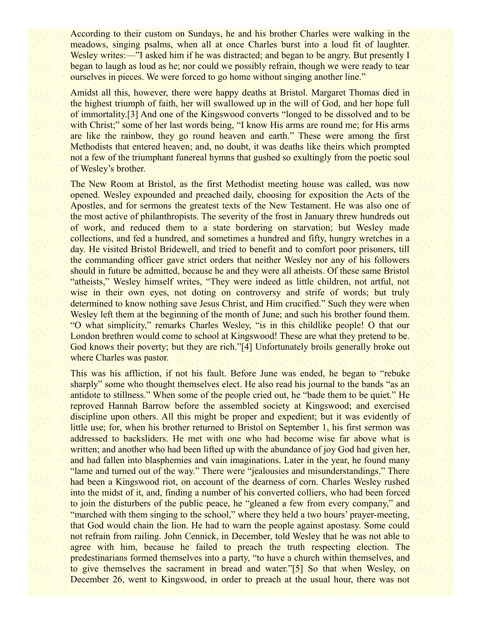According to their custom on Sundays, he and his brother Charles were walking in the meadows, singing psalms, when all at once Charles burst into a loud fit of laughter. Wesley writes:—"I asked him if he was distracted; and began to be angry. But presently I began to laugh as loud as he; nor could we possibly refrain, though we were ready to tear ourselves in pieces. We were forced to go home without singing another line."

Amidst all this, however, there were happy deaths at Bristol. Margaret Thomas died in the highest triumph of faith, her will swallowed up in the will of God, and her hope full of immortality.[3] And one of the Kingswood converts "longed to be dissolved and to be with Christ;" some of her last words being, "I know His arms are round me; for His arms are like the rainbow, they go round heaven and earth." These were among the first Methodists that entered heaven; and, no doubt, it was deaths like theirs which prompted not a few of the triumphant funereal hymns that gushed so exultingly from the poetic soul of Wesley's brother.

The New Room at Bristol, as the first Methodist meeting house was called, was now opened. Wesley expounded and preached daily, choosing for exposition the Acts of the Apostles, and for sermons the greatest texts of the New Testament. He was also one of the most active of philanthropists. The severity of the frost in January threw hundreds out of work, and reduced them to a state bordering on starvation; but Wesley made collections, and fed a hundred, and sometimes a hundred and fifty, hungry wretches in a day. He visited Bristol Bridewell, and tried to benefit and to comfort poor prisoners, till the commanding officer gave strict orders that neither Wesley nor any of his followers should in future be admitted, because he and they were all atheists. Of these same Bristol "atheists," Wesley himself writes, "They were indeed as little children, not artful, not wise in their own eyes, not doting on controversy and strife of words; but truly determined to know nothing save Jesus Christ, and Him crucified." Such they were when Wesley left them at the beginning of the month of June; and such his brother found them. "O what simplicity," remarks Charles Wesley, "is in this childlike people! O that our London brethren would come to school at Kingswood! These are what they pretend to be. God knows their poverty; but they are rich."[4] Unfortunately broils generally broke out where Charles was pastor.

This was his affliction, if not his fault. Before June was ended, he began to "rebuke sharply" some who thought themselves elect. He also read his journal to the bands "as an antidote to stillness." When some of the people cried out, he "bade them to be quiet." He reproved Hannah Barrow before the assembled society at Kingswood; and exercised discipline upon others. All this might be proper and expedient; but it was evidently of little use; for, when his brother returned to Bristol on September 1, his first sermon was addressed to backsliders. He met with one who had become wise far above what is written; and another who had been lifted up with the abundance of joy God had given her, and had fallen into blasphemies and vain imaginations. Later in the year, he found many "lame and turned out of the way." There were "jealousies and misunderstandings." There had been a Kingswood riot, on account of the dearness of corn. Charles Wesley rushed into the midst of it, and, finding a number of his converted colliers, who had been forced to join the disturbers of the public peace, he "gleaned a few from every company," and "marched with them singing to the school," where they held a two hours' prayer-meeting, that God would chain the lion. He had to warn the people against apostasy. Some could not refrain from railing. John Cennick, in December, told Wesley that he was not able to agree with him, because he failed to preach the truth respecting election. The predestinarians formed themselves into a party, "to have a church within themselves, and to give themselves the sacrament in bread and water."[5] So that when Wesley, on December 26, went to Kingswood, in order to preach at the usual hour, there was not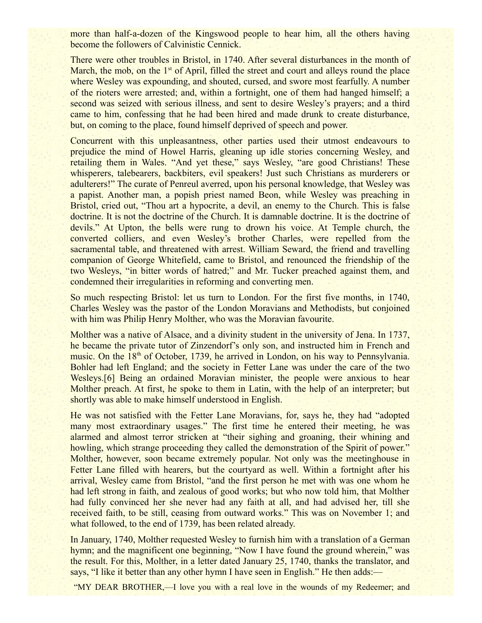more than half-a-dozen of the Kingswood people to hear him, all the others having become the followers of Calvinistic Cennick.

There were other troubles in Bristol, in 1740. After several disturbances in the month of March, the mob, on the  $1<sup>st</sup>$  of April, filled the street and court and alleys round the place where Wesley was expounding, and shouted, cursed, and swore most fearfully. A number of the rioters were arrested; and, within a fortnight, one of them had hanged himself; a second was seized with serious illness, and sent to desire Wesley's prayers; and a third came to him, confessing that he had been hired and made drunk to create disturbance, but, on coming to the place, found himself deprived of speech and power.

Concurrent with this unpleasantness, other parties used their utmost endeavours to prejudice the mind of Howel Harris, gleaning up idle stories concerning Wesley, and retailing them in Wales. "And yet these," says Wesley, "are good Christians! These whisperers, talebearers, backbiters, evil speakers! Just such Christians as murderers or adulterers!" The curate of Penreul averred, upon his personal knowledge, that Wesley was a papist. Another man, a popish priest named Beon, while Wesley was preaching in Bristol, cried out, "Thou art a hypocrite, a devil, an enemy to the Church. This is false doctrine. It is not the doctrine of the Church. It is damnable doctrine. It is the doctrine of devils." At Upton, the bells were rung to drown his voice. At Temple church, the converted colliers, and even Wesley's brother Charles, were repelled from the sacramental table, and threatened with arrest. William Seward, the friend and travelling companion of George Whitefield, came to Bristol, and renounced the friendship of the two Wesleys, "in bitter words of hatred;" and Mr. Tucker preached against them, and condemned their irregularities in reforming and converting men.

So much respecting Bristol: let us turn to London. For the first five months, in 1740, Charles Wesley was the pastor of the London Moravians and Methodists, but conjoined with him was Philip Henry Molther, who was the Moravian favourite.

Molther was a native of Alsace, and a divinity student in the university of Jena. In 1737, he became the private tutor of Zinzendorf's only son, and instructed him in French and music. On the  $18<sup>th</sup>$  of October, 1739, he arrived in London, on his way to Pennsylvania. Bohler had left England; and the society in Fetter Lane was under the care of the two Wesleys.[6] Being an ordained Moravian minister, the people were anxious to hear Molther preach. At first, he spoke to them in Latin, with the help of an interpreter; but shortly was able to make himself understood in English.

He was not satisfied with the Fetter Lane Moravians, for, says he, they had "adopted many most extraordinary usages." The first time he entered their meeting, he was alarmed and almost terror stricken at "their sighing and groaning, their whining and howling, which strange proceeding they called the demonstration of the Spirit of power." Molther, however, soon became extremely popular. Not only was the meetinghouse in Fetter Lane filled with hearers, but the courtyard as well. Within a fortnight after his arrival, Wesley came from Bristol, "and the first person he met with was one whom he had left strong in faith, and zealous of good works; but who now told him, that Molther had fully convinced her she never had any faith at all, and had advised her, till she received faith, to be still, ceasing from outward works." This was on November 1; and what followed, to the end of 1739, has been related already.

In January, 1740, Molther requested Wesley to furnish him with a translation of a German hymn; and the magnificent one beginning, "Now I have found the ground wherein," was the result. For this, Molther, in a letter dated January 25, 1740, thanks the translator, and says, "I like it better than any other hymn I have seen in English." He then adds:—

"MY DEAR BROTHER,—I love you with a real love in the wounds of my Redeemer; and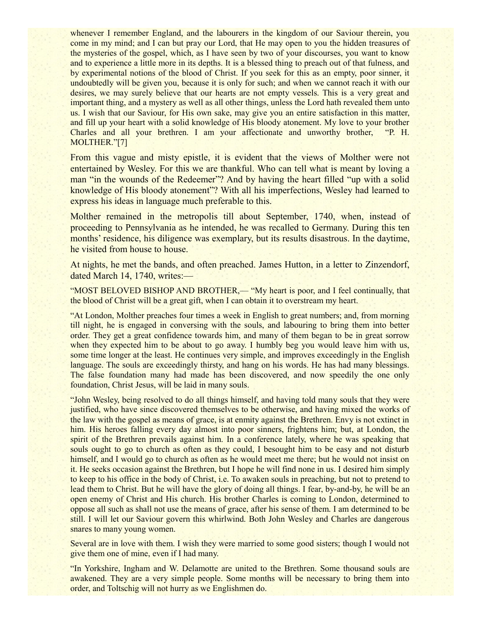whenever I remember England, and the labourers in the kingdom of our Saviour therein, you come in my mind; and I can but pray our Lord, that He may open to you the hidden treasures of the mysteries of the gospel, which, as I have seen by two of your discourses, you want to know and to experience a little more in its depths. It is a blessed thing to preach out of that fulness, and by experimental notions of the blood of Christ. If you seek for this as an empty, poor sinner, it undoubtedly will be given you, because it is only for such; and when we cannot reach it with our desires, we may surely believe that our hearts are not empty vessels. This is a very great and important thing, and a mystery as well as all other things, unless the Lord hath revealed them unto us. I wish that our Saviour, for His own sake, may give you an entire satisfaction in this matter, and fill up your heart with a solid knowledge of His bloody atonement. My love to your brother Charles and all your brethren. I am your affectionate and unworthy brother, "P. H. MOLTHER."[7]

From this vague and misty epistle, it is evident that the views of Molther were not entertained by Wesley. For this we are thankful. Who can tell what is meant by loving a man "in the wounds of the Redeemer"? And by having the heart filled "up with a solid" knowledge of His bloody atonement"? With all his imperfections, Wesley had learned to express his ideas in language much preferable to this.

Molther remained in the metropolis till about September, 1740, when, instead of proceeding to Pennsylvania as he intended, he was recalled to Germany. During this ten months' residence, his diligence was exemplary, but its results disastrous. In the daytime, he visited from house to house.

At nights, he met the bands, and often preached. James Hutton, in a letter to Zinzendorf, dated March 14, 1740, writes:—

"MOST BELOVED BISHOP AND BROTHER,— "My heart is poor, and I feel continually, that the blood of Christ will be a great gift, when I can obtain it to overstream my heart.

"At London, Molther preaches four times a week in English to great numbers; and, from morning till night, he is engaged in conversing with the souls, and labouring to bring them into better order. They get a great confidence towards him, and many of them began to be in great sorrow when they expected him to be about to go away. I humbly beg you would leave him with us, some time longer at the least. He continues very simple, and improves exceedingly in the English language. The souls are exceedingly thirsty, and hang on his words. He has had many blessings. The false foundation many had made has been discovered, and now speedily the one only foundation, Christ Jesus, will be laid in many souls.

"John Wesley, being resolved to do all things himself, and having told many souls that they were justified, who have since discovered themselves to be otherwise, and having mixed the works of the law with the gospel as means of grace, is at enmity against the Brethren. Envy is not extinct in him. His heroes falling every day almost into poor sinners, frightens him; but, at London, the spirit of the Brethren prevails against him. In a conference lately, where he was speaking that souls ought to go to church as often as they could, I besought him to be easy and not disturb himself, and I would go to church as often as he would meet me there; but he would not insist on it. He seeks occasion against the Brethren, but I hope he will find none in us. I desired him simply to keep to his office in the body of Christ, i.e. To awaken souls in preaching, but not to pretend to lead them to Christ. But he will have the glory of doing all things. I fear, by-and-by, he will be an open enemy of Christ and His church. His brother Charles is coming to London, determined to oppose all such as shall not use the means of grace, after his sense of them. I am determined to be still. I will let our Saviour govern this whirlwind. Both John Wesley and Charles are dangerous snares to many young women.

Several are in love with them. I wish they were married to some good sisters; though I would not give them one of mine, even if I had many.

"In Yorkshire, Ingham and W. Delamotte are united to the Brethren. Some thousand souls are awakened. They are a very simple people. Some months will be necessary to bring them into order, and Toltschig will not hurry as we Englishmen do.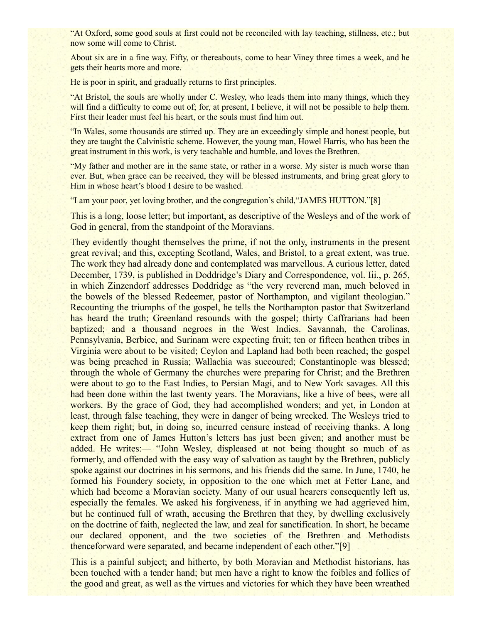"At Oxford, some good souls at first could not be reconciled with lay teaching, stillness, etc.; but now some will come to Christ.

About six are in a fine way. Fifty, or thereabouts, come to hear Viney three times a week, and he gets their hearts more and more.

He is poor in spirit, and gradually returns to first principles.

"At Bristol, the souls are wholly under C. Wesley, who leads them into many things, which they will find a difficulty to come out of; for, at present, I believe, it will not be possible to help them. First their leader must feel his heart, or the souls must find him out.

"In Wales, some thousands are stirred up. They are an exceedingly simple and honest people, but they are taught the Calvinistic scheme. However, the young man, Howel Harris, who has been the great instrument in this work, is very teachable and humble, and loves the Brethren.

"My father and mother are in the same state, or rather in a worse. My sister is much worse than ever. But, when grace can be received, they will be blessed instruments, and bring great glory to Him in whose heart's blood I desire to be washed.

"I am your poor, yet loving brother, and the congregation's child,"JAMES HUTTON."[8]

This is a long, loose letter; but important, as descriptive of the Wesleys and of the work of God in general, from the standpoint of the Moravians.

They evidently thought themselves the prime, if not the only, instruments in the present great revival; and this, excepting Scotland, Wales, and Bristol, to a great extent, was true. The work they had already done and contemplated was marvellous. A curious letter, dated December, 1739, is published in Doddridge's Diary and Correspondence, vol. Iii., p. 265, in which Zinzendorf addresses Doddridge as "the very reverend man, much beloved in the bowels of the blessed Redeemer, pastor of Northampton, and vigilant theologian." Recounting the triumphs of the gospel, he tells the Northampton pastor that Switzerland has heard the truth; Greenland resounds with the gospel; thirty Caffrarians had been baptized; and a thousand negroes in the West Indies. Savannah, the Carolinas, Pennsylvania, Berbice, and Surinam were expecting fruit; ten or fifteen heathen tribes in Virginia were about to be visited; Ceylon and Lapland had both been reached; the gospel was being preached in Russia; Wallachia was succoured; Constantinople was blessed; through the whole of Germany the churches were preparing for Christ; and the Brethren were about to go to the East Indies, to Persian Magi, and to New York savages. All this had been done within the last twenty years. The Moravians, like a hive of bees, were all workers. By the grace of God, they had accomplished wonders; and yet, in London at least, through false teaching, they were in danger of being wrecked. The Wesleys tried to keep them right; but, in doing so, incurred censure instead of receiving thanks. A long extract from one of James Hutton's letters has just been given; and another must be added. He writes:— "John Wesley, displeased at not being thought so much of as formerly, and offended with the easy way of salvation as taught by the Brethren, publicly spoke against our doctrines in his sermons, and his friends did the same. In June, 1740, he formed his Foundery society, in opposition to the one which met at Fetter Lane, and which had become a Moravian society. Many of our usual hearers consequently left us, especially the females. We asked his forgiveness, if in anything we had aggrieved him, but he continued full of wrath, accusing the Brethren that they, by dwelling exclusively on the doctrine of faith, neglected the law, and zeal for sanctification. In short, he became our declared opponent, and the two societies of the Brethren and Methodists thenceforward were separated, and became independent of each other."[9]

This is a painful subject; and hitherto, by both Moravian and Methodist historians, has been touched with a tender hand; but men have a right to know the foibles and follies of the good and great, as well as the virtues and victories for which they have been wreathed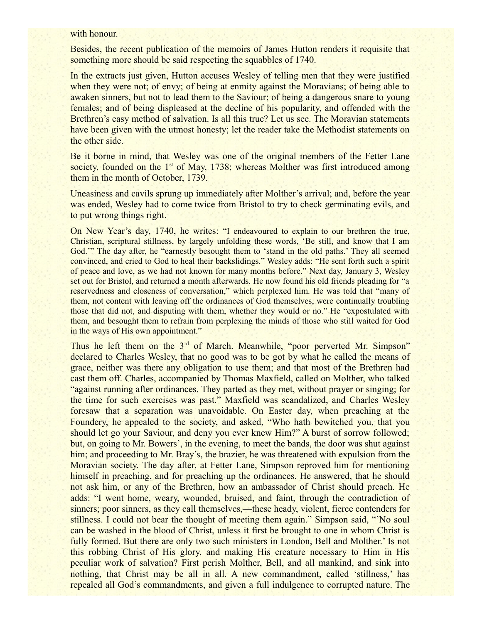#### with honour.

Besides, the recent publication of the memoirs of James Hutton renders it requisite that something more should be said respecting the squabbles of 1740.

In the extracts just given, Hutton accuses Wesley of telling men that they were justified when they were not; of envy; of being at enmity against the Moravians; of being able to awaken sinners, but not to lead them to the Saviour; of being a dangerous snare to young females; and of being displeased at the decline of his popularity, and offended with the Brethren's easy method of salvation. Is all this true? Let us see. The Moravian statements have been given with the utmost honesty; let the reader take the Methodist statements on the other side.

Be it borne in mind, that Wesley was one of the original members of the Fetter Lane society, founded on the 1<sup>st</sup> of May, 1738; whereas Molther was first introduced among them in the month of October, 1739.

Uneasiness and cavils sprung up immediately after Molther's arrival; and, before the year was ended, Wesley had to come twice from Bristol to try to check germinating evils, and to put wrong things right.

On New Year's day, 1740, he writes: "I endeavoured to explain to our brethren the true, Christian, scriptural stillness, by largely unfolding these words, 'Be still, and know that I am God.'" The day after, he "earnestly besought them to 'stand in the old paths.' They all seemed convinced, and cried to God to heal their backslidings." Wesley adds: "He sent forth such a spirit of peace and love, as we had not known for many months before." Next day, January 3, Wesley set out for Bristol, and returned a month afterwards. He now found his old friends pleading for "a reservedness and closeness of conversation," which perplexed him. He was told that "many of them, not content with leaving off the ordinances of God themselves, were continually troubling those that did not, and disputing with them, whether they would or no." He "expostulated with them, and besought them to refrain from perplexing the minds of those who still waited for God in the ways of His own appointment."

Thus he left them on the 3<sup>rd</sup> of March. Meanwhile, "poor perverted Mr. Simpson" declared to Charles Wesley, that no good was to be got by what he called the means of grace, neither was there any obligation to use them; and that most of the Brethren had cast them off. Charles, accompanied by Thomas Maxfield, called on Molther, who talked "against running after ordinances. They parted as they met, without prayer or singing; for the time for such exercises was past." Maxfield was scandalized, and Charles Wesley foresaw that a separation was unavoidable. On Easter day, when preaching at the Foundery, he appealed to the society, and asked, "Who hath bewitched you, that you should let go your Saviour, and deny you ever knew Him?" A burst of sorrow followed; but, on going to Mr. Bowers', in the evening, to meet the bands, the door was shut against him; and proceeding to Mr. Bray's, the brazier, he was threatened with expulsion from the Moravian society. The day after, at Fetter Lane, Simpson reproved him for mentioning himself in preaching, and for preaching up the ordinances. He answered, that he should not ask him, or any of the Brethren, how an ambassador of Christ should preach. He adds: "I went home, weary, wounded, bruised, and faint, through the contradiction of sinners; poor sinners, as they call themselves,—these heady, violent, fierce contenders for stillness. I could not bear the thought of meeting them again." Simpson said, "'No soul can be washed in the blood of Christ, unless it first be brought to one in whom Christ is fully formed. But there are only two such ministers in London, Bell and Molther.' Is not this robbing Christ of His glory, and making His creature necessary to Him in His peculiar work of salvation? First perish Molther, Bell, and all mankind, and sink into nothing, that Christ may be all in all. A new commandment, called 'stillness,' has repealed all God's commandments, and given a full indulgence to corrupted nature. The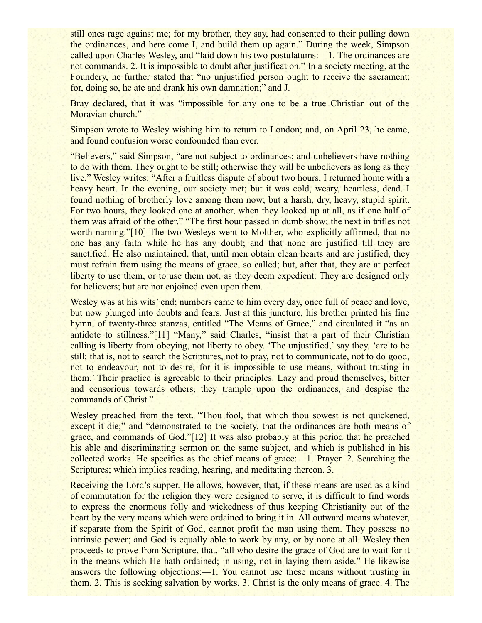still ones rage against me; for my brother, they say, had consented to their pulling down the ordinances, and here come I, and build them up again." During the week, Simpson called upon Charles Wesley, and "laid down his two postulatums:—1. The ordinances are not commands. 2. It is impossible to doubt after justification." In a society meeting, at the Foundery, he further stated that "no unjustified person ought to receive the sacrament; for, doing so, he ate and drank his own damnation;" and J.

Bray declared, that it was "impossible for any one to be a true Christian out of the Moravian church."

Simpson wrote to Wesley wishing him to return to London; and, on April 23, he came, and found confusion worse confounded than ever.

"Believers," said Simpson, "are not subject to ordinances; and unbelievers have nothing to do with them. They ought to be still; otherwise they will be unbelievers as long as they live." Wesley writes: "After a fruitless dispute of about two hours, I returned home with a heavy heart. In the evening, our society met; but it was cold, weary, heartless, dead. I found nothing of brotherly love among them now; but a harsh, dry, heavy, stupid spirit. For two hours, they looked one at another, when they looked up at all, as if one half of them was afraid of the other." "The first hour passed in dumb show; the next in trifles not worth naming."[10] The two Wesleys went to Molther, who explicitly affirmed, that no one has any faith while he has any doubt; and that none are justified till they are sanctified. He also maintained, that, until men obtain clean hearts and are justified, they must refrain from using the means of grace, so called; but, after that, they are at perfect liberty to use them, or to use them not, as they deem expedient. They are designed only for believers; but are not enjoined even upon them.

Wesley was at his wits' end; numbers came to him every day, once full of peace and love, but now plunged into doubts and fears. Just at this juncture, his brother printed his fine hymn, of twenty-three stanzas, entitled "The Means of Grace," and circulated it "as an antidote to stillness."[11] "Many," said Charles, "insist that a part of their Christian calling is liberty from obeying, not liberty to obey. 'The unjustified,' say they, 'are to be still; that is, not to search the Scriptures, not to pray, not to communicate, not to do good, not to endeavour, not to desire; for it is impossible to use means, without trusting in them.' Their practice is agreeable to their principles. Lazy and proud themselves, bitter and censorious towards others, they trample upon the ordinances, and despise the commands of Christ."

Wesley preached from the text, "Thou fool, that which thou sowest is not quickened, except it die;" and "demonstrated to the society, that the ordinances are both means of grace, and commands of God."[12] It was also probably at this period that he preached his able and discriminating sermon on the same subject, and which is published in his collected works. He specifies as the chief means of grace:—1. Prayer. 2. Searching the Scriptures; which implies reading, hearing, and meditating thereon. 3.

Receiving the Lord's supper. He allows, however, that, if these means are used as a kind of commutation for the religion they were designed to serve, it is difficult to find words to express the enormous folly and wickedness of thus keeping Christianity out of the heart by the very means which were ordained to bring it in. All outward means whatever, if separate from the Spirit of God, cannot profit the man using them. They possess no intrinsic power; and God is equally able to work by any, or by none at all. Wesley then proceeds to prove from Scripture, that, "all who desire the grace of God are to wait for it in the means which He hath ordained; in using, not in laying them aside." He likewise answers the following objections:—1. You cannot use these means without trusting in them. 2. This is seeking salvation by works. 3. Christ is the only means of grace. 4. The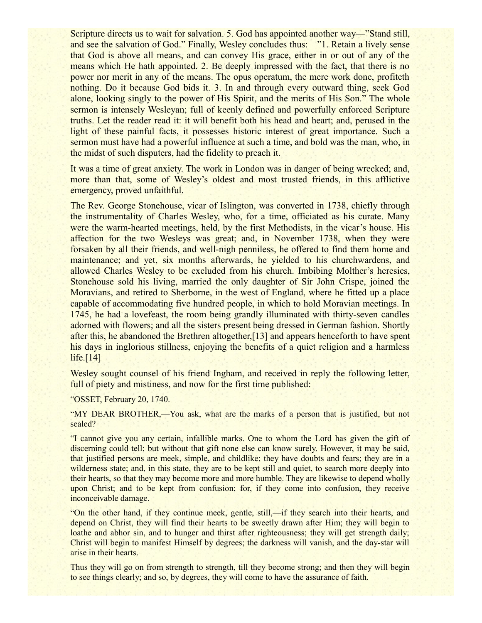Scripture directs us to wait for salvation. 5. God has appointed another way—"Stand still, and see the salvation of God." Finally, Wesley concludes thus:—"1. Retain a lively sense that God is above all means, and can convey His grace, either in or out of any of the means which He hath appointed. 2. Be deeply impressed with the fact, that there is no power nor merit in any of the means. The opus operatum, the mere work done, profiteth nothing. Do it because God bids it. 3. In and through every outward thing, seek God alone, looking singly to the power of His Spirit, and the merits of His Son." The whole sermon is intensely Wesleyan; full of keenly defined and powerfully enforced Scripture truths. Let the reader read it: it will benefit both his head and heart; and, perused in the light of these painful facts, it possesses historic interest of great importance. Such a sermon must have had a powerful influence at such a time, and bold was the man, who, in the midst of such disputers, had the fidelity to preach it.

It was a time of great anxiety. The work in London was in danger of being wrecked; and, more than that, some of Wesley's oldest and most trusted friends, in this afflictive emergency, proved unfaithful.

The Rev. George Stonehouse, vicar of Islington, was converted in 1738, chiefly through the instrumentality of Charles Wesley, who, for a time, officiated as his curate. Many were the warm-hearted meetings, held, by the first Methodists, in the vicar's house. His affection for the two Wesleys was great; and, in November 1738, when they were forsaken by all their friends, and well-nigh penniless, he offered to find them home and maintenance; and yet, six months afterwards, he yielded to his churchwardens, and allowed Charles Wesley to be excluded from his church. Imbibing Molther's heresies, Stonehouse sold his living, married the only daughter of Sir John Crispe, joined the Moravians, and retired to Sherborne, in the west of England, where he fitted up a place capable of accommodating five hundred people, in which to hold Moravian meetings. In 1745, he had a lovefeast, the room being grandly illuminated with thirty-seven candles adorned with flowers; and all the sisters present being dressed in German fashion. Shortly after this, he abandoned the Brethren altogether,[13] and appears henceforth to have spent his days in inglorious stillness, enjoying the benefits of a quiet religion and a harmless life. $[14]$ 

Wesley sought counsel of his friend Ingham, and received in reply the following letter. full of piety and mistiness, and now for the first time published:

"OSSET, February 20, 1740.

"MY DEAR BROTHER,—You ask, what are the marks of a person that is justified, but not sealed?

"I cannot give you any certain, infallible marks. One to whom the Lord has given the gift of discerning could tell; but without that gift none else can know surely. However, it may be said, that justified persons are meek, simple, and childlike; they have doubts and fears; they are in a wilderness state; and, in this state, they are to be kept still and quiet, to search more deeply into their hearts, so that they may become more and more humble. They are likewise to depend wholly upon Christ; and to be kept from confusion; for, if they come into confusion, they receive inconceivable damage.

"On the other hand, if they continue meek, gentle, still,—if they search into their hearts, and depend on Christ, they will find their hearts to be sweetly drawn after Him; they will begin to loathe and abhor sin, and to hunger and thirst after righteousness; they will get strength daily; Christ will begin to manifest Himself by degrees; the darkness will vanish, and the day-star will arise in their hearts.

Thus they will go on from strength to strength, till they become strong; and then they will begin to see things clearly; and so, by degrees, they will come to have the assurance of faith.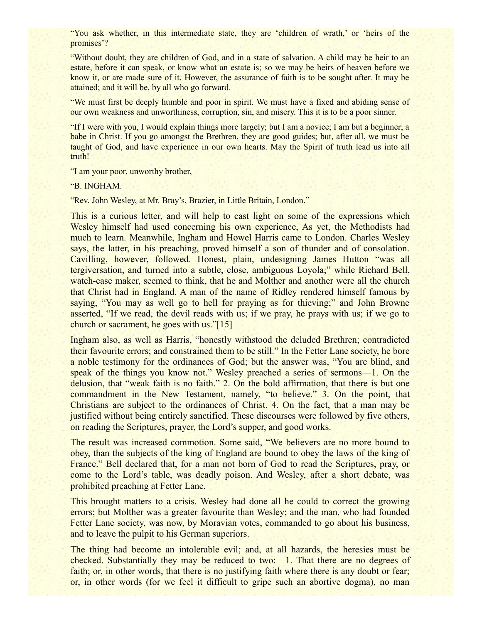"You ask whether, in this intermediate state, they are 'children of wrath,' or 'heirs of the promises'?

"Without doubt, they are children of God, and in a state of salvation. A child may be heir to an estate, before it can speak, or know what an estate is; so we may be heirs of heaven before we know it, or are made sure of it. However, the assurance of faith is to be sought after. It may be attained; and it will be, by all who go forward.

"We must first be deeply humble and poor in spirit. We must have a fixed and abiding sense of our own weakness and unworthiness, corruption, sin, and misery. This it is to be a poor sinner.

"If I were with you, I would explain things more largely; but I am a novice; I am but a beginner; a babe in Christ. If you go amongst the Brethren, they are good guides; but, after all, we must be taught of God, and have experience in our own hearts. May the Spirit of truth lead us into all truth!

"I am your poor, unworthy brother,

"B. INGHAM.

"Rev. John Wesley, at Mr. Bray's, Brazier, in Little Britain, London."

This is a curious letter, and will help to cast light on some of the expressions which Wesley himself had used concerning his own experience, As yet, the Methodists had much to learn. Meanwhile, Ingham and Howel Harris came to London. Charles Wesley says, the latter, in his preaching, proved himself a son of thunder and of consolation. Cavilling, however, followed. Honest, plain, undesigning James Hutton "was all tergiversation, and turned into a subtle, close, ambiguous Loyola;" while Richard Bell, watch-case maker, seemed to think, that he and Molther and another were all the church that Christ had in England. A man of the name of Ridley rendered himself famous by saying, "You may as well go to hell for praying as for thieving;" and John Browne asserted, "If we read, the devil reads with us; if we pray, he prays with us; if we go to church or sacrament, he goes with us."[15]

Ingham also, as well as Harris, "honestly withstood the deluded Brethren; contradicted their favourite errors; and constrained them to be still." In the Fetter Lane society, he bore a noble testimony for the ordinances of God; but the answer was, "You are blind, and speak of the things you know not." Wesley preached a series of sermons—1. On the delusion, that "weak faith is no faith." 2. On the bold affirmation, that there is but one commandment in the New Testament, namely, "to believe." 3. On the point, that Christians are subject to the ordinances of Christ. 4. On the fact, that a man may be justified without being entirely sanctified. These discourses were followed by five others, on reading the Scriptures, prayer, the Lord's supper, and good works.

The result was increased commotion. Some said, "We believers are no more bound to obey, than the subjects of the king of England are bound to obey the laws of the king of France." Bell declared that, for a man not born of God to read the Scriptures, pray, or come to the Lord's table, was deadly poison. And Wesley, after a short debate, was prohibited preaching at Fetter Lane.

This brought matters to a crisis. Wesley had done all he could to correct the growing errors; but Molther was a greater favourite than Wesley; and the man, who had founded Fetter Lane society, was now, by Moravian votes, commanded to go about his business, and to leave the pulpit to his German superiors.

The thing had become an intolerable evil; and, at all hazards, the heresies must be checked. Substantially they may be reduced to two:—1. That there are no degrees of faith; or, in other words, that there is no justifying faith where there is any doubt or fear; or, in other words (for we feel it difficult to gripe such an abortive dogma), no man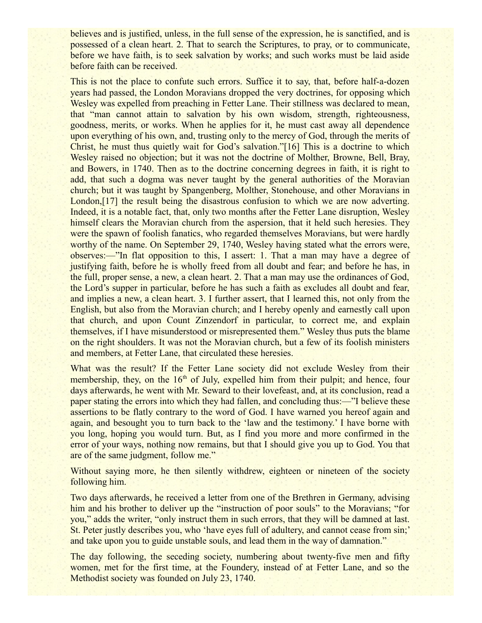believes and is justified, unless, in the full sense of the expression, he is sanctified, and is possessed of a clean heart. 2. That to search the Scriptures, to pray, or to communicate, before we have faith, is to seek salvation by works; and such works must be laid aside before faith can be received.

This is not the place to confute such errors. Suffice it to say, that, before half-a-dozen years had passed, the London Moravians dropped the very doctrines, for opposing which Wesley was expelled from preaching in Fetter Lane. Their stillness was declared to mean, that "man cannot attain to salvation by his own wisdom, strength, righteousness, goodness, merits, or works. When he applies for it, he must cast away all dependence upon everything of his own, and, trusting only to the mercy of God, through the merits of Christ, he must thus quietly wait for God's salvation."[16] This is a doctrine to which Wesley raised no objection; but it was not the doctrine of Molther, Browne, Bell, Bray, and Bowers, in 1740. Then as to the doctrine concerning degrees in faith, it is right to add, that such a dogma was never taught by the general authorities of the Moravian church; but it was taught by Spangenberg, Molther, Stonehouse, and other Moravians in London,[17] the result being the disastrous confusion to which we are now adverting. Indeed, it is a notable fact, that, only two months after the Fetter Lane disruption, Wesley himself clears the Moravian church from the aspersion, that it held such heresies. They were the spawn of foolish fanatics, who regarded themselves Moravians, but were hardly worthy of the name. On September 29, 1740, Wesley having stated what the errors were, observes:—"In flat opposition to this, I assert: 1. That a man may have a degree of justifying faith, before he is wholly freed from all doubt and fear; and before he has, in the full, proper sense, a new, a clean heart. 2. That a man may use the ordinances of God, the Lord's supper in particular, before he has such a faith as excludes all doubt and fear, and implies a new, a clean heart. 3. I further assert, that I learned this, not only from the English, but also from the Moravian church; and I hereby openly and earnestly call upon that church, and upon Count Zinzendorf in particular, to correct me, and explain themselves, if I have misunderstood or misrepresented them." Wesley thus puts the blame on the right shoulders. It was not the Moravian church, but a few of its foolish ministers and members, at Fetter Lane, that circulated these heresies.

What was the result? If the Fetter Lane society did not exclude Wesley from their membership, they, on the  $16<sup>th</sup>$  of July, expelled him from their pulpit; and hence, four days afterwards, he went with Mr. Seward to their lovefeast, and, at its conclusion, read a paper stating the errors into which they had fallen, and concluding thus:—"I believe these assertions to be flatly contrary to the word of God. I have warned you hereof again and again, and besought you to turn back to the 'law and the testimony.' I have borne with you long, hoping you would turn. But, as I find you more and more confirmed in the error of your ways, nothing now remains, but that I should give you up to God. You that are of the same judgment, follow me."

Without saying more, he then silently withdrew, eighteen or nineteen of the society following him.

Two days afterwards, he received a letter from one of the Brethren in Germany, advising him and his brother to deliver up the "instruction of poor souls" to the Moravians; "for you," adds the writer, "only instruct them in such errors, that they will be damned at last. St. Peter justly describes you, who 'have eyes full of adultery, and cannot cease from sin;' and take upon you to guide unstable souls, and lead them in the way of damnation."

The day following, the seceding society, numbering about twenty-five men and fifty women, met for the first time, at the Foundery, instead of at Fetter Lane, and so the Methodist society was founded on July 23, 1740.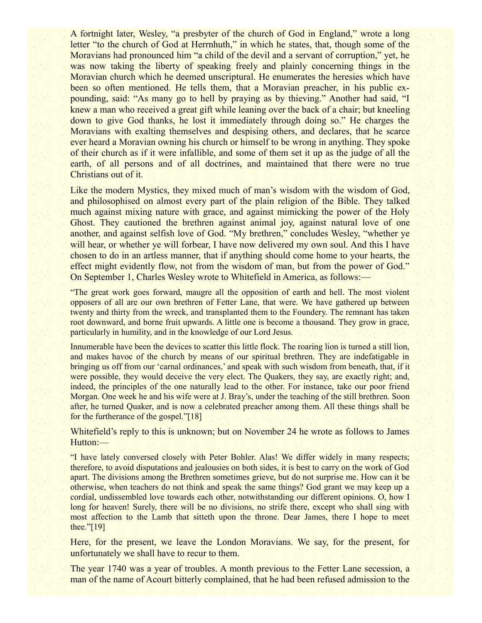A fortnight later, Wesley, "a presbyter of the church of God in England," wrote a long letter "to the church of God at Herrnhuth," in which he states, that, though some of the Moravians had pronounced him "a child of the devil and a servant of corruption," yet, he was now taking the liberty of speaking freely and plainly concerning things in the Moravian church which he deemed unscriptural. He enumerates the heresies which have been so often mentioned. He tells them, that a Moravian preacher, in his public expounding, said: "As many go to hell by praying as by thieving." Another had said, "I knew a man who received a great gift while leaning over the back of a chair; but kneeling down to give God thanks, he lost it immediately through doing so." He charges the Moravians with exalting themselves and despising others, and declares, that he scarce ever heard a Moravian owning his church or himself to be wrong in anything. They spoke of their church as if it were infallible, and some of them set it up as the judge of all the earth, of all persons and of all doctrines, and maintained that there were no true Christians out of it.

Like the modern Mystics, they mixed much of man's wisdom with the wisdom of God, and philosophised on almost every part of the plain religion of the Bible. They talked much against mixing nature with grace, and against mimicking the power of the Holy Ghost. They cautioned the brethren against animal joy, against natural love of one another, and against selfish love of God. "My brethren," concludes Wesley, "whether ye will hear, or whether ye will forbear. I have now delivered my own soul. And this I have chosen to do in an artless manner, that if anything should come home to your hearts, the effect might evidently flow, not from the wisdom of man, but from the power of God." On September 1, Charles Wesley wrote to Whitefield in America, as follows:—

"The great work goes forward, maugre all the opposition of earth and hell. The most violent opposers of all are our own brethren of Fetter Lane, that were. We have gathered up between twenty and thirty from the wreck, and transplanted them to the Foundery. The remnant has taken root downward, and borne fruit upwards. A little one is become a thousand. They grow in grace, particularly in humility, and in the knowledge of our Lord Jesus.

Innumerable have been the devices to scatter this little flock. The roaring lion is turned a still lion, and makes havoc of the church by means of our spiritual brethren. They are indefatigable in bringing us off from our 'carnal ordinances,' and speak with such wisdom from beneath, that, if it were possible, they would deceive the very elect. The Quakers, they say, are exactly right; and, indeed, the principles of the one naturally lead to the other. For instance, take our poor friend Morgan. One week he and his wife were at J. Bray's, under the teaching of the still brethren. Soon after, he turned Quaker, and is now a celebrated preacher among them. All these things shall be for the furtherance of the gospel."[18]

Whitefield's reply to this is unknown; but on November 24 he wrote as follows to James Hutton:—

"I have lately conversed closely with Peter Bohler. Alas! We differ widely in many respects; therefore, to avoid disputations and jealousies on both sides, it is best to carry on the work of God apart. The divisions among the Brethren sometimes grieve, but do not surprise me. How can it be otherwise, when teachers do not think and speak the same things? God grant we may keep up a cordial, undissembled love towards each other, notwithstanding our different opinions. O, how I long for heaven! Surely, there will be no divisions, no strife there, except who shall sing with most affection to the Lamb that sitteth upon the throne. Dear James, there I hope to meet thee."[19]

Here, for the present, we leave the London Moravians. We say, for the present, for unfortunately we shall have to recur to them.

The year 1740 was a year of troubles. A month previous to the Fetter Lane secession, a man of the name of Acourt bitterly complained, that he had been refused admission to the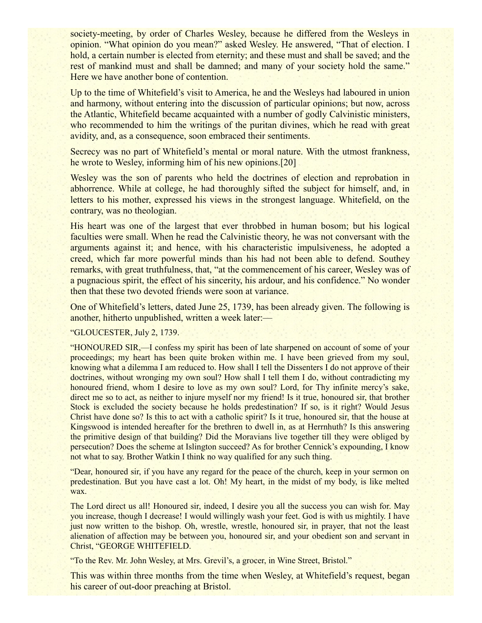society-meeting, by order of Charles Wesley, because he differed from the Wesleys in opinion. "What opinion do you mean?" asked Wesley. He answered, "That of election. I hold, a certain number is elected from eternity; and these must and shall be saved; and the rest of mankind must and shall be damned; and many of your society hold the same." Here we have another bone of contention.

Up to the time of Whitefield's visit to America, he and the Wesleys had laboured in union and harmony, without entering into the discussion of particular opinions; but now, across the Atlantic, Whitefield became acquainted with a number of godly Calvinistic ministers, who recommended to him the writings of the puritan divines, which he read with great avidity, and, as a consequence, soon embraced their sentiments.

Secrecy was no part of Whitefield's mental or moral nature. With the utmost frankness, he wrote to Wesley, informing him of his new opinions.[20]

Wesley was the son of parents who held the doctrines of election and reprobation in abhorrence. While at college, he had thoroughly sifted the subject for himself, and, in letters to his mother, expressed his views in the strongest language. Whitefield, on the contrary, was no theologian.

His heart was one of the largest that ever throbbed in human bosom; but his logical faculties were small. When he read the Calvinistic theory, he was not conversant with the arguments against it; and hence, with his characteristic impulsiveness, he adopted a creed, which far more powerful minds than his had not been able to defend. Southey remarks, with great truthfulness, that, "at the commencement of his career, Wesley was of a pugnacious spirit, the effect of his sincerity, his ardour, and his confidence." No wonder then that these two devoted friends were soon at variance.

One of Whitefield's letters, dated June 25, 1739, has been already given. The following is another, hitherto unpublished, written a week later:—

"GLOUCESTER, July 2, 1739.

"HONOURED SIR,—I confess my spirit has been of late sharpened on account of some of your proceedings; my heart has been quite broken within me. I have been grieved from my soul, knowing what a dilemma I am reduced to. How shall I tell the Dissenters I do not approve of their doctrines, without wronging my own soul? How shall I tell them I do, without contradicting my honoured friend, whom I desire to love as my own soul? Lord, for Thy infinite mercy's sake, direct me so to act, as neither to injure myself nor my friend! Is it true, honoured sir, that brother Stock is excluded the society because he holds predestination? If so, is it right? Would Jesus Christ have done so? Is this to act with a catholic spirit? Is it true, honoured sir, that the house at Kingswood is intended hereafter for the brethren to dwell in, as at Herrnhuth? Is this answering the primitive design of that building? Did the Moravians live together till they were obliged by persecution? Does the scheme at Islington succeed? As for brother Cennick's expounding, I know not what to say. Brother Watkin I think no way qualified for any such thing.

"Dear, honoured sir, if you have any regard for the peace of the church, keep in your sermon on predestination. But you have cast a lot. Oh! My heart, in the midst of my body, is like melted wax.

The Lord direct us all! Honoured sir, indeed, I desire you all the success you can wish for. May you increase, though I decrease! I would willingly wash your feet. God is with us mightily. I have just now written to the bishop. Oh, wrestle, wrestle, honoured sir, in prayer, that not the least alienation of affection may be between you, honoured sir, and your obedient son and servant in Christ, "GEORGE WHITEFIELD.

"To the Rev. Mr. John Wesley, at Mrs. Grevil's, a grocer, in Wine Street, Bristol."

This was within three months from the time when Wesley, at Whitefield's request, began his career of out-door preaching at Bristol.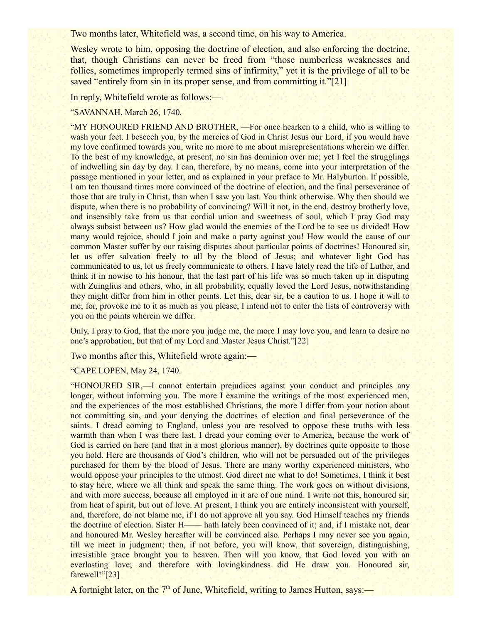Two months later, Whitefield was, a second time, on his way to America.

Wesley wrote to him, opposing the doctrine of election, and also enforcing the doctrine, that, though Christians can never be freed from "those numberless weaknesses and follies, sometimes improperly termed sins of infirmity," yet it is the privilege of all to be saved "entirely from sin in its proper sense, and from committing it."[21]

In reply, Whitefield wrote as follows:—

## "SAVANNAH, March 26, 1740.

"MY HONOURED FRIEND AND BROTHER, —For once hearken to a child, who is willing to wash your feet. I beseech you, by the mercies of God in Christ Jesus our Lord, if you would have my love confirmed towards you, write no more to me about misrepresentations wherein we differ. To the best of my knowledge, at present, no sin has dominion over me; yet I feel the strugglings of indwelling sin day by day. I can, therefore, by no means, come into your interpretation of the passage mentioned in your letter, and as explained in your preface to Mr. Halyburton. If possible, I am ten thousand times more convinced of the doctrine of election, and the final perseverance of those that are truly in Christ, than when I saw you last. You think otherwise. Why then should we dispute, when there is no probability of convincing? Will it not, in the end, destroy brotherly love, and insensibly take from us that cordial union and sweetness of soul, which I pray God may always subsist between us? How glad would the enemies of the Lord be to see us divided! How many would rejoice, should I join and make a party against you! How would the cause of our common Master suffer by our raising disputes about particular points of doctrines! Honoured sir, let us offer salvation freely to all by the blood of Jesus; and whatever light God has communicated to us, let us freely communicate to others. I have lately read the life of Luther, and think it in nowise to his honour, that the last part of his life was so much taken up in disputing with Zuinglius and others, who, in all probability, equally loved the Lord Jesus, notwithstanding they might differ from him in other points. Let this, dear sir, be a caution to us. I hope it will to me; for, provoke me to it as much as you please, I intend not to enter the lists of controversy with you on the points wherein we differ.

Only, I pray to God, that the more you judge me, the more I may love you, and learn to desire no one's approbation, but that of my Lord and Master Jesus Christ."[22]

Two months after this, Whitefield wrote again:—

"CAPE LOPEN, May 24, 1740.

"HONOURED SIR,—I cannot entertain prejudices against your conduct and principles any longer, without informing you. The more I examine the writings of the most experienced men, and the experiences of the most established Christians, the more I differ from your notion about not committing sin, and your denying the doctrines of election and final perseverance of the saints. I dread coming to England, unless you are resolved to oppose these truths with less warmth than when I was there last. I dread your coming over to America, because the work of God is carried on here (and that in a most glorious manner), by doctrines quite opposite to those you hold. Here are thousands of God's children, who will not be persuaded out of the privileges purchased for them by the blood of Jesus. There are many worthy experienced ministers, who would oppose your principles to the utmost. God direct me what to do! Sometimes, I think it best to stay here, where we all think and speak the same thing. The work goes on without divisions, and with more success, because all employed in it are of one mind. I write not this, honoured sir, from heat of spirit, but out of love. At present, I think you are entirely inconsistent with yourself, and, therefore, do not blame me, if I do not approve all you say. God Himself teaches my friends the doctrine of election. Sister H—— hath lately been convinced of it; and, if I mistake not, dear and honoured Mr. Wesley hereafter will be convinced also. Perhaps I may never see you again, till we meet in judgment; then, if not before, you will know, that sovereign, distinguishing, irresistible grace brought you to heaven. Then will you know, that God loved you with an everlasting love; and therefore with lovingkindness did He draw you. Honoured sir, farewell!"[23]

A fortnight later, on the  $7<sup>th</sup>$  of June, Whitefield, writing to James Hutton, says:—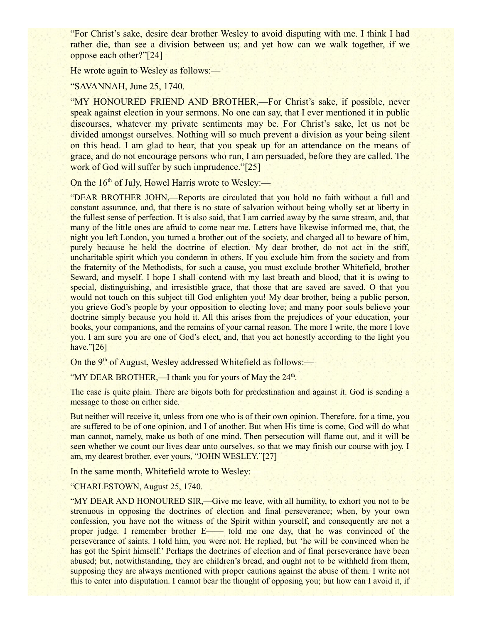"For Christ's sake, desire dear brother Wesley to avoid disputing with me. I think I had rather die, than see a division between us; and yet how can we walk together, if we oppose each other?"[24]

He wrote again to Wesley as follows:—

"SAVANNAH, June 25, 1740.

"MY HONOURED FRIEND AND BROTHER,—For Christ's sake, if possible, never speak against election in your sermons. No one can say, that I ever mentioned it in public discourses, whatever my private sentiments may be. For Christ's sake, let us not be divided amongst ourselves. Nothing will so much prevent a division as your being silent on this head. I am glad to hear, that you speak up for an attendance on the means of grace, and do not encourage persons who run, I am persuaded, before they are called. The work of God will suffer by such imprudence."[25]

On the  $16<sup>th</sup>$  of July, Howel Harris wrote to Wesley:—

"DEAR BROTHER JOHN,—Reports are circulated that you hold no faith without a full and constant assurance, and, that there is no state of salvation without being wholly set at liberty in the fullest sense of perfection. It is also said, that I am carried away by the same stream, and, that many of the little ones are afraid to come near me. Letters have likewise informed me, that, the night you left London, you turned a brother out of the society, and charged all to beware of him, purely because he held the doctrine of election. My dear brother, do not act in the stiff, uncharitable spirit which you condemn in others. If you exclude him from the society and from the fraternity of the Methodists, for such a cause, you must exclude brother Whitefield, brother Seward, and myself. I hope I shall contend with my last breath and blood, that it is owing to special, distinguishing, and irresistible grace, that those that are saved are saved. O that you would not touch on this subject till God enlighten you! My dear brother, being a public person, you grieve God's people by your opposition to electing love; and many poor souls believe your doctrine simply because you hold it. All this arises from the prejudices of your education, your books, your companions, and the remains of your carnal reason. The more I write, the more I love you. I am sure you are one of God's elect, and, that you act honestly according to the light you have."[26]

On the  $9<sup>th</sup>$  of August, Wesley addressed Whitefield as follows:—

"MY DEAR BROTHER,—I thank you for yours of May the  $24<sup>th</sup>$ .

The case is quite plain. There are bigots both for predestination and against it. God is sending a message to those on either side.

But neither will receive it, unless from one who is of their own opinion. Therefore, for a time, you are suffered to be of one opinion, and I of another. But when His time is come, God will do what man cannot, namely, make us both of one mind. Then persecution will flame out, and it will be seen whether we count our lives dear unto ourselves, so that we may finish our course with joy. I am, my dearest brother, ever yours, "JOHN WESLEY."[27]

In the same month, Whitefield wrote to Wesley:—

#### "CHARLESTOWN, August 25, 1740.

"MY DEAR AND HONOURED SIR,—Give me leave, with all humility, to exhort you not to be strenuous in opposing the doctrines of election and final perseverance; when, by your own confession, you have not the witness of the Spirit within yourself, and consequently are not a proper judge. I remember brother E—— told me one day, that he was convinced of the perseverance of saints. I told him, you were not. He replied, but 'he will be convinced when he has got the Spirit himself.' Perhaps the doctrines of election and of final perseverance have been abused; but, notwithstanding, they are children's bread, and ought not to be withheld from them, supposing they are always mentioned with proper cautions against the abuse of them. I write not this to enter into disputation. I cannot bear the thought of opposing you; but how can I avoid it, if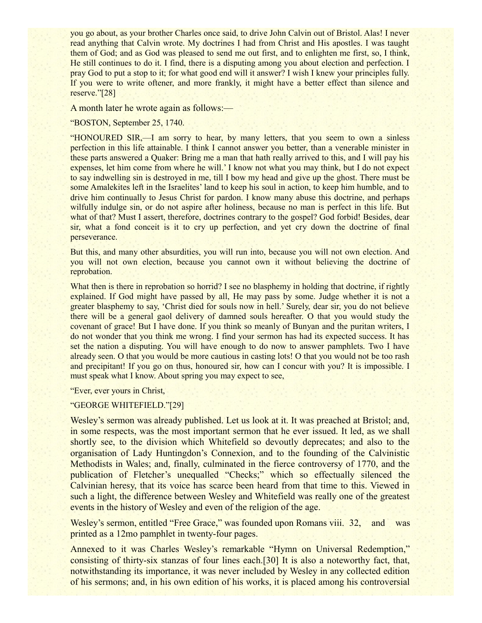you go about, as your brother Charles once said, to drive John Calvin out of Bristol. Alas! I never read anything that Calvin wrote. My doctrines I had from Christ and His apostles. I was taught them of God; and as God was pleased to send me out first, and to enlighten me first, so, I think, He still continues to do it. I find, there is a disputing among you about election and perfection. I pray God to put a stop to it; for what good end will it answer? I wish I knew your principles fully. If you were to write oftener, and more frankly, it might have a better effect than silence and reserve."[28]

A month later he wrote again as follows:—

"BOSTON, September 25, 1740.

"HONOURED SIR,—I am sorry to hear, by many letters, that you seem to own a sinless perfection in this life attainable. I think I cannot answer you better, than a venerable minister in these parts answered a Quaker: Bring me a man that hath really arrived to this, and I will pay his expenses, let him come from where he will.' I know not what you may think, but I do not expect to say indwelling sin is destroyed in me, till I bow my head and give up the ghost. There must be some Amalekites left in the Israelites' land to keep his soul in action, to keep him humble, and to drive him continually to Jesus Christ for pardon. I know many abuse this doctrine, and perhaps wilfully indulge sin, or do not aspire after holiness, because no man is perfect in this life. But what of that? Must I assert, therefore, doctrines contrary to the gospel? God forbid! Besides, dear sir, what a fond conceit is it to cry up perfection, and yet cry down the doctrine of final perseverance.

But this, and many other absurdities, you will run into, because you will not own election. And you will not own election, because you cannot own it without believing the doctrine of reprobation.

What then is there in reprobation so horrid? I see no blasphemy in holding that doctrine, if rightly explained. If God might have passed by all, He may pass by some. Judge whether it is not a greater blasphemy to say, 'Christ died for souls now in hell.' Surely, dear sir, you do not believe there will be a general gaol delivery of damned souls hereafter. O that you would study the covenant of grace! But I have done. If you think so meanly of Bunyan and the puritan writers, I do not wonder that you think me wrong. I find your sermon has had its expected success. It has set the nation a disputing. You will have enough to do now to answer pamphlets. Two I have already seen. O that you would be more cautious in casting lots! O that you would not be too rash and precipitant! If you go on thus, honoured sir, how can I concur with you? It is impossible. I must speak what I know. About spring you may expect to see,

"Ever, ever yours in Christ,

#### "GEORGE WHITEFIELD."[29]

Wesley's sermon was already published. Let us look at it. It was preached at Bristol; and, in some respects, was the most important sermon that he ever issued. It led, as we shall shortly see, to the division which Whitefield so devoutly deprecates; and also to the organisation of Lady Huntingdon's Connexion, and to the founding of the Calvinistic Methodists in Wales; and, finally, culminated in the fierce controversy of 1770, and the publication of Fletcher's unequalled "Checks;" which so effectually silenced the Calvinian heresy, that its voice has scarce been heard from that time to this. Viewed in such a light, the difference between Wesley and Whitefield was really one of the greatest events in the history of Wesley and even of the religion of the age.

Wesley's sermon, entitled "Free Grace," was founded upon Romans viii. 32, and was printed as a 12mo pamphlet in twenty-four pages.

Annexed to it was Charles Wesley's remarkable "Hymn on Universal Redemption," consisting of thirty-six stanzas of four lines each.[30] It is also a noteworthy fact, that, notwithstanding its importance, it was never included by Wesley in any collected edition of his sermons; and, in his own edition of his works, it is placed among his controversial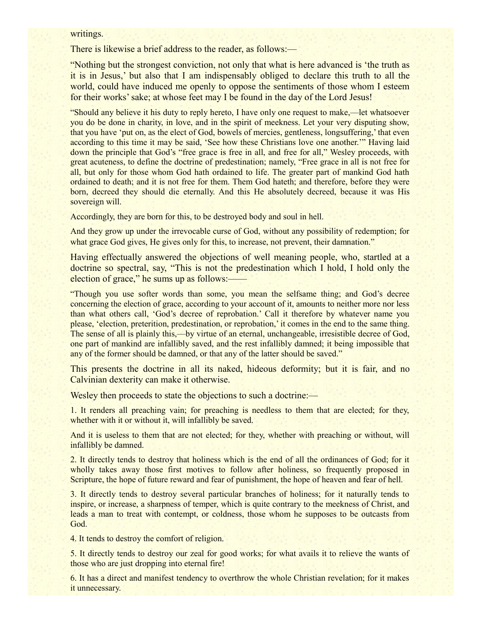#### writings.

There is likewise a brief address to the reader, as follows:—

"Nothing but the strongest conviction, not only that what is here advanced is 'the truth as it is in Jesus,' but also that I am indispensably obliged to declare this truth to all the world, could have induced me openly to oppose the sentiments of those whom I esteem for their works' sake; at whose feet may I be found in the day of the Lord Jesus!

"Should any believe it his duty to reply hereto, I have only one request to make,—let whatsoever you do be done in charity, in love, and in the spirit of meekness. Let your very disputing show, that you have 'put on, as the elect of God, bowels of mercies, gentleness, longsuffering,' that even according to this time it may be said, 'See how these Christians love one another.'" Having laid down the principle that God's "free grace is free in all, and free for all," Wesley proceeds, with great acuteness, to define the doctrine of predestination; namely, "Free grace in all is not free for all, but only for those whom God hath ordained to life. The greater part of mankind God hath ordained to death; and it is not free for them. Them God hateth; and therefore, before they were born, decreed they should die eternally. And this He absolutely decreed, because it was His sovereign will.

Accordingly, they are born for this, to be destroyed body and soul in hell.

And they grow up under the irrevocable curse of God, without any possibility of redemption; for what grace God gives, He gives only for this, to increase, not prevent, their damnation."

Having effectually answered the objections of well meaning people, who, startled at a doctrine so spectral, say, "This is not the predestination which I hold, I hold only the election of grace," he sums up as follows:——

"Though you use softer words than some, you mean the selfsame thing; and God's decree concerning the election of grace, according to your account of it, amounts to neither more nor less than what others call, 'God's decree of reprobation.' Call it therefore by whatever name you please, 'election, preterition, predestination, or reprobation,' it comes in the end to the same thing. The sense of all is plainly this,—by virtue of an eternal, unchangeable, irresistible decree of God, one part of mankind are infallibly saved, and the rest infallibly damned; it being impossible that any of the former should be damned, or that any of the latter should be saved."

This presents the doctrine in all its naked, hideous deformity; but it is fair, and no Calvinian dexterity can make it otherwise.

Wesley then proceeds to state the objections to such a doctrine:—

1. It renders all preaching vain; for preaching is needless to them that are elected; for they, whether with it or without it, will infallibly be saved.

And it is useless to them that are not elected; for they, whether with preaching or without, will infallibly be damned.

2. It directly tends to destroy that holiness which is the end of all the ordinances of God; for it wholly takes away those first motives to follow after holiness, so frequently proposed in Scripture, the hope of future reward and fear of punishment, the hope of heaven and fear of hell.

3. It directly tends to destroy several particular branches of holiness; for it naturally tends to inspire, or increase, a sharpness of temper, which is quite contrary to the meekness of Christ, and leads a man to treat with contempt, or coldness, those whom he supposes to be outcasts from God.

4. It tends to destroy the comfort of religion.

5. It directly tends to destroy our zeal for good works; for what avails it to relieve the wants of those who are just dropping into eternal fire!

6. It has a direct and manifest tendency to overthrow the whole Christian revelation; for it makes it unnecessary.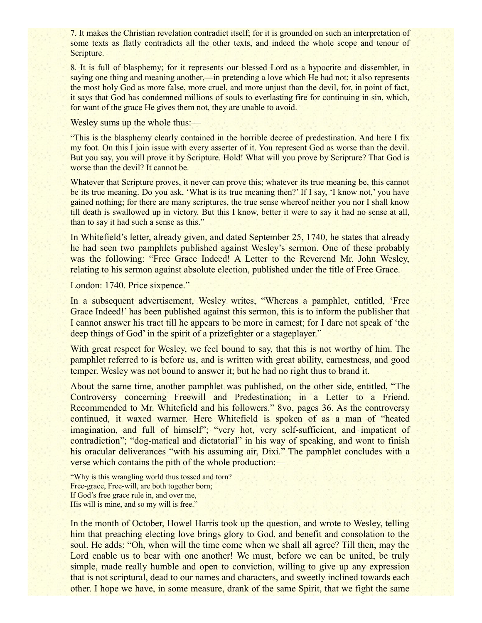7. It makes the Christian revelation contradict itself; for it is grounded on such an interpretation of some texts as flatly contradicts all the other texts, and indeed the whole scope and tenour of Scripture.

8. It is full of blasphemy; for it represents our blessed Lord as a hypocrite and dissembler, in saying one thing and meaning another,—in pretending a love which He had not; it also represents the most holy God as more false, more cruel, and more unjust than the devil, for, in point of fact, it says that God has condemned millions of souls to everlasting fire for continuing in sin, which, for want of the grace He gives them not, they are unable to avoid.

Wesley sums up the whole thus:—

"This is the blasphemy clearly contained in the horrible decree of predestination. And here I fix my foot. On this I join issue with every asserter of it. You represent God as worse than the devil. But you say, you will prove it by Scripture. Hold! What will you prove by Scripture? That God is worse than the devil? It cannot be.

Whatever that Scripture proves, it never can prove this; whatever its true meaning be, this cannot be its true meaning. Do you ask, 'What is its true meaning then?' If I say, 'I know not,' you have gained nothing; for there are many scriptures, the true sense whereof neither you nor I shall know till death is swallowed up in victory. But this I know, better it were to say it had no sense at all, than to say it had such a sense as this."

In Whitefield's letter, already given, and dated September 25, 1740, he states that already he had seen two pamphlets published against Wesley's sermon. One of these probably was the following: "Free Grace Indeed! A Letter to the Reverend Mr. John Wesley, relating to his sermon against absolute election, published under the title of Free Grace.

London: 1740. Price sixpence."

In a subsequent advertisement, Wesley writes, "Whereas a pamphlet, entitled, 'Free Grace Indeed!' has been published against this sermon, this is to inform the publisher that I cannot answer his tract till he appears to be more in earnest; for I dare not speak of 'the deep things of God' in the spirit of a prizefighter or a stageplayer."

With great respect for Wesley, we feel bound to say, that this is not worthy of him. The pamphlet referred to is before us, and is written with great ability, earnestness, and good temper. Wesley was not bound to answer it; but he had no right thus to brand it.

About the same time, another pamphlet was published, on the other side, entitled, "The Controversy concerning Freewill and Predestination; in a Letter to a Friend. Recommended to Mr. Whitefield and his followers." 8vo, pages 36. As the controversy continued, it waxed warmer. Here Whitefield is spoken of as a man of "heated imagination, and full of himself"; "very hot, very self-sufficient, and impatient of contradiction"; "dog-matical and dictatorial" in his way of speaking, and wont to finish his oracular deliverances "with his assuming air, Dixi." The pamphlet concludes with a verse which contains the pith of the whole production:—

"Why is this wrangling world thus tossed and torn? Free-grace, Free-will, are both together born; If God's free grace rule in, and over me, His will is mine, and so my will is free."

In the month of October, Howel Harris took up the question, and wrote to Wesley, telling him that preaching electing love brings glory to God, and benefit and consolation to the soul. He adds: "Oh, when will the time come when we shall all agree? Till then, may the Lord enable us to bear with one another! We must, before we can be united, be truly simple, made really humble and open to conviction, willing to give up any expression that is not scriptural, dead to our names and characters, and sweetly inclined towards each other. I hope we have, in some measure, drank of the same Spirit, that we fight the same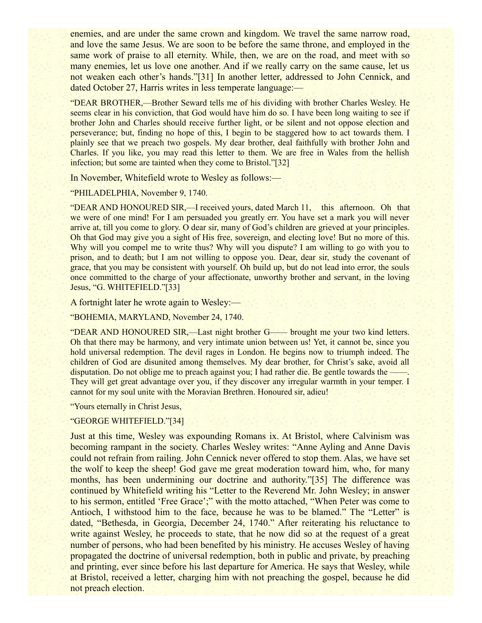enemies, and are under the same crown and kingdom. We travel the same narrow road, and love the same Jesus. We are soon to be before the same throne, and employed in the same work of praise to all eternity. While, then, we are on the road, and meet with so many enemies, let us love one another. And if we really carry on the same cause, let us not weaken each other's hands."[31] In another letter, addressed to John Cennick, and dated October 27, Harris writes in less temperate language:—

"DEAR BROTHER,—Brother Seward tells me of his dividing with brother Charles Wesley. He seems clear in his conviction, that God would have him do so. I have been long waiting to see if brother John and Charles should receive further light, or be silent and not oppose election and perseverance; but, finding no hope of this, I begin to be staggered how to act towards them. I plainly see that we preach two gospels. My dear brother, deal faithfully with brother John and Charles. If you like, you may read this letter to them. We are free in Wales from the hellish infection; but some are tainted when they come to Bristol."[32]

In November, Whitefield wrote to Wesley as follows:—

#### "PHILADELPHIA, November 9, 1740.

"DEAR AND HONOURED SIR,—I received yours, dated March 11, this afternoon. Oh that we were of one mind! For I am persuaded you greatly err. You have set a mark you will never arrive at, till you come to glory. O dear sir, many of God's children are grieved at your principles. Oh that God may give you a sight of His free, sovereign, and electing love! But no more of this. Why will you compel me to write thus? Why will you dispute? I am willing to go with you to prison, and to death; but I am not willing to oppose you. Dear, dear sir, study the covenant of grace, that you may be consistent with yourself. Oh build up, but do not lead into error, the souls once committed to the charge of your affectionate, unworthy brother and servant, in the loving Jesus, "G. WHITEFIELD."[33]

A fortnight later he wrote again to Wesley:—

"BOHEMIA, MARYLAND, November 24, 1740.

"DEAR AND HONOURED SIR,—Last night brother G—— brought me your two kind letters. Oh that there may be harmony, and very intimate union between us! Yet, it cannot be, since you hold universal redemption. The devil rages in London. He begins now to triumph indeed. The children of God are disunited among themselves. My dear brother, for Christ's sake, avoid all disputation. Do not oblige me to preach against you; I had rather die. Be gentle towards the — They will get great advantage over you, if they discover any irregular warmth in your temper. I cannot for my soul unite with the Moravian Brethren. Honoured sir, adieu!

"Yours eternally in Christ Jesus,

### "GEORGE WHITEFIELD."[34]

Just at this time, Wesley was expounding Romans ix. At Bristol, where Calvinism was becoming rampant in the society. Charles Wesley writes: "Anne Ayling and Anne Davis could not refrain from railing. John Cennick never offered to stop them. Alas, we have set the wolf to keep the sheep! God gave me great moderation toward him, who, for many months, has been undermining our doctrine and authority."[35] The difference was continued by Whitefield writing his "Letter to the Reverend Mr. John Wesley; in answer to his sermon, entitled 'Free Grace';" with the motto attached, "When Peter was come to Antioch, I withstood him to the face, because he was to be blamed." The "Letter" is dated, "Bethesda, in Georgia, December 24, 1740." After reiterating his reluctance to write against Wesley, he proceeds to state, that he now did so at the request of a great number of persons, who had been benefited by his ministry. He accuses Wesley of having propagated the doctrine of universal redemption, both in public and private, by preaching and printing, ever since before his last departure for America. He says that Wesley, while at Bristol, received a letter, charging him with not preaching the gospel, because he did not preach election.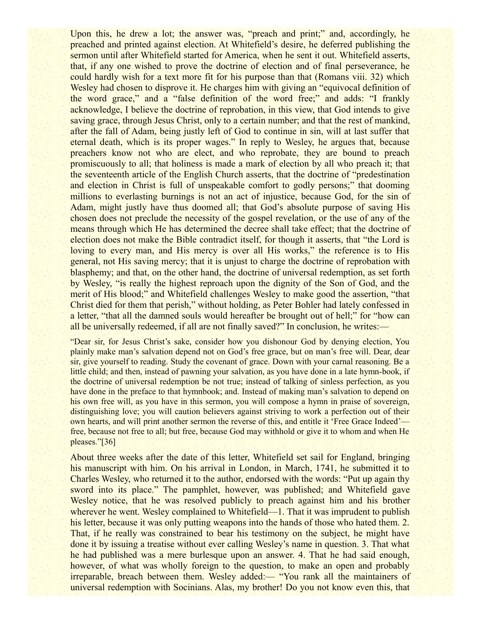Upon this, he drew a lot; the answer was, "preach and print;" and, accordingly, he preached and printed against election. At Whitefield's desire, he deferred publishing the sermon until after Whitefield started for America, when he sent it out. Whitefield asserts, that, if any one wished to prove the doctrine of election and of final perseverance, he could hardly wish for a text more fit for his purpose than that (Romans viii. 32) which Wesley had chosen to disprove it. He charges him with giving an "equivocal definition of the word grace," and a "false definition of the word free;" and adds: "I frankly acknowledge, I believe the doctrine of reprobation, in this view, that God intends to give saving grace, through Jesus Christ, only to a certain number; and that the rest of mankind, after the fall of Adam, being justly left of God to continue in sin, will at last suffer that eternal death, which is its proper wages." In reply to Wesley, he argues that, because preachers know not who are elect, and who reprobate, they are bound to preach promiscuously to all; that holiness is made a mark of election by all who preach it; that the seventeenth article of the English Church asserts, that the doctrine of "predestination and election in Christ is full of unspeakable comfort to godly persons;" that dooming millions to everlasting burnings is not an act of injustice, because God, for the sin of Adam, might justly have thus doomed all; that God's absolute purpose of saving His chosen does not preclude the necessity of the gospel revelation, or the use of any of the means through which He has determined the decree shall take effect; that the doctrine of election does not make the Bible contradict itself, for though it asserts, that "the Lord is loving to every man, and His mercy is over all His works," the reference is to His general, not His saving mercy; that it is unjust to charge the doctrine of reprobation with blasphemy; and that, on the other hand, the doctrine of universal redemption, as set forth by Wesley, "is really the highest reproach upon the dignity of the Son of God, and the merit of His blood;" and Whitefield challenges Wesley to make good the assertion, "that Christ died for them that perish," without holding, as Peter Bohler had lately confessed in a letter, "that all the damned souls would hereafter be brought out of hell;" for "how can all be universally redeemed, if all are not finally saved?" In conclusion, he writes:—

"Dear sir, for Jesus Christ's sake, consider how you dishonour God by denying election, You plainly make man's salvation depend not on God's free grace, but on man's free will. Dear, dear sir, give yourself to reading. Study the covenant of grace. Down with your carnal reasoning. Be a little child; and then, instead of pawning your salvation, as you have done in a late hymn-book, if the doctrine of universal redemption be not true; instead of talking of sinless perfection, as you have done in the preface to that hymnbook; and. Instead of making man's salvation to depend on his own free will, as you have in this sermon, you will compose a hymn in praise of sovereign, distinguishing love; you will caution believers against striving to work a perfection out of their own hearts, and will print another sermon the reverse of this, and entitle it 'Free Grace Indeed' free, because not free to all; but free, because God may withhold or give it to whom and when He pleases."[36]

About three weeks after the date of this letter, Whitefield set sail for England, bringing his manuscript with him. On his arrival in London, in March, 1741, he submitted it to Charles Wesley, who returned it to the author, endorsed with the words: "Put up again thy sword into its place." The pamphlet, however, was published; and Whitefield gave Wesley notice, that he was resolved publicly to preach against him and his brother wherever he went. Wesley complained to Whitefield—1. That it was imprudent to publish his letter, because it was only putting weapons into the hands of those who hated them. 2. That, if he really was constrained to bear his testimony on the subject, he might have done it by issuing a treatise without ever calling Wesley's name in question. 3. That what he had published was a mere burlesque upon an answer. 4. That he had said enough, however, of what was wholly foreign to the question, to make an open and probably irreparable, breach between them. Wesley added:— "You rank all the maintainers of universal redemption with Socinians. Alas, my brother! Do you not know even this, that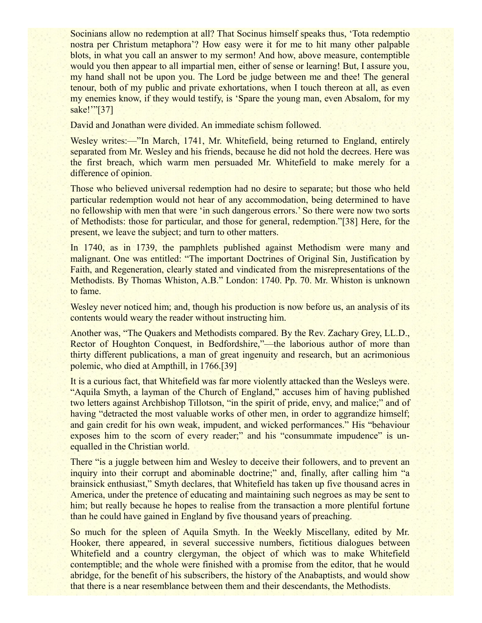Socinians allow no redemption at all? That Socinus himself speaks thus, 'Tota redemptio nostra per Christum metaphora'? How easy were it for me to hit many other palpable blots, in what you call an answer to my sermon! And how, above measure, contemptible would you then appear to all impartial men, either of sense or learning! But, I assure you, my hand shall not be upon you. The Lord be judge between me and thee! The general tenour, both of my public and private exhortations, when I touch thereon at all, as even my enemies know, if they would testify, is 'Spare the young man, even Absalom, for my sake!"'[37]

David and Jonathan were divided. An immediate schism followed.

Wesley writes:—"In March, 1741, Mr. Whitefield, being returned to England, entirely separated from Mr. Wesley and his friends, because he did not hold the decrees. Here was the first breach, which warm men persuaded Mr. Whitefield to make merely for a difference of opinion.

Those who believed universal redemption had no desire to separate; but those who held particular redemption would not hear of any accommodation, being determined to have no fellowship with men that were 'in such dangerous errors.' So there were now two sorts of Methodists: those for particular, and those for general, redemption."[38] Here, for the present, we leave the subject; and turn to other matters.

In 1740, as in 1739, the pamphlets published against Methodism were many and malignant. One was entitled: "The important Doctrines of Original Sin, Justification by Faith, and Regeneration, clearly stated and vindicated from the misrepresentations of the Methodists. By Thomas Whiston, A.B." London: 1740. Pp. 70. Mr. Whiston is unknown to fame.

Wesley never noticed him; and, though his production is now before us, an analysis of its contents would weary the reader without instructing him.

Another was, "The Quakers and Methodists compared. By the Rev. Zachary Grey, LL.D., Rector of Houghton Conquest, in Bedfordshire,"—the laborious author of more than thirty different publications, a man of great ingenuity and research, but an acrimonious polemic, who died at Ampthill, in 1766.[39]

It is a curious fact, that Whitefield was far more violently attacked than the Wesleys were. "Aquila Smyth, a layman of the Church of England," accuses him of having published two letters against Archbishop Tillotson, "in the spirit of pride, envy, and malice;" and of having "detracted the most valuable works of other men, in order to aggrandize himself; and gain credit for his own weak, impudent, and wicked performances." His "behaviour exposes him to the scorn of every reader;" and his "consummate impudence" is unequalled in the Christian world.

There "is a juggle between him and Wesley to deceive their followers, and to prevent an inquiry into their corrupt and abominable doctrine;" and, finally, after calling him "a brainsick enthusiast," Smyth declares, that Whitefield has taken up five thousand acres in America, under the pretence of educating and maintaining such negroes as may be sent to him; but really because he hopes to realise from the transaction a more plentiful fortune than he could have gained in England by five thousand years of preaching.

So much for the spleen of Aquila Smyth. In the Weekly Miscellany, edited by Mr. Hooker, there appeared, in several successive numbers, fictitious dialogues between Whitefield and a country clergyman, the object of which was to make Whitefield contemptible; and the whole were finished with a promise from the editor, that he would abridge, for the benefit of his subscribers, the history of the Anabaptists, and would show that there is a near resemblance between them and their descendants, the Methodists.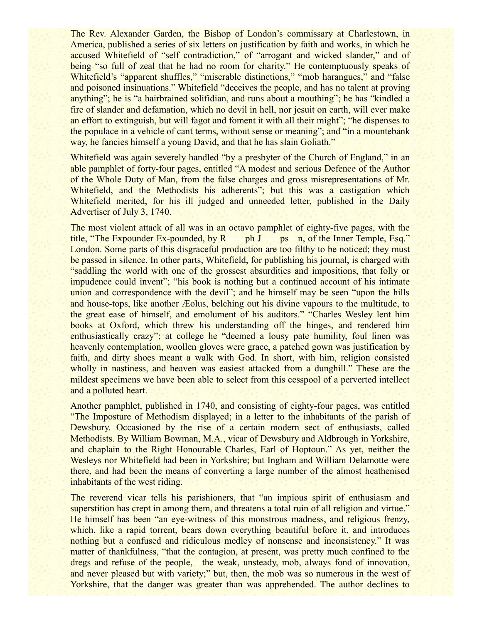The Rev. Alexander Garden, the Bishop of London's commissary at Charlestown, in America, published a series of six letters on justification by faith and works, in which he accused Whitefield of "self contradiction," of "arrogant and wicked slander," and of being "so full of zeal that he had no room for charity." He contemptuously speaks of Whitefield's "apparent shuffles," "miserable distinctions," "mob harangues," and "false and poisoned insinuations." Whitefield "deceives the people, and has no talent at proving anything"; he is "a hairbrained solifidian, and runs about a mouthing"; he has "kindled a fire of slander and defamation, which no devil in hell, nor jesuit on earth, will ever make an effort to extinguish, but will fagot and foment it with all their might"; "he dispenses to the populace in a vehicle of cant terms, without sense or meaning"; and "in a mountebank way, he fancies himself a young David, and that he has slain Goliath."

Whitefield was again severely handled "by a presbyter of the Church of England," in an able pamphlet of forty-four pages, entitled "A modest and serious Defence of the Author of the Whole Duty of Man, from the false charges and gross misrepresentations of Mr. Whitefield, and the Methodists his adherents"; but this was a castigation which Whitefield merited, for his ill judged and unneeded letter, published in the Daily Advertiser of July 3, 1740.

The most violent attack of all was in an octavo pamphlet of eighty-five pages, with the title, "The Expounder Ex-pounded, by R——ph J——ps—n, of the Inner Temple, Esq." London. Some parts of this disgraceful production are too filthy to be noticed; they must be passed in silence. In other parts, Whitefield, for publishing his journal, is charged with "saddling the world with one of the grossest absurdities and impositions, that folly or impudence could invent"; "his book is nothing but a continued account of his intimate union and correspondence with the devil"; and he himself may be seen "upon the hills" and house-tops, like another Æolus, belching out his divine vapours to the multitude, to the great ease of himself, and emolument of his auditors." "Charles Wesley lent him books at Oxford, which threw his understanding off the hinges, and rendered him enthusiastically crazy"; at college he "deemed a lousy pate humility, foul linen was heavenly contemplation, woollen gloves were grace, a patched gown was justification by faith, and dirty shoes meant a walk with God. In short, with him, religion consisted wholly in nastiness, and heaven was easiest attacked from a dunghill." These are the mildest specimens we have been able to select from this cesspool of a perverted intellect and a polluted heart.

Another pamphlet, published in 1740, and consisting of eighty-four pages, was entitled "The Imposture of Methodism displayed; in a letter to the inhabitants of the parish of Dewsbury. Occasioned by the rise of a certain modern sect of enthusiasts, called Methodists. By William Bowman, M.A., vicar of Dewsbury and Aldbrough in Yorkshire, and chaplain to the Right Honourable Charles, Earl of Hoptoun." As yet, neither the Wesleys nor Whitefield had been in Yorkshire; but Ingham and William Delamotte were there, and had been the means of converting a large number of the almost heathenised inhabitants of the west riding.

The reverend vicar tells his parishioners, that "an impious spirit of enthusiasm and superstition has crept in among them, and threatens a total ruin of all religion and virtue." He himself has been "an eye-witness of this monstrous madness, and religious frenzy, which, like a rapid torrent, bears down everything beautiful before it, and introduces nothing but a confused and ridiculous medley of nonsense and inconsistency." It was matter of thankfulness, "that the contagion, at present, was pretty much confined to the dregs and refuse of the people,—the weak, unsteady, mob, always fond of innovation, and never pleased but with variety;" but, then, the mob was so numerous in the west of Yorkshire, that the danger was greater than was apprehended. The author declines to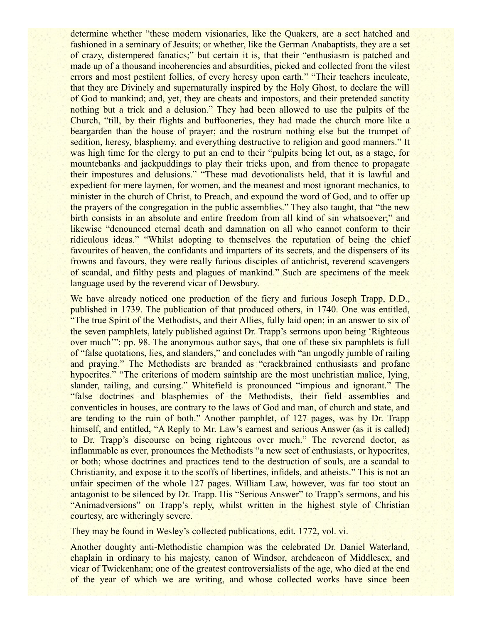determine whether "these modern visionaries, like the Quakers, are a sect hatched and fashioned in a seminary of Jesuits; or whether, like the German Anabaptists, they are a set of crazy, distempered fanatics;" but certain it is, that their "enthusiasm is patched and made up of a thousand incoherencies and absurdities, picked and collected from the vilest errors and most pestilent follies, of every heresy upon earth." "Their teachers inculcate, that they are Divinely and supernaturally inspired by the Holy Ghost, to declare the will of God to mankind; and, yet, they are cheats and impostors, and their pretended sanctity nothing but a trick and a delusion." They had been allowed to use the pulpits of the Church, "till, by their flights and buffooneries, they had made the church more like a beargarden than the house of prayer; and the rostrum nothing else but the trumpet of sedition, heresy, blasphemy, and everything destructive to religion and good manners." It was high time for the clergy to put an end to their "pulpits being let out, as a stage, for mountebanks and jackpuddings to play their tricks upon, and from thence to propagate their impostures and delusions." "These mad devotionalists held, that it is lawful and expedient for mere laymen, for women, and the meanest and most ignorant mechanics, to minister in the church of Christ, to Preach, and expound the word of God, and to offer up the prayers of the congregation in the public assemblies." They also taught, that "the new birth consists in an absolute and entire freedom from all kind of sin whatsoever;" and likewise "denounced eternal death and damnation on all who cannot conform to their ridiculous ideas." "Whilst adopting to themselves the reputation of being the chief favourites of heaven, the confidants and imparters of its secrets, and the dispensers of its frowns and favours, they were really furious disciples of antichrist, reverend scavengers of scandal, and filthy pests and plagues of mankind." Such are specimens of the meek language used by the reverend vicar of Dewsbury.

We have already noticed one production of the fiery and furious Joseph Trapp, D.D., published in 1739. The publication of that produced others, in 1740. One was entitled, "The true Spirit of the Methodists, and their Allies, fully laid open; in an answer to six of the seven pamphlets, lately published against Dr. Trapp's sermons upon being 'Righteous over much'": pp. 98. The anonymous author says, that one of these six pamphlets is full of "false quotations, lies, and slanders," and concludes with "an ungodly jumble of railing and praying." The Methodists are branded as "crackbrained enthusiasts and profane hypocrites." "The criterions of modern saintship are the most unchristian malice, lying, slander, railing, and cursing." Whitefield is pronounced "impious and ignorant." The "false doctrines and blasphemies of the Methodists, their field assemblies and conventicles in houses, are contrary to the laws of God and man, of church and state, and are tending to the ruin of both." Another pamphlet, of 127 pages, was by Dr. Trapp himself, and entitled, "A Reply to Mr. Law's earnest and serious Answer (as it is called) to Dr. Trapp's discourse on being righteous over much." The reverend doctor, as inflammable as ever, pronounces the Methodists "a new sect of enthusiasts, or hypocrites, or both; whose doctrines and practices tend to the destruction of souls, are a scandal to Christianity, and expose it to the scoffs of libertines, infidels, and atheists." This is not an unfair specimen of the whole 127 pages. William Law, however, was far too stout an antagonist to be silenced by Dr. Trapp. His "Serious Answer" to Trapp's sermons, and his "Animadversions" on Trapp's reply, whilst written in the highest style of Christian courtesy, are witheringly severe.

They may be found in Wesley's collected publications, edit. 1772, vol. vi.

Another doughty anti-Methodistic champion was the celebrated Dr. Daniel Waterland, chaplain in ordinary to his majesty, canon of Windsor, archdeacon of Middlesex, and vicar of Twickenham; one of the greatest controversialists of the age, who died at the end of the year of which we are writing, and whose collected works have since been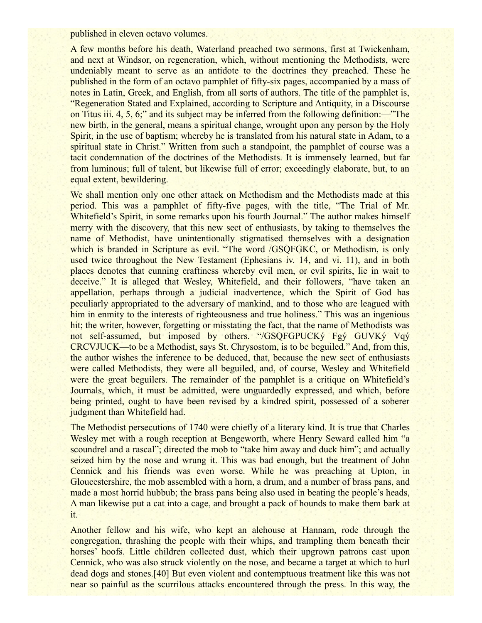published in eleven octavo volumes.

A few months before his death, Waterland preached two sermons, first at Twickenham, and next at Windsor, on regeneration, which, without mentioning the Methodists, were undeniably meant to serve as an antidote to the doctrines they preached. These he published in the form of an octavo pamphlet of fifty-six pages, accompanied by a mass of notes in Latin, Greek, and English, from all sorts of authors. The title of the pamphlet is, "Regeneration Stated and Explained, according to Scripture and Antiquity, in a Discourse on Titus iii. 4, 5, 6;" and its subject may be inferred from the following definition:—"The new birth, in the general, means a spiritual change, wrought upon any person by the Holy Spirit, in the use of baptism; whereby he is translated from his natural state in Adam, to a spiritual state in Christ." Written from such a standpoint, the pamphlet of course was a tacit condemnation of the doctrines of the Methodists. It is immensely learned, but far from luminous; full of talent, but likewise full of error; exceedingly elaborate, but, to an equal extent, bewildering.

We shall mention only one other attack on Methodism and the Methodists made at this period. This was a pamphlet of fifty-five pages, with the title, "The Trial of Mr. Whitefield's Spirit, in some remarks upon his fourth Journal." The author makes himself merry with the discovery, that this new sect of enthusiasts, by taking to themselves the name of Methodist, have unintentionally stigmatised themselves with a designation which is branded in Scripture as evil. "The word /GSQFGKC, or Methodism, is only used twice throughout the New Testament (Ephesians iv. 14, and vi. 11), and in both places denotes that cunning craftiness whereby evil men, or evil spirits, lie in wait to deceive." It is alleged that Wesley, Whitefield, and their followers, "have taken an appellation, perhaps through a judicial inadvertence, which the Spirit of God has peculiarly appropriated to the adversary of mankind, and to those who are leagued with him in enmity to the interests of righteousness and true holiness." This was an ingenious hit; the writer, however, forgetting or misstating the fact, that the name of Methodists was not self-assumed, but imposed by others. "/GSQFGPUCKý Fgý GUVKý Vqý CRCVJUCK—to be a Methodist, says St. Chrysostom, is to be beguiled." And, from this, the author wishes the inference to be deduced, that, because the new sect of enthusiasts were called Methodists, they were all beguiled, and, of course, Wesley and Whitefield were the great beguilers. The remainder of the pamphlet is a critique on Whitefield's Journals, which, it must be admitted, were unguardedly expressed, and which, before being printed, ought to have been revised by a kindred spirit, possessed of a soberer judgment than Whitefield had.

The Methodist persecutions of 1740 were chiefly of a literary kind. It is true that Charles Wesley met with a rough reception at Bengeworth, where Henry Seward called him "a scoundrel and a rascal"; directed the mob to "take him away and duck him"; and actually seized him by the nose and wrung it. This was bad enough, but the treatment of John Cennick and his friends was even worse. While he was preaching at Upton, in Gloucestershire, the mob assembled with a horn, a drum, and a number of brass pans, and made a most horrid hubbub; the brass pans being also used in beating the people's heads, A man likewise put a cat into a cage, and brought a pack of hounds to make them bark at it.

Another fellow and his wife, who kept an alehouse at Hannam, rode through the congregation, thrashing the people with their whips, and trampling them beneath their horses' hoofs. Little children collected dust, which their upgrown patrons cast upon Cennick, who was also struck violently on the nose, and became a target at which to hurl dead dogs and stones.[40] But even violent and contemptuous treatment like this was not near so painful as the scurrilous attacks encountered through the press. In this way, the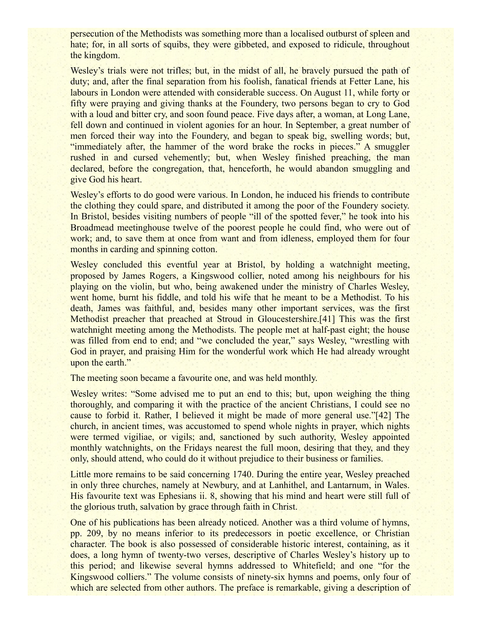persecution of the Methodists was something more than a localised outburst of spleen and hate; for, in all sorts of squibs, they were gibbeted, and exposed to ridicule, throughout the kingdom.

Wesley's trials were not trifles; but, in the midst of all, he bravely pursued the path of duty; and, after the final separation from his foolish, fanatical friends at Fetter Lane, his labours in London were attended with considerable success. On August 11, while forty or fifty were praying and giving thanks at the Foundery, two persons began to cry to God with a loud and bitter cry, and soon found peace. Five days after, a woman, at Long Lane, fell down and continued in violent agonies for an hour. In September, a great number of men forced their way into the Foundery, and began to speak big, swelling words; but, "immediately after, the hammer of the word brake the rocks in pieces." A smuggler rushed in and cursed vehemently; but, when Wesley finished preaching, the man declared, before the congregation, that, henceforth, he would abandon smuggling and give God his heart.

Wesley's efforts to do good were various. In London, he induced his friends to contribute the clothing they could spare, and distributed it among the poor of the Foundery society. In Bristol, besides visiting numbers of people "ill of the spotted fever," he took into his Broadmead meetinghouse twelve of the poorest people he could find, who were out of work; and, to save them at once from want and from idleness, employed them for four months in carding and spinning cotton.

Wesley concluded this eventful year at Bristol, by holding a watchnight meeting, proposed by James Rogers, a Kingswood collier, noted among his neighbours for his playing on the violin, but who, being awakened under the ministry of Charles Wesley, went home, burnt his fiddle, and told his wife that he meant to be a Methodist. To his death, James was faithful, and, besides many other important services, was the first Methodist preacher that preached at Stroud in Gloucestershire.[41] This was the first watchnight meeting among the Methodists. The people met at half-past eight; the house was filled from end to end; and "we concluded the year," says Wesley, "wrestling with God in prayer, and praising Him for the wonderful work which He had already wrought upon the earth."

The meeting soon became a favourite one, and was held monthly.

Wesley writes: "Some advised me to put an end to this; but, upon weighing the thing thoroughly, and comparing it with the practice of the ancient Christians, I could see no cause to forbid it. Rather, I believed it might be made of more general use."[42] The church, in ancient times, was accustomed to spend whole nights in prayer, which nights were termed vigiliae, or vigils; and, sanctioned by such authority, Wesley appointed monthly watchnights, on the Fridays nearest the full moon, desiring that they, and they only, should attend, who could do it without prejudice to their business or families.

Little more remains to be said concerning 1740. During the entire year, Wesley preached in only three churches, namely at Newbury, and at Lanhithel, and Lantarnum, in Wales. His favourite text was Ephesians ii. 8, showing that his mind and heart were still full of the glorious truth, salvation by grace through faith in Christ.

One of his publications has been already noticed. Another was a third volume of hymns, pp. 209, by no means inferior to its predecessors in poetic excellence, or Christian character. The book is also possessed of considerable historic interest, containing, as it does, a long hymn of twenty-two verses, descriptive of Charles Wesley's history up to this period; and likewise several hymns addressed to Whitefield; and one "for the Kingswood colliers." The volume consists of ninety-six hymns and poems, only four of which are selected from other authors. The preface is remarkable, giving a description of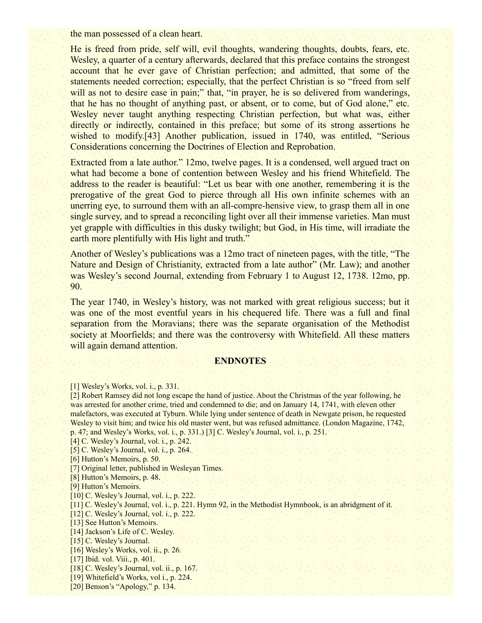the man possessed of a clean heart.

He is freed from pride, self will, evil thoughts, wandering thoughts, doubts, fears, etc. Wesley, a quarter of a century afterwards, declared that this preface contains the strongest account that he ever gave of Christian perfection; and admitted, that some of the statements needed correction; especially, that the perfect Christian is so "freed from self will as not to desire ease in pain;" that, "in prayer, he is so delivered from wanderings, that he has no thought of anything past, or absent, or to come, but of God alone," etc. Wesley never taught anything respecting Christian perfection, but what was, either directly or indirectly, contained in this preface; but some of its strong assertions he wished to modify.<sup>[43]</sup> Another publication, issued in 1740, was entitled, "Serious Considerations concerning the Doctrines of Election and Reprobation.

Extracted from a late author." 12mo, twelve pages. It is a condensed, well argued tract on what had become a bone of contention between Wesley and his friend Whitefield. The address to the reader is beautiful: "Let us bear with one another, remembering it is the prerogative of the great God to pierce through all His own infinite schemes with an unerring eye, to surround them with an all-compre-hensive view, to grasp them all in one single survey, and to spread a reconciling light over all their immense varieties. Man must yet grapple with difficulties in this dusky twilight; but God, in His time, will irradiate the earth more plentifully with His light and truth."

Another of Wesley's publications was a 12mo tract of nineteen pages, with the title, "The Nature and Design of Christianity, extracted from a late author" (Mr. Law); and another was Wesley's second Journal, extending from February 1 to August 12, 1738. 12mo, pp. 90.

The year 1740, in Wesley's history, was not marked with great religious success; but it was one of the most eventful years in his chequered life. There was a full and final separation from the Moravians; there was the separate organisation of the Methodist society at Moorfields; and there was the controversy with Whitefield. All these matters will again demand attention.

#### **ENDNOTES**

[1] Wesley's Works, vol. i., p. 331.

[2] Robert Ramsey did not long escape the hand of justice. About the Christmas of the year following, he was arrested for another crime, tried and condemned to die; and on January 14, 1741, with eleven other malefactors, was executed at Tyburn. While lying under sentence of death in Newgate prison, he requested Wesley to visit him; and twice his old master went, but was refused admittance. (London Magazine, 1742, p. 47; and Wesley's Works, vol. i., p. 331.) [3] C. Wesley's Journal, vol. i., p. 251.

[4] C. Wesley's Journal, vol. i., p. 242.

[5] C. Wesley's Journal, vol. i., p. 264.

[6] Hutton's Memoirs, p. 50.

[7] Original letter, published in Wesleyan Times.

[8] Hutton's Memoirs, p. 48.

[9] Hutton's Memoirs.

[10] C. Wesley's Journal, vol. *i.*, *p.* 222.

[11] C. Wesley's Journal, vol. i., p. 221. Hymn 92, in the Methodist Hymnbook, is an abridgment of it.

[12] C. Wesley's Journal, vol. *i.*, p. 222.

[13] See Hutton's Memoirs.

[14] Jackson's Life of C. Wesley.

[15] C. Wesley's Journal.

[16] Wesley's Works, vol. ii., p. 26.

[17] Ibid. vol. Viii., p. 401.

[18] C. Wesley's Journal, vol. ii., p. 167.

[19] Whitefield's Works, vol i., p. 224.

[20] Benson's "Apology," p. 134.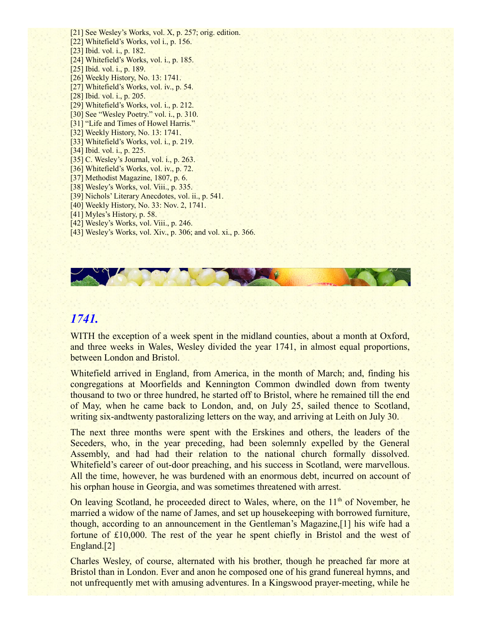[21] See Wesley's Works, vol. X, p. 257; orig. edition. [22] Whitefield's Works, vol i., p. 156. [23] Ibid. vol. i., p. 182. [24] Whitefield's Works, vol. i., p. 185. [25] Ibid. vol. i., p. 189. [26] Weekly History, No. 13: 1741. [27] Whitefield's Works, vol. iv., p. 54. [28] Ibid. vol. i., p. 205. [29] Whitefield's Works, vol. i., p. 212. [30] See "Wesley Poetry." vol. i., p. 310. [31] "Life and Times of Howel Harris." [32] Weekly History, No. 13: 1741. [33] Whitefield's Works, vol. i., p. 219. [34] Ibid. vol. i., p. 225. [35] C. Wesley's Journal, vol. *i.*, p. 263. [36] Whitefield's Works, vol. iv., p. 72. [37] Methodist Magazine, 1807, p. 6. [38] Wesley's Works, vol. Viii., p. 335. [39] Nichols' Literary Anecdotes, vol. ii., p. 541. [40] Weekly History, No. 33: Nov. 2, 1741. [41] Myles's History, p. 58. [42] Wesley's Works, vol. Viii., p. 246. [43] Wesley's Works, vol. Xiv., p. 306; and vol. xi., p. 366.



# *1741.*

WITH the exception of a week spent in the midland counties, about a month at Oxford, and three weeks in Wales, Wesley divided the year 1741, in almost equal proportions, between London and Bristol.

Whitefield arrived in England, from America, in the month of March; and, finding his congregations at Moorfields and Kennington Common dwindled down from twenty thousand to two or three hundred, he started off to Bristol, where he remained till the end of May, when he came back to London, and, on July 25, sailed thence to Scotland, writing six-andtwenty pastoralizing letters on the way, and arriving at Leith on July 30.

The next three months were spent with the Erskines and others, the leaders of the Seceders, who, in the year preceding, had been solemnly expelled by the General Assembly, and had had their relation to the national church formally dissolved. Whitefield's career of out-door preaching, and his success in Scotland, were marvellous. All the time, however, he was burdened with an enormous debt, incurred on account of his orphan house in Georgia, and was sometimes threatened with arrest.

On leaving Scotland, he proceeded direct to Wales, where, on the  $11<sup>th</sup>$  of November, he married a widow of the name of James, and set up housekeeping with borrowed furniture, though, according to an announcement in the Gentleman's Magazine,[1] his wife had a fortune of £10,000. The rest of the year he spent chiefly in Bristol and the west of England.[2]

Charles Wesley, of course, alternated with his brother, though he preached far more at Bristol than in London. Ever and anon he composed one of his grand funereal hymns, and not unfrequently met with amusing adventures. In a Kingswood prayer-meeting, while he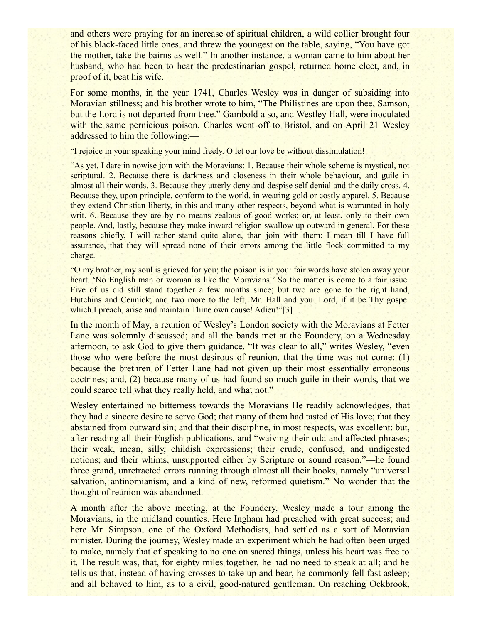and others were praying for an increase of spiritual children, a wild collier brought four of his black-faced little ones, and threw the youngest on the table, saying, "You have got the mother, take the bairns as well." In another instance, a woman came to him about her husband, who had been to hear the predestinarian gospel, returned home elect, and, in proof of it, beat his wife.

For some months, in the year 1741, Charles Wesley was in danger of subsiding into Moravian stillness; and his brother wrote to him, "The Philistines are upon thee, Samson, but the Lord is not departed from thee." Gambold also, and Westley Hall, were inoculated with the same pernicious poison. Charles went off to Bristol, and on April 21 Wesley addressed to him the following:—

"I rejoice in your speaking your mind freely. O let our love be without dissimulation!

"As yet, I dare in nowise join with the Moravians: 1. Because their whole scheme is mystical, not scriptural. 2. Because there is darkness and closeness in their whole behaviour, and guile in almost all their words. 3. Because they utterly deny and despise self denial and the daily cross. 4. Because they, upon principle, conform to the world, in wearing gold or costly apparel. 5. Because they extend Christian liberty, in this and many other respects, beyond what is warranted in holy writ. 6. Because they are by no means zealous of good works; or, at least, only to their own people. And, lastly, because they make inward religion swallow up outward in general. For these reasons chiefly, I will rather stand quite alone, than join with them: I mean till I have full assurance, that they will spread none of their errors among the little flock committed to my charge.

"O my brother, my soul is grieved for you; the poison is in you: fair words have stolen away your heart. 'No English man or woman is like the Moravians!' So the matter is come to a fair issue. Five of us did still stand together a few months since; but two are gone to the right hand, Hutchins and Cennick; and two more to the left, Mr. Hall and you. Lord, if it be Thy gospel which I preach, arise and maintain Thine own cause! Adieu!"[3]

In the month of May, a reunion of Wesley's London society with the Moravians at Fetter Lane was solemnly discussed; and all the bands met at the Foundery, on a Wednesday afternoon, to ask God to give them guidance. "It was clear to all," writes Wesley, "even those who were before the most desirous of reunion, that the time was not come: (1) because the brethren of Fetter Lane had not given up their most essentially erroneous doctrines; and, (2) because many of us had found so much guile in their words, that we could scarce tell what they really held, and what not."

Wesley entertained no bitterness towards the Moravians He readily acknowledges, that they had a sincere desire to serve God; that many of them had tasted of His love; that they abstained from outward sin; and that their discipline, in most respects, was excellent: but, after reading all their English publications, and "waiving their odd and affected phrases; their weak, mean, silly, childish expressions; their crude, confused, and undigested notions; and their whims, unsupported either by Scripture or sound reason,"—he found three grand, unretracted errors running through almost all their books, namely "universal salvation, antinomianism, and a kind of new, reformed quietism." No wonder that the thought of reunion was abandoned.

A month after the above meeting, at the Foundery, Wesley made a tour among the Moravians, in the midland counties. Here Ingham had preached with great success; and here Mr. Simpson, one of the Oxford Methodists, had settled as a sort of Moravian minister. During the journey, Wesley made an experiment which he had often been urged to make, namely that of speaking to no one on sacred things, unless his heart was free to it. The result was, that, for eighty miles together, he had no need to speak at all; and he tells us that, instead of having crosses to take up and bear, he commonly fell fast asleep; and all behaved to him, as to a civil, good-natured gentleman. On reaching Ockbrook,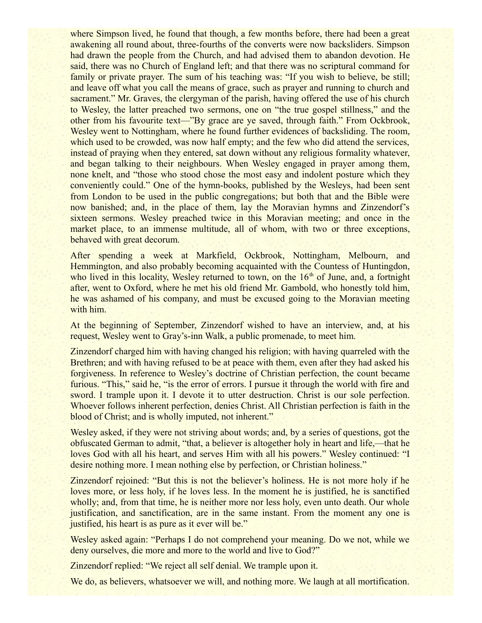where Simpson lived, he found that though, a few months before, there had been a great awakening all round about, three-fourths of the converts were now backsliders. Simpson had drawn the people from the Church, and had advised them to abandon devotion. He said, there was no Church of England left; and that there was no scriptural command for family or private prayer. The sum of his teaching was: "If you wish to believe, be still; and leave off what you call the means of grace, such as prayer and running to church and sacrament." Mr. Graves, the clergyman of the parish, having offered the use of his church to Wesley, the latter preached two sermons, one on "the true gospel stillness," and the other from his favourite text—"By grace are ye saved, through faith." From Ockbrook, Wesley went to Nottingham, where he found further evidences of backsliding. The room, which used to be crowded, was now half empty; and the few who did attend the services, instead of praying when they entered, sat down without any religious formality whatever, and began talking to their neighbours. When Wesley engaged in prayer among them, none knelt, and "those who stood chose the most easy and indolent posture which they conveniently could." One of the hymn-books, published by the Wesleys, had been sent from London to be used in the public congregations; but both that and the Bible were now banished; and, in the place of them, lay the Moravian hymns and Zinzendorf's sixteen sermons. Wesley preached twice in this Moravian meeting; and once in the market place, to an immense multitude, all of whom, with two or three exceptions, behaved with great decorum.

After spending a week at Markfield, Ockbrook, Nottingham, Melbourn, and Hemmington, and also probably becoming acquainted with the Countess of Huntingdon, who lived in this locality, Wesley returned to town, on the  $16<sup>th</sup>$  of June, and, a fortnight after, went to Oxford, where he met his old friend Mr. Gambold, who honestly told him, he was ashamed of his company, and must be excused going to the Moravian meeting with him.

At the beginning of September, Zinzendorf wished to have an interview, and, at his request, Wesley went to Gray's-inn Walk, a public promenade, to meet him.

Zinzendorf charged him with having changed his religion; with having quarreled with the Brethren; and with having refused to be at peace with them, even after they had asked his forgiveness. In reference to Wesley's doctrine of Christian perfection, the count became furious. "This," said he, "is the error of errors. I pursue it through the world with fire and sword. I trample upon it. I devote it to utter destruction. Christ is our sole perfection. Whoever follows inherent perfection, denies Christ. All Christian perfection is faith in the blood of Christ; and is wholly imputed, not inherent."

Wesley asked, if they were not striving about words; and, by a series of questions, got the obfuscated German to admit, "that, a believer is altogether holy in heart and life,—that he loves God with all his heart, and serves Him with all his powers." Wesley continued: "I desire nothing more. I mean nothing else by perfection, or Christian holiness."

Zinzendorf rejoined: "But this is not the believer's holiness. He is not more holy if he loves more, or less holy, if he loves less. In the moment he is justified, he is sanctified wholly; and, from that time, he is neither more nor less holy, even unto death. Our whole justification, and sanctification, are in the same instant. From the moment any one is justified, his heart is as pure as it ever will be."

Wesley asked again: "Perhaps I do not comprehend your meaning. Do we not, while we deny ourselves, die more and more to the world and live to God?"

Zinzendorf replied: "We reject all self denial. We trample upon it.

We do, as believers, whatsoever we will, and nothing more. We laugh at all mortification.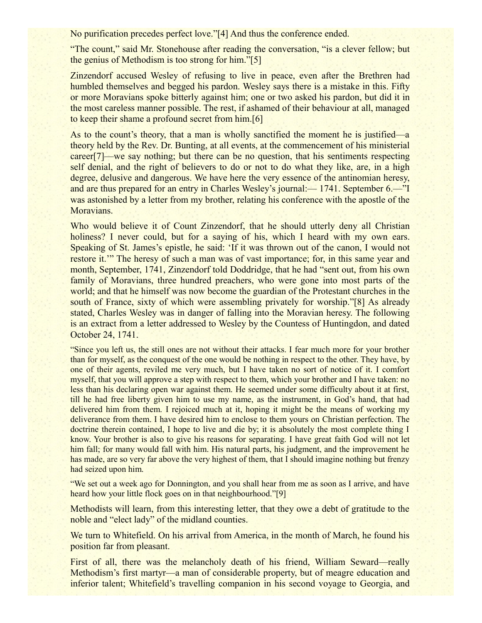No purification precedes perfect love."[4] And thus the conference ended.

"The count," said Mr. Stonehouse after reading the conversation, "is a clever fellow; but the genius of Methodism is too strong for him."[5]

Zinzendorf accused Wesley of refusing to live in peace, even after the Brethren had humbled themselves and begged his pardon. Wesley says there is a mistake in this. Fifty or more Moravians spoke bitterly against him; one or two asked his pardon, but did it in the most careless manner possible. The rest, if ashamed of their behaviour at all, managed to keep their shame a profound secret from him.[6]

As to the count's theory, that a man is wholly sanctified the moment he is justified—a theory held by the Rev. Dr. Bunting, at all events, at the commencement of his ministerial career[7]—we say nothing; but there can be no question, that his sentiments respecting self denial, and the right of believers to do or not to do what they like, are, in a high degree, delusive and dangerous. We have here the very essence of the antinomian heresy, and are thus prepared for an entry in Charles Wesley's journal:— 1741. September 6.—"I was astonished by a letter from my brother, relating his conference with the apostle of the Moravians.

Who would believe it of Count Zinzendorf, that he should utterly deny all Christian holiness? I never could, but for a saying of his, which I heard with my own ears. Speaking of St. James's epistle, he said: 'If it was thrown out of the canon, I would not restore it.'" The heresy of such a man was of vast importance; for, in this same year and month, September, 1741, Zinzendorf told Doddridge, that he had "sent out, from his own family of Moravians, three hundred preachers, who were gone into most parts of the world; and that he himself was now become the guardian of the Protestant churches in the south of France, sixty of which were assembling privately for worship."[8] As already stated, Charles Wesley was in danger of falling into the Moravian heresy. The following is an extract from a letter addressed to Wesley by the Countess of Huntingdon, and dated October 24, 1741.

"Since you left us, the still ones are not without their attacks. I fear much more for your brother than for myself, as the conquest of the one would be nothing in respect to the other. They have, by one of their agents, reviled me very much, but I have taken no sort of notice of it. I comfort myself, that you will approve a step with respect to them, which your brother and I have taken: no less than his declaring open war against them. He seemed under some difficulty about it at first, till he had free liberty given him to use my name, as the instrument, in God's hand, that had delivered him from them. I rejoiced much at it, hoping it might be the means of working my deliverance from them. I have desired him to enclose to them yours on Christian perfection. The doctrine therein contained, I hope to live and die by; it is absolutely the most complete thing I know. Your brother is also to give his reasons for separating. I have great faith God will not let him fall; for many would fall with him. His natural parts, his judgment, and the improvement he has made, are so very far above the very highest of them, that I should imagine nothing but frenzy had seized upon him.

"We set out a week ago for Donnington, and you shall hear from me as soon as I arrive, and have heard how your little flock goes on in that neighbourhood."[9]

Methodists will learn, from this interesting letter, that they owe a debt of gratitude to the noble and "elect lady" of the midland counties.

We turn to Whitefield. On his arrival from America, in the month of March, he found his position far from pleasant.

First of all, there was the melancholy death of his friend, William Seward—really Methodism's first martyr—a man of considerable property, but of meagre education and inferior talent; Whitefield's travelling companion in his second voyage to Georgia, and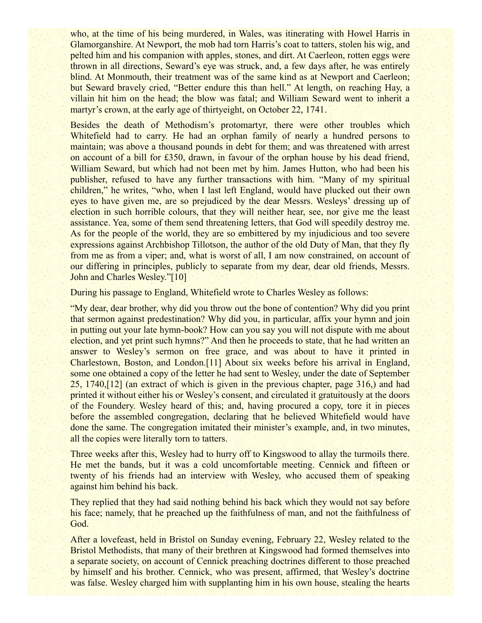who, at the time of his being murdered, in Wales, was itinerating with Howel Harris in Glamorganshire. At Newport, the mob had torn Harris's coat to tatters, stolen his wig, and pelted him and his companion with apples, stones, and dirt. At Caerleon, rotten eggs were thrown in all directions, Seward's eye was struck, and, a few days after, he was entirely blind. At Monmouth, their treatment was of the same kind as at Newport and Caerleon; but Seward bravely cried, "Better endure this than hell." At length, on reaching Hay, a villain hit him on the head; the blow was fatal; and William Seward went to inherit a martyr's crown, at the early age of thirtyeight, on October 22, 1741.

Besides the death of Methodism's protomartyr, there were other troubles which Whitefield had to carry. He had an orphan family of nearly a hundred persons to maintain; was above a thousand pounds in debt for them; and was threatened with arrest on account of a bill for £350, drawn, in favour of the orphan house by his dead friend, William Seward, but which had not been met by him. James Hutton, who had been his publisher, refused to have any further transactions with him. "Many of my spiritual children," he writes, "who, when I last left England, would have plucked out their own eyes to have given me, are so prejudiced by the dear Messrs. Wesleys' dressing up of election in such horrible colours, that they will neither hear, see, nor give me the least assistance. Yea, some of them send threatening letters, that God will speedily destroy me. As for the people of the world, they are so embittered by my injudicious and too severe expressions against Archbishop Tillotson, the author of the old Duty of Man, that they fly from me as from a viper; and, what is worst of all, I am now constrained, on account of our differing in principles, publicly to separate from my dear, dear old friends, Messrs. John and Charles Wesley."[10]

During his passage to England, Whitefield wrote to Charles Wesley as follows:

"My dear, dear brother, why did you throw out the bone of contention? Why did you print that sermon against predestination? Why did you, in particular, affix your hymn and join in putting out your late hymn-book? How can you say you will not dispute with me about election, and yet print such hymns?" And then he proceeds to state, that he had written an answer to Wesley's sermon on free grace, and was about to have it printed in Charlestown, Boston, and London.[11] About six weeks before his arrival in England, some one obtained a copy of the letter he had sent to Wesley, under the date of September 25, 1740,[12] (an extract of which is given in the previous chapter, page 316,) and had printed it without either his or Wesley's consent, and circulated it gratuitously at the doors of the Foundery. Wesley heard of this; and, having procured a copy, tore it in pieces before the assembled congregation, declaring that he believed Whitefield would have done the same. The congregation imitated their minister's example, and, in two minutes, all the copies were literally torn to tatters.

Three weeks after this, Wesley had to hurry off to Kingswood to allay the turmoils there. He met the bands, but it was a cold uncomfortable meeting. Cennick and fifteen or twenty of his friends had an interview with Wesley, who accused them of speaking against him behind his back.

They replied that they had said nothing behind his back which they would not say before his face; namely, that he preached up the faithfulness of man, and not the faithfulness of God.

After a lovefeast, held in Bristol on Sunday evening, February 22, Wesley related to the Bristol Methodists, that many of their brethren at Kingswood had formed themselves into a separate society, on account of Cennick preaching doctrines different to those preached by himself and his brother. Cennick, who was present, affirmed, that Wesley's doctrine was false. Wesley charged him with supplanting him in his own house, stealing the hearts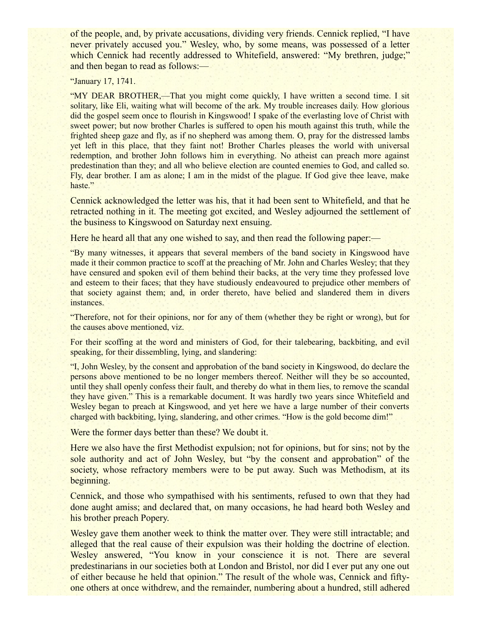of the people, and, by private accusations, dividing very friends. Cennick replied, "I have never privately accused you." Wesley, who, by some means, was possessed of a letter which Cennick had recently addressed to Whitefield, answered: "My brethren, judge;" and then began to read as follows:—

"January 17, 1741.

"MY DEAR BROTHER,—That you might come quickly, I have written a second time. I sit solitary, like Eli, waiting what will become of the ark. My trouble increases daily. How glorious did the gospel seem once to flourish in Kingswood! I spake of the everlasting love of Christ with sweet power; but now brother Charles is suffered to open his mouth against this truth, while the frighted sheep gaze and fly, as if no shepherd was among them. O, pray for the distressed lambs yet left in this place, that they faint not! Brother Charles pleases the world with universal redemption, and brother John follows him in everything. No atheist can preach more against predestination than they; and all who believe election are counted enemies to God, and called so. Fly, dear brother. I am as alone; I am in the midst of the plague. If God give thee leave, make haste."

Cennick acknowledged the letter was his, that it had been sent to Whitefield, and that he retracted nothing in it. The meeting got excited, and Wesley adjourned the settlement of the business to Kingswood on Saturday next ensuing.

Here he heard all that any one wished to say, and then read the following paper:—

"By many witnesses, it appears that several members of the band society in Kingswood have made it their common practice to scoff at the preaching of Mr. John and Charles Wesley; that they have censured and spoken evil of them behind their backs, at the very time they professed love and esteem to their faces; that they have studiously endeavoured to prejudice other members of that society against them; and, in order thereto, have belied and slandered them in divers instances.

"Therefore, not for their opinions, nor for any of them (whether they be right or wrong), but for the causes above mentioned, viz.

For their scoffing at the word and ministers of God, for their talebearing, backbiting, and evil speaking, for their dissembling, lying, and slandering:

"I, John Wesley, by the consent and approbation of the band society in Kingswood, do declare the persons above mentioned to be no longer members thereof. Neither will they be so accounted, until they shall openly confess their fault, and thereby do what in them lies, to remove the scandal they have given." This is a remarkable document. It was hardly two years since Whitefield and Wesley began to preach at Kingswood, and yet here we have a large number of their converts charged with backbiting, lying, slandering, and other crimes. "How is the gold become dim!"

Were the former days better than these? We doubt it.

Here we also have the first Methodist expulsion; not for opinions, but for sins; not by the sole authority and act of John Wesley, but "by the consent and approbation" of the society, whose refractory members were to be put away. Such was Methodism, at its beginning.

Cennick, and those who sympathised with his sentiments, refused to own that they had done aught amiss; and declared that, on many occasions, he had heard both Wesley and his brother preach Popery.

Wesley gave them another week to think the matter over. They were still intractable; and alleged that the real cause of their expulsion was their holding the doctrine of election. Wesley answered, "You know in your conscience it is not. There are several predestinarians in our societies both at London and Bristol, nor did I ever put any one out of either because he held that opinion." The result of the whole was, Cennick and fiftyone others at once withdrew, and the remainder, numbering about a hundred, still adhered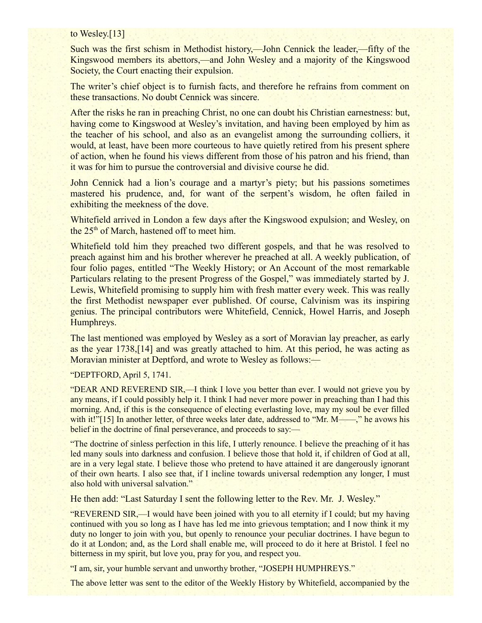## to Wesley.[13]

Such was the first schism in Methodist history,—John Cennick the leader,—fifty of the Kingswood members its abettors,—and John Wesley and a majority of the Kingswood Society, the Court enacting their expulsion.

The writer's chief object is to furnish facts, and therefore he refrains from comment on these transactions. No doubt Cennick was sincere.

After the risks he ran in preaching Christ, no one can doubt his Christian earnestness: but, having come to Kingswood at Wesley's invitation, and having been employed by him as the teacher of his school, and also as an evangelist among the surrounding colliers, it would, at least, have been more courteous to have quietly retired from his present sphere of action, when he found his views different from those of his patron and his friend, than it was for him to pursue the controversial and divisive course he did.

John Cennick had a lion's courage and a martyr's piety; but his passions sometimes mastered his prudence, and, for want of the serpent's wisdom, he often failed in exhibiting the meekness of the dove.

Whitefield arrived in London a few days after the Kingswood expulsion; and Wesley, on the  $25<sup>th</sup>$  of March, hastened off to meet him.

Whitefield told him they preached two different gospels, and that he was resolved to preach against him and his brother wherever he preached at all. A weekly publication, of four folio pages, entitled "The Weekly History; or An Account of the most remarkable Particulars relating to the present Progress of the Gospel," was immediately started by J. Lewis, Whitefield promising to supply him with fresh matter every week. This was really the first Methodist newspaper ever published. Of course, Calvinism was its inspiring genius. The principal contributors were Whitefield, Cennick, Howel Harris, and Joseph Humphreys.

The last mentioned was employed by Wesley as a sort of Moravian lay preacher, as early as the year 1738,[14] and was greatly attached to him. At this period, he was acting as Moravian minister at Deptford, and wrote to Wesley as follows:—

## "DEPTFORD, April 5, 1741.

"DEAR AND REVEREND SIR,—I think I love you better than ever. I would not grieve you by any means, if I could possibly help it. I think I had never more power in preaching than I had this morning. And, if this is the consequence of electing everlasting love, may my soul be ever filled with it!"[15] In another letter, of three weeks later date, addressed to "Mr. M——," he avows his belief in the doctrine of final perseverance, and proceeds to say:—

"The doctrine of sinless perfection in this life, I utterly renounce. I believe the preaching of it has led many souls into darkness and confusion. I believe those that hold it, if children of God at all, are in a very legal state. I believe those who pretend to have attained it are dangerously ignorant of their own hearts. I also see that, if I incline towards universal redemption any longer, I must also hold with universal salvation."

He then add: "Last Saturday I sent the following letter to the Rev. Mr. J. Wesley."

"REVEREND SIR,—I would have been joined with you to all eternity if I could; but my having continued with you so long as I have has led me into grievous temptation; and I now think it my duty no longer to join with you, but openly to renounce your peculiar doctrines. I have begun to do it at London; and, as the Lord shall enable me, will proceed to do it here at Bristol. I feel no bitterness in my spirit, but love you, pray for you, and respect you.

"I am, sir, your humble servant and unworthy brother, "JOSEPH HUMPHREYS."

The above letter was sent to the editor of the Weekly History by Whitefield, accompanied by the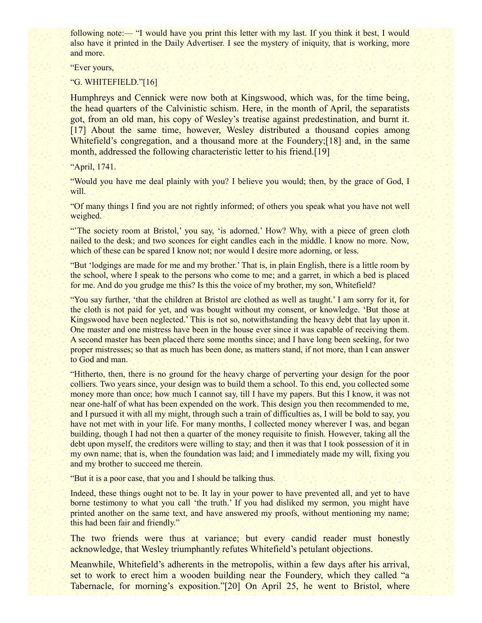following note:— "I would have you print this letter with my last. If you think it best, I would also have it printed in the Daily Advertiser. I see the mystery of iniquity, that is working, more and more.

"Ever yours,

"G. WHITEFIELD."[16]

Humphreys and Cennick were now both at Kingswood, which was, for the time being, the head quarters of the Calvinistic schism. Here, in the month of April, the separatists got, from an old man, his copy of Wesley's treatise against predestination, and burnt it. [17] About the same time, however, Wesley distributed a thousand copies among Whitefield's congregation, and a thousand more at the Foundery;[18] and, in the same month, addressed the following characteristic letter to his friend.<sup>[19]</sup>

"April, 1741.

"Would you have me deal plainly with you? I believe you would; then, by the grace of God, I will.

"Of many things I find you are not rightly informed; of others you speak what you have not well weighed.

"The society room at Bristol,' you say, 'is adorned.' How? Why, with a piece of green cloth nailed to the desk; and two sconces for eight candles each in the middle. I know no more. Now, which of these can be spared I know not; nor would I desire more adorning, or less.

"But 'lodgings are made for me and my brother.' That is, in plain English, there is a little room by the school, where I speak to the persons who come to me; and a garret, in which a bed is placed for me. And do you grudge me this? Is this the voice of my brother, my son, Whitefield?

"You say further, 'that the children at Bristol are clothed as well as taught.' I am sorry for it, for the cloth is not paid for yet, and was bought without my consent, or knowledge. 'But those at Kingswood have been neglected.' This is not so, notwithstanding the heavy debt that lay upon it. One master and one mistress have been in the house ever since it was capable of receiving them. A second master has been placed there some months since; and I have long been seeking, for two proper mistresses; so that as much has been done, as matters stand, if not more, than I can answer to God and man.

"Hitherto, then, there is no ground for the heavy charge of perverting your design for the poor colliers. Two years since, your design was to build them a school. To this end, you collected some money more than once; how much I cannot say, till I have my papers. But this I know, it was not near one-half of what has been expended on the work. This design you then recommended to me, and I pursued it with all my might, through such a train of difficulties as, I will be bold to say, you have not met with in your life. For many months, I collected money wherever I was, and began building, though I had not then a quarter of the money requisite to finish. However, taking all the debt upon myself, the creditors were willing to stay; and then it was that I took possession of it in my own name; that is, when the foundation was laid; and I immediately made my will, fixing you and my brother to succeed me therein.

"But it is a poor case, that you and I should be talking thus.

Indeed, these things ought not to be. It lay in your power to have prevented all, and yet to have borne testimony to what you call 'the truth.' If you had disliked my sermon, you might have printed another on the same text, and have answered my proofs, without mentioning my name; this had been fair and friendly."

The two friends were thus at variance; but every candid reader must honestly acknowledge, that Wesley triumphantly refutes Whitefield's petulant objections.

Meanwhile, Whitefield's adherents in the metropolis, within a few days after his arrival, set to work to erect him a wooden building near the Foundery, which they called "a Tabernacle, for morning's exposition."[20] On April 25, he went to Bristol, where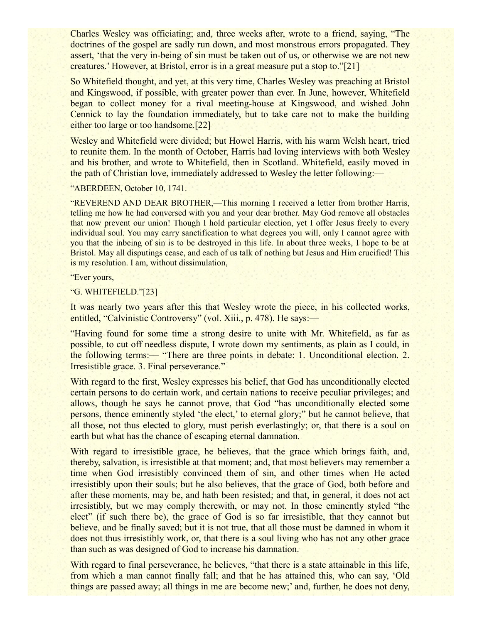Charles Wesley was officiating; and, three weeks after, wrote to a friend, saying, "The doctrines of the gospel are sadly run down, and most monstrous errors propagated. They assert, 'that the very in-being of sin must be taken out of us, or otherwise we are not new creatures.' However, at Bristol, error is in a great measure put a stop to."[21]

So Whitefield thought, and yet, at this very time, Charles Wesley was preaching at Bristol and Kingswood, if possible, with greater power than ever. In June, however, Whitefield began to collect money for a rival meeting-house at Kingswood, and wished John Cennick to lay the foundation immediately, but to take care not to make the building either too large or too handsome.[22]

Wesley and Whitefield were divided; but Howel Harris, with his warm Welsh heart, tried to reunite them. In the month of October, Harris had loving interviews with both Wesley and his brother, and wrote to Whitefield, then in Scotland. Whitefield, easily moved in the path of Christian love, immediately addressed to Wesley the letter following:—

"ABERDEEN, October 10, 1741.

"REVEREND AND DEAR BROTHER,—This morning I received a letter from brother Harris, telling me how he had conversed with you and your dear brother. May God remove all obstacles that now prevent our union! Though I hold particular election, yet I offer Jesus freely to every individual soul. You may carry sanctification to what degrees you will, only I cannot agree with you that the inbeing of sin is to be destroyed in this life. In about three weeks, I hope to be at Bristol. May all disputings cease, and each of us talk of nothing but Jesus and Him crucified! This is my resolution. I am, without dissimulation,

"Ever yours,

"G. WHITEFIELD."[23]

It was nearly two years after this that Wesley wrote the piece, in his collected works, entitled, "Calvinistic Controversy" (vol. Xiii., p. 478). He says:—

"Having found for some time a strong desire to unite with Mr. Whitefield, as far as possible, to cut off needless dispute, I wrote down my sentiments, as plain as I could, in the following terms:— "There are three points in debate: 1. Unconditional election. 2. Irresistible grace. 3. Final perseverance."

With regard to the first, Wesley expresses his belief, that God has unconditionally elected certain persons to do certain work, and certain nations to receive peculiar privileges; and allows, though he says he cannot prove, that God "has unconditionally elected some persons, thence eminently styled 'the elect,' to eternal glory;" but he cannot believe, that all those, not thus elected to glory, must perish everlastingly; or, that there is a soul on earth but what has the chance of escaping eternal damnation.

With regard to irresistible grace, he believes, that the grace which brings faith, and, thereby, salvation, is irresistible at that moment; and, that most believers may remember a time when God irresistibly convinced them of sin, and other times when He acted irresistibly upon their souls; but he also believes, that the grace of God, both before and after these moments, may be, and hath been resisted; and that, in general, it does not act irresistibly, but we may comply therewith, or may not. In those eminently styled "the elect" (if such there be), the grace of God is so far irresistible, that they cannot but believe, and be finally saved; but it is not true, that all those must be damned in whom it does not thus irresistibly work, or, that there is a soul living who has not any other grace than such as was designed of God to increase his damnation.

With regard to final perseverance, he believes, "that there is a state attainable in this life, from which a man cannot finally fall; and that he has attained this, who can say, 'Old things are passed away; all things in me are become new;' and, further, he does not deny,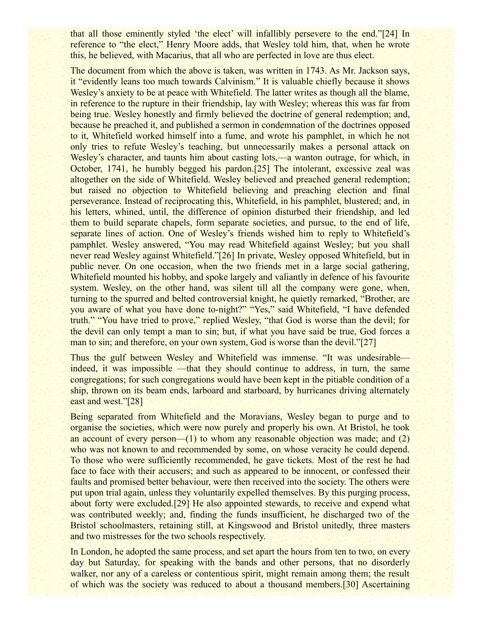that all those eminently styled 'the elect' will infallibly persevere to the end."[24] In reference to "the elect," Henry Moore adds, that Wesley told him, that, when he wrote this, he believed, with Macarius, that all who are perfected in love are thus elect.

The document from which the above is taken, was written in 1743. As Mr. Jackson says, it "evidently leans too much towards Calvinism." It is valuable chiefly because it shows Wesley's anxiety to be at peace with Whitefield. The latter writes as though all the blame, in reference to the rupture in their friendship, lay with Wesley; whereas this was far from being true. Wesley honestly and firmly believed the doctrine of general redemption; and, because he preached it, and published a sermon in condemnation of the doctrines opposed to it, Whitefield worked himself into a fume, and wrote his pamphlet, in which he not only tries to refute Wesley's teaching, but unnecessarily makes a personal attack on Wesley's character, and taunts him about casting lots,—a wanton outrage, for which, in October, 1741, he humbly begged his pardon.[25] The intolerant, excessive zeal was altogether on the side of Whitefield. Wesley believed and preached general redemption; but raised no objection to Whitefield believing and preaching election and final perseverance. Instead of reciprocating this, Whitefield, in his pamphlet, blustered; and, in his letters, whined, until, the difference of opinion disturbed their friendship, and led them to build separate chapels, form separate societies, and pursue, to the end of life, separate lines of action. One of Wesley's friends wished him to reply to Whitefield's pamphlet. Wesley answered, "You may read Whitefield against Wesley; but you shall never read Wesley against Whitefield."[26] In private, Wesley opposed Whitefield, but in public never. On one occasion, when the two friends met in a large social gathering, Whitefield mounted his hobby, and spoke largely and valiantly in defence of his favourite system. Wesley, on the other hand, was silent till all the company were gone, when, turning to the spurred and belted controversial knight, he quietly remarked, "Brother, are you aware of what you have done to-night?" "Yes," said Whitefield, "I have defended truth." "You have tried to prove," replied Wesley, "that God is worse than the devil; for the devil can only tempt a man to sin; but, if what you have said be true, God forces a man to sin; and therefore, on your own system, God is worse than the devil."[27]

Thus the gulf between Wesley and Whitefield was immense. "It was undesirable indeed, it was impossible —that they should continue to address, in turn, the same congregations; for such congregations would have been kept in the pitiable condition of a ship, thrown on its beam ends, larboard and starboard, by hurricanes driving alternately east and west."[28]

Being separated from Whitefield and the Moravians, Wesley began to purge and to organise the societies, which were now purely and properly his own. At Bristol, he took an account of every person—(1) to whom any reasonable objection was made; and (2) who was not known to and recommended by some, on whose veracity he could depend. To those who were sufficiently recommended, he gave tickets. Most of the rest he had face to face with their accusers; and such as appeared to be innocent, or confessed their faults and promised better behaviour, were then received into the society. The others were put upon trial again, unless they voluntarily expelled themselves. By this purging process, about forty were excluded.[29] He also appointed stewards, to receive and expend what was contributed weekly; and, finding the funds insufficient, he discharged two of the Bristol schoolmasters, retaining still, at Kingswood and Bristol unitedly, three masters and two mistresses for the two schools respectively.

In London, he adopted the same process, and set apart the hours from ten to two, on every day but Saturday, for speaking with the bands and other persons, that no disorderly walker, nor any of a careless or contentious spirit, might remain among them; the result of which was the society was reduced to about a thousand members.[30] Ascertaining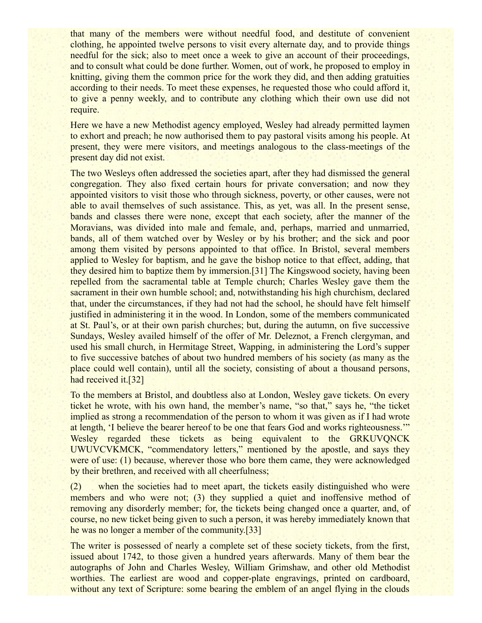that many of the members were without needful food, and destitute of convenient clothing, he appointed twelve persons to visit every alternate day, and to provide things needful for the sick; also to meet once a week to give an account of their proceedings, and to consult what could be done further. Women, out of work, he proposed to employ in knitting, giving them the common price for the work they did, and then adding gratuities according to their needs. To meet these expenses, he requested those who could afford it, to give a penny weekly, and to contribute any clothing which their own use did not require.

Here we have a new Methodist agency employed, Wesley had already permitted laymen to exhort and preach; he now authorised them to pay pastoral visits among his people. At present, they were mere visitors, and meetings analogous to the class-meetings of the present day did not exist.

The two Wesleys often addressed the societies apart, after they had dismissed the general congregation. They also fixed certain hours for private conversation; and now they appointed visitors to visit those who through sickness, poverty, or other causes, were not able to avail themselves of such assistance. This, as yet, was all. In the present sense, bands and classes there were none, except that each society, after the manner of the Moravians, was divided into male and female, and, perhaps, married and unmarried, bands, all of them watched over by Wesley or by his brother; and the sick and poor among them visited by persons appointed to that office. In Bristol, several members applied to Wesley for baptism, and he gave the bishop notice to that effect, adding, that they desired him to baptize them by immersion.[31] The Kingswood society, having been repelled from the sacramental table at Temple church; Charles Wesley gave them the sacrament in their own humble school; and, notwithstanding his high churchism, declared that, under the circumstances, if they had not had the school, he should have felt himself justified in administering it in the wood. In London, some of the members communicated at St. Paul's, or at their own parish churches; but, during the autumn, on five successive Sundays, Wesley availed himself of the offer of Mr. Deleznot, a French clergyman, and used his small church, in Hermitage Street, Wapping, in administering the Lord's supper to five successive batches of about two hundred members of his society (as many as the place could well contain), until all the society, consisting of about a thousand persons, had received it.<sup>[32]</sup>

To the members at Bristol, and doubtless also at London, Wesley gave tickets. On every ticket he wrote, with his own hand, the member's name, "so that," says he, "the ticket implied as strong a recommendation of the person to whom it was given as if I had wrote at length, 'I believe the bearer hereof to be one that fears God and works righteousness.'" Wesley regarded these tickets as being equivalent to the GRKUVQNCK UWUVCVKMCK, "commendatory letters," mentioned by the apostle, and says they were of use: (1) because, wherever those who bore them came, they were acknowledged by their brethren, and received with all cheerfulness;

(2) when the societies had to meet apart, the tickets easily distinguished who were members and who were not; (3) they supplied a quiet and inoffensive method of removing any disorderly member; for, the tickets being changed once a quarter, and, of course, no new ticket being given to such a person, it was hereby immediately known that he was no longer a member of the community.[33]

The writer is possessed of nearly a complete set of these society tickets, from the first, issued about 1742, to those given a hundred years afterwards. Many of them bear the autographs of John and Charles Wesley, William Grimshaw, and other old Methodist worthies. The earliest are wood and copper-plate engravings, printed on cardboard, without any text of Scripture: some bearing the emblem of an angel flying in the clouds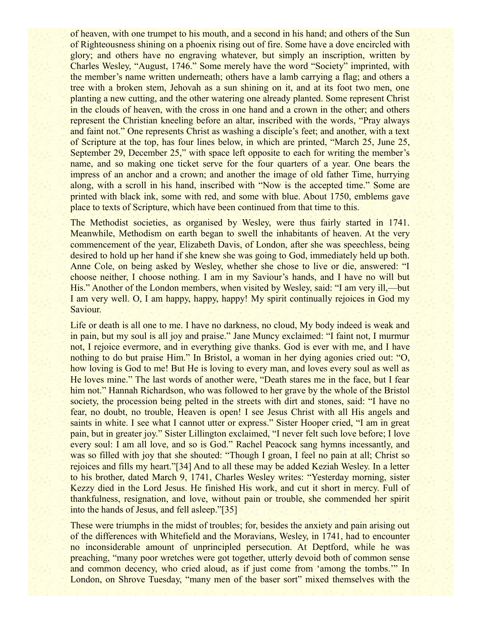of heaven, with one trumpet to his mouth, and a second in his hand; and others of the Sun of Righteousness shining on a phoenix rising out of fire. Some have a dove encircled with glory; and others have no engraving whatever, but simply an inscription, written by Charles Wesley, "August, 1746." Some merely have the word "Society" imprinted, with the member's name written underneath; others have a lamb carrying a flag; and others a tree with a broken stem, Jehovah as a sun shining on it, and at its foot two men, one planting a new cutting, and the other watering one already planted. Some represent Christ in the clouds of heaven, with the cross in one hand and a crown in the other; and others represent the Christian kneeling before an altar, inscribed with the words, "Pray always and faint not." One represents Christ as washing a disciple's feet; and another, with a text of Scripture at the top, has four lines below, in which are printed, "March 25, June 25, September 29, December 25," with space left opposite to each for writing the member's name, and so making one ticket serve for the four quarters of a year. One bears the impress of an anchor and a crown; and another the image of old father Time, hurrying along, with a scroll in his hand, inscribed with "Now is the accepted time." Some are printed with black ink, some with red, and some with blue. About 1750, emblems gave place to texts of Scripture, which have been continued from that time to this.

The Methodist societies, as organised by Wesley, were thus fairly started in 1741. Meanwhile, Methodism on earth began to swell the inhabitants of heaven. At the very commencement of the year, Elizabeth Davis, of London, after she was speechless, being desired to hold up her hand if she knew she was going to God, immediately held up both. Anne Cole, on being asked by Wesley, whether she chose to live or die, answered: "I choose neither, I choose nothing. I am in my Saviour's hands, and I have no will but His." Another of the London members, when visited by Wesley, said: "I am very ill,—but I am very well. O, I am happy, happy, happy! My spirit continually rejoices in God my Saviour.

Life or death is all one to me. I have no darkness, no cloud, My body indeed is weak and in pain, but my soul is all joy and praise." Jane Muncy exclaimed: "I faint not, I murmur not, I rejoice evermore, and in everything give thanks. God is ever with me, and I have nothing to do but praise Him." In Bristol, a woman in her dying agonies cried out: "O, how loving is God to me! But He is loving to every man, and loves every soul as well as He loves mine." The last words of another were, "Death stares me in the face, but I fear him not." Hannah Richardson, who was followed to her grave by the whole of the Bristol society, the procession being pelted in the streets with dirt and stones, said: "I have no fear, no doubt, no trouble, Heaven is open! I see Jesus Christ with all His angels and saints in white. I see what I cannot utter or express." Sister Hooper cried, "I am in great pain, but in greater joy." Sister Lillington exclaimed, "I never felt such love before; I love every soul: I am all love, and so is God." Rachel Peacock sang hymns incessantly, and was so filled with joy that she shouted: "Though I groan, I feel no pain at all; Christ so rejoices and fills my heart."[34] And to all these may be added Keziah Wesley. In a letter to his brother, dated March 9, 1741, Charles Wesley writes: "Yesterday morning, sister Kezzy died in the Lord Jesus. He finished His work, and cut it short in mercy. Full of thankfulness, resignation, and love, without pain or trouble, she commended her spirit into the hands of Jesus, and fell asleep."[35]

These were triumphs in the midst of troubles; for, besides the anxiety and pain arising out of the differences with Whitefield and the Moravians, Wesley, in 1741, had to encounter no inconsiderable amount of unprincipled persecution. At Deptford, while he was preaching, "many poor wretches were got together, utterly devoid both of common sense and common decency, who cried aloud, as if just come from 'among the tombs.'" In London, on Shrove Tuesday, "many men of the baser sort" mixed themselves with the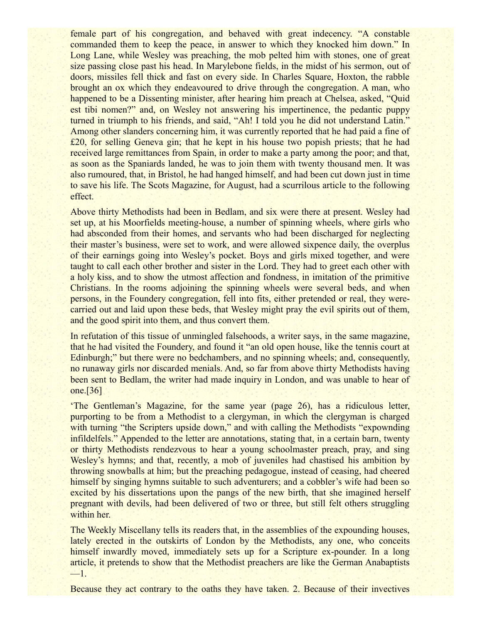female part of his congregation, and behaved with great indecency. "A constable commanded them to keep the peace, in answer to which they knocked him down." In Long Lane, while Wesley was preaching, the mob pelted him with stones, one of great size passing close past his head. In Marylebone fields, in the midst of his sermon, out of doors, missiles fell thick and fast on every side. In Charles Square, Hoxton, the rabble brought an ox which they endeavoured to drive through the congregation. A man, who happened to be a Dissenting minister, after hearing him preach at Chelsea, asked, "Quid est tibi nomen?" and, on Wesley not answering his impertinence, the pedantic puppy turned in triumph to his friends, and said, "Ah! I told you he did not understand Latin." Among other slanders concerning him, it was currently reported that he had paid a fine of £20, for selling Geneva gin; that he kept in his house two popish priests; that he had received large remittances from Spain, in order to make a party among the poor; and that, as soon as the Spaniards landed, he was to join them with twenty thousand men. It was also rumoured, that, in Bristol, he had hanged himself, and had been cut down just in time to save his life. The Scots Magazine, for August, had a scurrilous article to the following effect.

Above thirty Methodists had been in Bedlam, and six were there at present. Wesley had set up, at his Moorfields meeting-house, a number of spinning wheels, where girls who had absconded from their homes, and servants who had been discharged for neglecting their master's business, were set to work, and were allowed sixpence daily, the overplus of their earnings going into Wesley's pocket. Boys and girls mixed together, and were taught to call each other brother and sister in the Lord. They had to greet each other with a holy kiss, and to show the utmost affection and fondness, in imitation of the primitive Christians. In the rooms adjoining the spinning wheels were several beds, and when persons, in the Foundery congregation, fell into fits, either pretended or real, they werecarried out and laid upon these beds, that Wesley might pray the evil spirits out of them, and the good spirit into them, and thus convert them.

In refutation of this tissue of unmingled falsehoods, a writer says, in the same magazine, that he had visited the Foundery, and found it "an old open house, like the tennis court at Edinburgh;" but there were no bedchambers, and no spinning wheels; and, consequently, no runaway girls nor discarded menials. And, so far from above thirty Methodists having been sent to Bedlam, the writer had made inquiry in London, and was unable to hear of one.[36]

'The Gentleman's Magazine, for the same year (page 26), has a ridiculous letter, purporting to be from a Methodist to a clergyman, in which the clergyman is charged with turning "the Scripters upside down," and with calling the Methodists "expownding infildelfels." Appended to the letter are annotations, stating that, in a certain barn, twenty or thirty Methodists rendezvous to hear a young schoolmaster preach, pray, and sing Wesley's hymns; and that, recently, a mob of juveniles had chastised his ambition by throwing snowballs at him; but the preaching pedagogue, instead of ceasing, had cheered himself by singing hymns suitable to such adventurers; and a cobbler's wife had been so excited by his dissertations upon the pangs of the new birth, that she imagined herself pregnant with devils, had been delivered of two or three, but still felt others struggling within her.

The Weekly Miscellany tells its readers that, in the assemblies of the expounding houses, lately erected in the outskirts of London by the Methodists, any one, who conceits himself inwardly moved, immediately sets up for a Scripture ex-pounder. In a long article, it pretends to show that the Methodist preachers are like the German Anabaptists  $-1$ 

Because they act contrary to the oaths they have taken. 2. Because of their invectives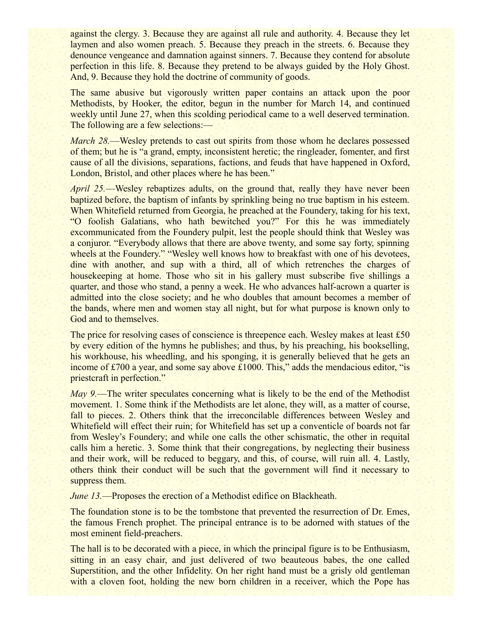against the clergy. 3. Because they are against all rule and authority. 4. Because they let laymen and also women preach. 5. Because they preach in the streets. 6. Because they denounce vengeance and damnation against sinners. 7. Because they contend for absolute perfection in this life. 8. Because they pretend to be always guided by the Holy Ghost. And, 9. Because they hold the doctrine of community of goods.

The same abusive but vigorously written paper contains an attack upon the poor Methodists, by Hooker, the editor, begun in the number for March 14, and continued weekly until June 27, when this scolding periodical came to a well deserved termination. The following are a few selections:—

*March 28.*—Wesley pretends to cast out spirits from those whom he declares possessed of them; but he is "a grand, empty, inconsistent heretic; the ringleader, fomenter, and first cause of all the divisions, separations, factions, and feuds that have happened in Oxford, London, Bristol, and other places where he has been."

*April 25.*—Wesley rebaptizes adults, on the ground that, really they have never been baptized before, the baptism of infants by sprinkling being no true baptism in his esteem. When Whitefield returned from Georgia, he preached at the Foundery, taking for his text, "O foolish Galatians, who hath bewitched you?" For this he was immediately excommunicated from the Foundery pulpit, lest the people should think that Wesley was a conjuror. "Everybody allows that there are above twenty, and some say forty, spinning wheels at the Foundery." "Wesley well knows how to breakfast with one of his devotees, dine with another, and sup with a third, all of which retrenches the charges of housekeeping at home. Those who sit in his gallery must subscribe five shillings a quarter, and those who stand, a penny a week. He who advances half-acrown a quarter is admitted into the close society; and he who doubles that amount becomes a member of the bands, where men and women stay all night, but for what purpose is known only to God and to themselves.

The price for resolving cases of conscience is threepence each. Wesley makes at least £50 by every edition of the hymns he publishes; and thus, by his preaching, his bookselling, his workhouse, his wheedling, and his sponging, it is generally believed that he gets an income of  $\text{\pounds}700$  a year, and some say above  $\text{\pounds}1000$ . This," adds the mendacious editor, "is priestcraft in perfection."

*May 9.*—The writer speculates concerning what is likely to be the end of the Methodist movement. 1. Some think if the Methodists are let alone, they will, as a matter of course, fall to pieces. 2. Others think that the irreconcilable differences between Wesley and Whitefield will effect their ruin; for Whitefield has set up a conventicle of boards not far from Wesley's Foundery; and while one calls the other schismatic, the other in requital calls him a heretic. 3. Some think that their congregations, by neglecting their business and their work, will be reduced to beggary, and this, of course, will ruin all. 4. Lastly, others think their conduct will be such that the government will find it necessary to suppress them.

*June 13.*—Proposes the erection of a Methodist edifice on Blackheath.

The foundation stone is to be the tombstone that prevented the resurrection of Dr. Emes, the famous French prophet. The principal entrance is to be adorned with statues of the most eminent field-preachers.

The hall is to be decorated with a piece, in which the principal figure is to be Enthusiasm, sitting in an easy chair, and just delivered of two beauteous babes, the one called Superstition, and the other Infidelity. On her right hand must be a grisly old gentleman with a cloven foot, holding the new born children in a receiver, which the Pope has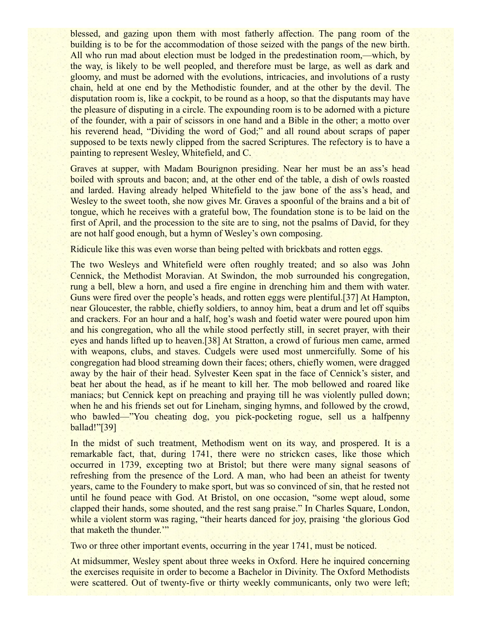blessed, and gazing upon them with most fatherly affection. The pang room of the building is to be for the accommodation of those seized with the pangs of the new birth. All who run mad about election must be lodged in the predestination room,—which, by the way, is likely to be well peopled, and therefore must be large, as well as dark and gloomy, and must be adorned with the evolutions, intricacies, and involutions of a rusty chain, held at one end by the Methodistic founder, and at the other by the devil. The disputation room is, like a cockpit, to be round as a hoop, so that the disputants may have the pleasure of disputing in a circle. The expounding room is to be adorned with a picture of the founder, with a pair of scissors in one hand and a Bible in the other; a motto over his reverend head, "Dividing the word of God;" and all round about scraps of paper supposed to be texts newly clipped from the sacred Scriptures. The refectory is to have a painting to represent Wesley, Whitefield, and C.

Graves at supper, with Madam Bourignon presiding. Near her must be an ass's head boiled with sprouts and bacon; and, at the other end of the table, a dish of owls roasted and larded. Having already helped Whitefield to the jaw bone of the ass's head, and Wesley to the sweet tooth, she now gives Mr. Graves a spoonful of the brains and a bit of tongue, which he receives with a grateful bow, The foundation stone is to be laid on the first of April, and the procession to the site are to sing, not the psalms of David, for they are not half good enough, but a hymn of Wesley's own composing.

Ridicule like this was even worse than being pelted with brickbats and rotten eggs.

The two Wesleys and Whitefield were often roughly treated; and so also was John Cennick, the Methodist Moravian. At Swindon, the mob surrounded his congregation, rung a bell, blew a horn, and used a fire engine in drenching him and them with water. Guns were fired over the people's heads, and rotten eggs were plentiful.[37] At Hampton, near Gloucester, the rabble, chiefly soldiers, to annoy him, beat a drum and let off squibs and crackers. For an hour and a half, hog's wash and foetid water were poured upon him and his congregation, who all the while stood perfectly still, in secret prayer, with their eyes and hands lifted up to heaven.[38] At Stratton, a crowd of furious men came, armed with weapons, clubs, and staves. Cudgels were used most unmercifully. Some of his congregation had blood streaming down their faces; others, chiefly women, were dragged away by the hair of their head. Sylvester Keen spat in the face of Cennick's sister, and beat her about the head, as if he meant to kill her. The mob bellowed and roared like maniacs; but Cennick kept on preaching and praying till he was violently pulled down; when he and his friends set out for Lineham, singing hymns, and followed by the crowd, who bawled—"You cheating dog, you pick-pocketing rogue, sell us a halfpenny ballad!"[39]

In the midst of such treatment, Methodism went on its way, and prospered. It is a remarkable fact, that, during 1741, there were no strickcn cases, like those which occurred in 1739, excepting two at Bristol; but there were many signal seasons of refreshing from the presence of the Lord. A man, who had been an atheist for twenty years, came to the Foundery to make sport, but was so convinced of sin, that he rested not until he found peace with God. At Bristol, on one occasion, "some wept aloud, some clapped their hands, some shouted, and the rest sang praise." In Charles Square, London, while a violent storm was raging, "their hearts danced for joy, praising 'the glorious God that maketh the thunder."

Two or three other important events, occurring in the year 1741, must be noticed.

At midsummer, Wesley spent about three weeks in Oxford. Here he inquired concerning the exercises requisite in order to become a Bachelor in Divinity. The Oxford Methodists were scattered. Out of twenty-five or thirty weekly communicants, only two were left;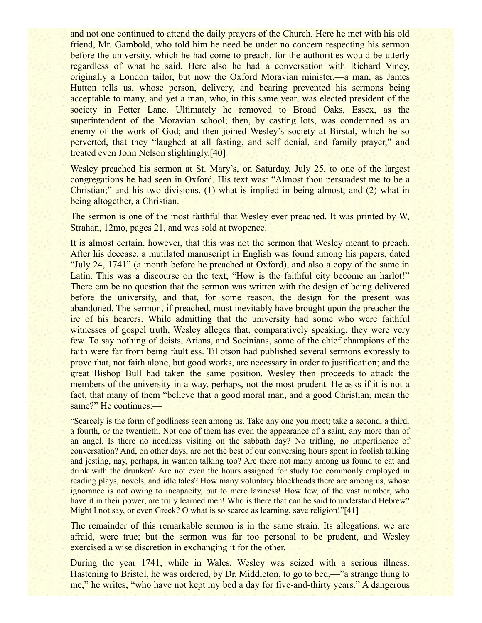and not one continued to attend the daily prayers of the Church. Here he met with his old friend, Mr. Gambold, who told him he need be under no concern respecting his sermon before the university, which he had come to preach, for the authorities would be utterly regardless of what he said. Here also he had a conversation with Richard Viney, originally a London tailor, but now the Oxford Moravian minister,—a man, as James Hutton tells us, whose person, delivery, and bearing prevented his sermons being acceptable to many, and yet a man, who, in this same year, was elected president of the society in Fetter Lane. Ultimately he removed to Broad Oaks, Essex, as the superintendent of the Moravian school; then, by casting lots, was condemned as an enemy of the work of God; and then joined Wesley's society at Birstal, which he so perverted, that they "laughed at all fasting, and self denial, and family prayer," and treated even John Nelson slightingly.[40]

Wesley preached his sermon at St. Mary's, on Saturday, July 25, to one of the largest congregations he had seen in Oxford. His text was: "Almost thou persuadest me to be a Christian;" and his two divisions, (1) what is implied in being almost; and (2) what in being altogether, a Christian.

The sermon is one of the most faithful that Wesley ever preached. It was printed by W, Strahan, 12mo, pages 21, and was sold at twopence.

It is almost certain, however, that this was not the sermon that Wesley meant to preach. After his decease, a mutilated manuscript in English was found among his papers, dated "July 24, 1741" (a month before he preached at Oxford), and also a copy of the same in Latin. This was a discourse on the text, "How is the faithful city become an harlot!" There can be no question that the sermon was written with the design of being delivered before the university, and that, for some reason, the design for the present was abandoned. The sermon, if preached, must inevitably have brought upon the preacher the ire of his hearers. While admitting that the university had some who were faithful witnesses of gospel truth, Wesley alleges that, comparatively speaking, they were very few. To say nothing of deists, Arians, and Socinians, some of the chief champions of the faith were far from being faultless. Tillotson had published several sermons expressly to prove that, not faith alone, but good works, are necessary in order to justification; and the great Bishop Bull had taken the same position. Wesley then proceeds to attack the members of the university in a way, perhaps, not the most prudent. He asks if it is not a fact, that many of them "believe that a good moral man, and a good Christian, mean the same?" He continues:—

"Scarcely is the form of godliness seen among us. Take any one you meet; take a second, a third, a fourth, or the twentieth. Not one of them has even the appearance of a saint, any more than of an angel. Is there no needless visiting on the sabbath day? No trifling, no impertinence of conversation? And, on other days, are not the best of our conversing hours spent in foolish talking and jesting, nay, perhaps, in wanton talking too? Are there not many among us found to eat and drink with the drunken? Are not even the hours assigned for study too commonly employed in reading plays, novels, and idle tales? How many voluntary blockheads there are among us, whose ignorance is not owing to incapacity, but to mere laziness! How few, of the vast number, who have it in their power, are truly learned men! Who is there that can be said to understand Hebrew? Might I not say, or even Greek? O what is so scarce as learning, save religion!"[41]

The remainder of this remarkable sermon is in the same strain. Its allegations, we are afraid, were true; but the sermon was far too personal to be prudent, and Wesley exercised a wise discretion in exchanging it for the other.

During the year 1741, while in Wales, Wesley was seized with a serious illness. Hastening to Bristol, he was ordered, by Dr. Middleton, to go to bed,—"a strange thing to me," he writes, "who have not kept my bed a day for five-and-thirty years." A dangerous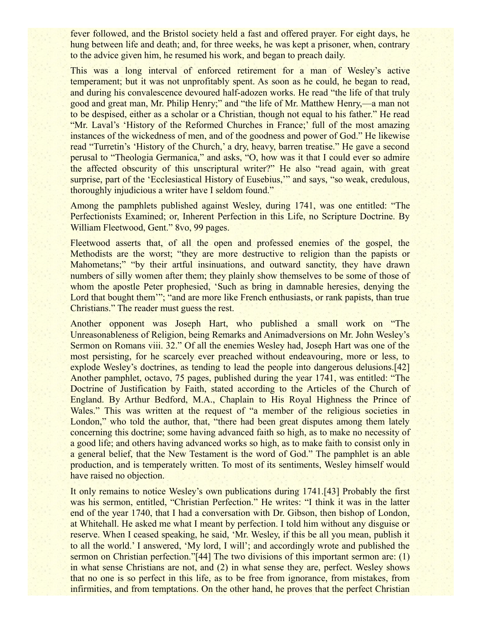fever followed, and the Bristol society held a fast and offered prayer. For eight days, he hung between life and death; and, for three weeks, he was kept a prisoner, when, contrary to the advice given him, he resumed his work, and began to preach daily.

This was a long interval of enforced retirement for a man of Wesley's active temperament; but it was not unprofitably spent. As soon as he could, he began to read, and during his convalescence devoured half-adozen works. He read "the life of that truly good and great man, Mr. Philip Henry;" and "the life of Mr. Matthew Henry,—a man not to be despised, either as a scholar or a Christian, though not equal to his father." He read "Mr. Laval's 'History of the Reformed Churches in France;' full of the most amazing instances of the wickedness of men, and of the goodness and power of God." He likewise read "Turretin's 'History of the Church,' a dry, heavy, barren treatise." He gave a second perusal to "Theologia Germanica," and asks, "O, how was it that I could ever so admire the affected obscurity of this unscriptural writer?" He also "read again, with great surprise, part of the 'Ecclesiastical History of Eusebius,'" and says, "so weak, credulous, thoroughly injudicious a writer have I seldom found."

Among the pamphlets published against Wesley, during 1741, was one entitled: "The Perfectionists Examined; or, Inherent Perfection in this Life, no Scripture Doctrine. By William Fleetwood, Gent." 8vo, 99 pages.

Fleetwood asserts that, of all the open and professed enemies of the gospel, the Methodists are the worst; "they are more destructive to religion than the papists or Mahometans;" "by their artful insinuations, and outward sanctity, they have drawn numbers of silly women after them; they plainly show themselves to be some of those of whom the apostle Peter prophesied, 'Such as bring in damnable heresies, denying the Lord that bought them'"; "and are more like French enthusiasts, or rank papists, than true Christians." The reader must guess the rest.

Another opponent was Joseph Hart, who published a small work on "The Unreasonableness of Religion, being Remarks and Animadversions on Mr. John Wesley's Sermon on Romans viii. 32." Of all the enemies Wesley had, Joseph Hart was one of the most persisting, for he scarcely ever preached without endeavouring, more or less, to explode Wesley's doctrines, as tending to lead the people into dangerous delusions.[42] Another pamphlet, octavo, 75 pages, published during the year 1741, was entitled: "The Doctrine of Justification by Faith, stated according to the Articles of the Church of England. By Arthur Bedford, M.A., Chaplain to His Royal Highness the Prince of Wales." This was written at the request of "a member of the religious societies in London," who told the author, that, "there had been great disputes among them lately concerning this doctrine; some having advanced faith so high, as to make no necessity of a good life; and others having advanced works so high, as to make faith to consist only in a general belief, that the New Testament is the word of God." The pamphlet is an able production, and is temperately written. To most of its sentiments, Wesley himself would have raised no objection.

It only remains to notice Wesley's own publications during 1741.[43] Probably the first was his sermon, entitled, "Christian Perfection." He writes: "I think it was in the latter end of the year 1740, that I had a conversation with Dr. Gibson, then bishop of London, at Whitehall. He asked me what I meant by perfection. I told him without any disguise or reserve. When I ceased speaking, he said, 'Mr. Wesley, if this be all you mean, publish it to all the world.' I answered, 'My lord, I will'; and accordingly wrote and published the sermon on Christian perfection."[44] The two divisions of this important sermon are: (1) in what sense Christians are not, and (2) in what sense they are, perfect. Wesley shows that no one is so perfect in this life, as to be free from ignorance, from mistakes, from infirmities, and from temptations. On the other hand, he proves that the perfect Christian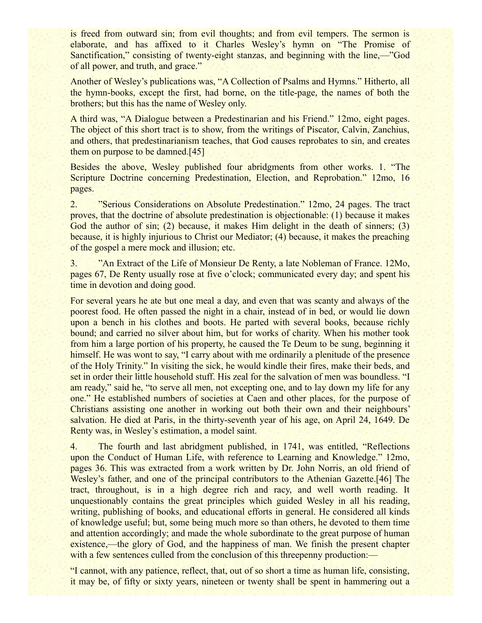is freed from outward sin; from evil thoughts; and from evil tempers. The sermon is elaborate, and has affixed to it Charles Wesley's hymn on "The Promise of Sanctification," consisting of twenty-eight stanzas, and beginning with the line,—"God of all power, and truth, and grace."

Another of Wesley's publications was, "A Collection of Psalms and Hymns." Hitherto, all the hymn-books, except the first, had borne, on the title-page, the names of both the brothers; but this has the name of Wesley only.

A third was, "A Dialogue between a Predestinarian and his Friend." 12mo, eight pages. The object of this short tract is to show, from the writings of Piscator, Calvin, Zanchius, and others, that predestinarianism teaches, that God causes reprobates to sin, and creates them on purpose to be damned.[45]

Besides the above, Wesley published four abridgments from other works. 1. "The Scripture Doctrine concerning Predestination, Election, and Reprobation." 12mo, 16 pages.

2. "Serious Considerations on Absolute Predestination." 12mo, 24 pages. The tract proves, that the doctrine of absolute predestination is objectionable: (1) because it makes God the author of sin; (2) because, it makes Him delight in the death of sinners; (3) because, it is highly injurious to Christ our Mediator; (4) because, it makes the preaching of the gospel a mere mock and illusion; etc.

3. "An Extract of the Life of Monsieur De Renty, a late Nobleman of France. 12Mo, pages 67, De Renty usually rose at five o'clock; communicated every day; and spent his time in devotion and doing good.

For several years he ate but one meal a day, and even that was scanty and always of the poorest food. He often passed the night in a chair, instead of in bed, or would lie down upon a bench in his clothes and boots. He parted with several books, because richly bound; and carried no silver about him, but for works of charity. When his mother took from him a large portion of his property, he caused the Te Deum to be sung, beginning it himself. He was wont to say, "I carry about with me ordinarily a plenitude of the presence of the Holy Trinity." In visiting the sick, he would kindle their fires, make their beds, and set in order their little household stuff. His zeal for the salvation of men was boundless. "I am ready," said he, "to serve all men, not excepting one, and to lay down my life for any one." He established numbers of societies at Caen and other places, for the purpose of Christians assisting one another in working out both their own and their neighbours' salvation. He died at Paris, in the thirty-seventh year of his age, on April 24, 1649. De Renty was, in Wesley's estimation, a model saint.

4. The fourth and last abridgment published, in 1741, was entitled, "Reflections upon the Conduct of Human Life, with reference to Learning and Knowledge." 12mo, pages 36. This was extracted from a work written by Dr. John Norris, an old friend of Wesley's father, and one of the principal contributors to the Athenian Gazette.[46] The tract, throughout, is in a high degree rich and racy, and well worth reading. It unquestionably contains the great principles which guided Wesley in all his reading, writing, publishing of books, and educational efforts in general. He considered all kinds of knowledge useful; but, some being much more so than others, he devoted to them time and attention accordingly; and made the whole subordinate to the great purpose of human existence,—the glory of God, and the happiness of man. We finish the present chapter with a few sentences culled from the conclusion of this threepenny production:—

"I cannot, with any patience, reflect, that, out of so short a time as human life, consisting, it may be, of fifty or sixty years, nineteen or twenty shall be spent in hammering out a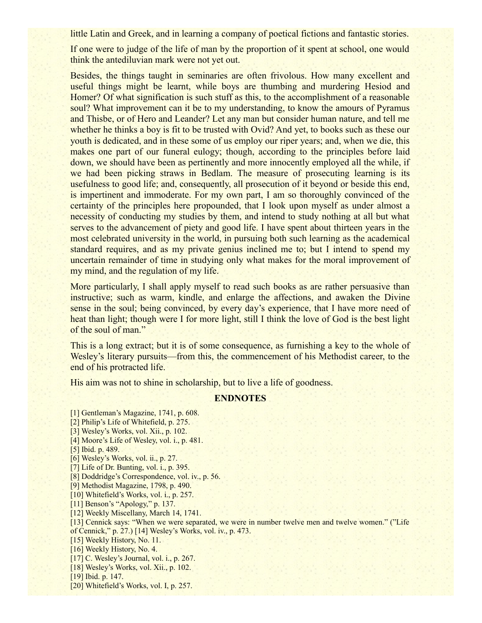little Latin and Greek, and in learning a company of poetical fictions and fantastic stories.

If one were to judge of the life of man by the proportion of it spent at school, one would think the antediluvian mark were not yet out.

Besides, the things taught in seminaries are often frivolous. How many excellent and useful things might be learnt, while boys are thumbing and murdering Hesiod and Homer? Of what signification is such stuff as this, to the accomplishment of a reasonable soul? What improvement can it be to my understanding, to know the amours of Pyramus and Thisbe, or of Hero and Leander? Let any man but consider human nature, and tell me whether he thinks a boy is fit to be trusted with Ovid? And yet, to books such as these our youth is dedicated, and in these some of us employ our riper years; and, when we die, this makes one part of our funeral eulogy; though, according to the principles before laid down, we should have been as pertinently and more innocently employed all the while, if we had been picking straws in Bedlam. The measure of prosecuting learning is its usefulness to good life; and, consequently, all prosecution of it beyond or beside this end, is impertinent and immoderate. For my own part, I am so thoroughly convinced of the certainty of the principles here propounded, that I look upon myself as under almost a necessity of conducting my studies by them, and intend to study nothing at all but what serves to the advancement of piety and good life. I have spent about thirteen years in the most celebrated university in the world, in pursuing both such learning as the academical standard requires, and as my private genius inclined me to; but I intend to spend my uncertain remainder of time in studying only what makes for the moral improvement of my mind, and the regulation of my life.

More particularly. I shall apply myself to read such books as are rather persuasive than instructive; such as warm, kindle, and enlarge the affections, and awaken the Divine sense in the soul; being convinced, by every day's experience, that I have more need of heat than light; though were I for more light, still I think the love of God is the best light of the soul of man."

This is a long extract; but it is of some consequence, as furnishing a key to the whole of Wesley's literary pursuits—from this, the commencement of his Methodist career, to the end of his protracted life.

His aim was not to shine in scholarship, but to live a life of goodness.

## **ENDNOTES**

[1] Gentleman's Magazine, 1741, p. 608. [2] Philip's Life of Whitefield, p. 275. [3] Wesley's Works, vol. Xii., p. 102. [4] Moore's Life of Wesley, vol. i., p. 481. [5] Ibid. p. 489. [6] Wesley's Works, vol. ii., p. 27. [7] Life of Dr. Bunting, vol. i., p. 395. [8] Doddridge's Correspondence, vol. iv., p. 56. [9] Methodist Magazine, 1798, p. 490. [10] Whitefield's Works, vol. i., p. 257. [11] Benson's "Apology," p. 137. [12] Weekly Miscellany, March 14, 1741. [13] Cennick says: "When we were separated, we were in number twelve men and twelve women." ("Life of Cennick," p. 27.) [14] Wesley's Works, vol. iv., p. 473. [15] Weekly History, No. 11. [16] Weekly History, No. 4. [17] C. Wesley's Journal, vol. *i.*, p. 267. [18] Wesley's Works, vol. Xii., p. 102. [19] Ibid. p. 147. [20] Whitefield's Works, vol. I, p. 257.